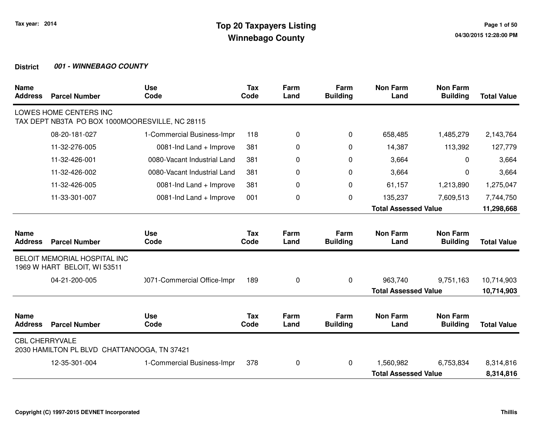| <b>Name</b><br><b>Address</b> | <b>Parcel Number</b>                                                      | <b>Use</b><br>Code          | <b>Tax</b><br>Code | Farm<br>Land | Farm<br><b>Building</b> | <b>Non Farm</b><br>Land     | <b>Non Farm</b><br><b>Building</b> | <b>Total Value</b> |
|-------------------------------|---------------------------------------------------------------------------|-----------------------------|--------------------|--------------|-------------------------|-----------------------------|------------------------------------|--------------------|
|                               | LOWES HOME CENTERS INC<br>TAX DEPT NB3TA PO BOX 1000MOORESVILLE, NC 28115 |                             |                    |              |                         |                             |                                    |                    |
|                               | 08-20-181-027                                                             | 1-Commercial Business-Impr  | 118                | 0            | 0                       | 658,485                     | 1,485,279                          | 2,143,764          |
|                               | 11-32-276-005                                                             | 0081-Ind Land + Improve     | 381                | 0            | $\Omega$                | 14,387                      | 113,392                            | 127,779            |
|                               | 11-32-426-001                                                             | 0080-Vacant Industrial Land | 381                | 0            | $\Omega$                | 3,664                       | 0                                  | 3,664              |
|                               | 11-32-426-002                                                             | 0080-Vacant Industrial Land | 381                | 0            | 0                       | 3,664                       | $\Omega$                           | 3,664              |
|                               | 11-32-426-005                                                             | 0081-Ind Land + Improve     | 381                | 0            | 0                       | 61,157                      | 1,213,890                          | 1,275,047          |
|                               | 11-33-301-007                                                             | 0081-Ind Land + Improve     | 001                | 0            | 0                       | 135,237                     | 7,609,513                          | 7,744,750          |
|                               |                                                                           |                             |                    |              |                         | <b>Total Assessed Value</b> |                                    | 11,298,668         |
| <b>Name</b><br><b>Address</b> | <b>Parcel Number</b>                                                      | <b>Use</b><br>Code          | <b>Tax</b><br>Code | Farm<br>Land | Farm<br><b>Building</b> | <b>Non Farm</b><br>Land     | <b>Non Farm</b><br><b>Building</b> | <b>Total Value</b> |
|                               | <b>BELOIT MEMORIAL HOSPITAL INC</b><br>1969 W HART BELOIT, WI 53511       |                             |                    |              |                         |                             |                                    |                    |
|                               | 04-21-200-005                                                             | 0071-Commercial Office-Impr | 189                | 0            | 0                       | 963,740                     | 9,751,163                          | 10,714,903         |
|                               |                                                                           |                             |                    |              |                         | <b>Total Assessed Value</b> |                                    | 10,714,903         |
| <b>Name</b><br><b>Address</b> | <b>Parcel Number</b>                                                      | <b>Use</b><br>Code          | <b>Tax</b><br>Code | Farm<br>Land | Farm<br><b>Building</b> | <b>Non Farm</b><br>Land     | <b>Non Farm</b><br><b>Building</b> | <b>Total Value</b> |
| <b>CBL CHERRYVALE</b>         | 2030 HAMILTON PL BLVD CHATTANOOGA, TN 37421                               |                             |                    |              |                         |                             |                                    |                    |
|                               | 12-35-301-004                                                             | 1-Commercial Business-Impr  | 378                | 0            | 0                       | 1,560,982                   | 6,753,834                          | 8,314,816          |
|                               |                                                                           |                             |                    |              |                         | <b>Total Assessed Value</b> |                                    | 8,314,816          |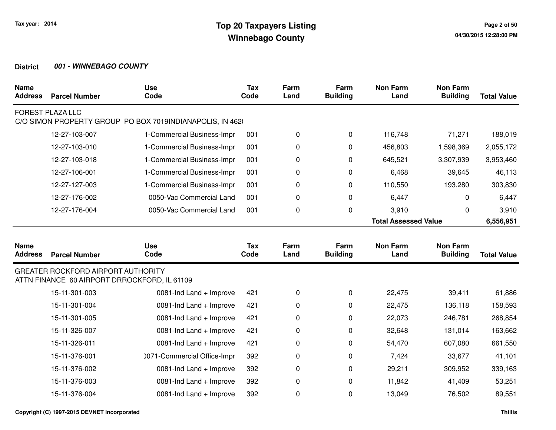| <b>Name</b><br><b>Address</b> | <b>Parcel Number</b>                                                                      | <b>Use</b><br>Code                                        | <b>Tax</b><br>Code | Farm<br>Land | Farm<br><b>Building</b> | <b>Non Farm</b><br>Land     | <b>Non Farm</b><br><b>Building</b> | <b>Total Value</b> |
|-------------------------------|-------------------------------------------------------------------------------------------|-----------------------------------------------------------|--------------------|--------------|-------------------------|-----------------------------|------------------------------------|--------------------|
|                               | <b>FOREST PLAZA LLC</b>                                                                   | C/O SIMON PROPERTY GROUP PO BOX 7019INDIANAPOLIS, IN 4620 |                    |              |                         |                             |                                    |                    |
|                               | 12-27-103-007                                                                             | 1-Commercial Business-Impr                                | 001                | $\mathbf 0$  | $\mathbf 0$             | 116,748                     | 71,271                             | 188,019            |
|                               | 12-27-103-010                                                                             | 1-Commercial Business-Impr                                | 001                | 0            | 0                       | 456,803                     | 1,598,369                          | 2,055,172          |
|                               | 12-27-103-018                                                                             | 1-Commercial Business-Impr                                | 001                | 0            | $\mathbf 0$             | 645,521                     | 3,307,939                          | 3,953,460          |
|                               | 12-27-106-001                                                                             | 1-Commercial Business-Impr                                | 001                | 0            | 0                       | 6,468                       | 39,645                             | 46,113             |
|                               | 12-27-127-003                                                                             | 1-Commercial Business-Impr                                | 001                | $\pmb{0}$    | $\mathbf 0$             | 110,550                     | 193,280                            | 303,830            |
|                               | 12-27-176-002                                                                             | 0050-Vac Commercial Land                                  | 001                | 0            | $\mathbf 0$             | 6,447                       | 0                                  | 6,447              |
|                               | 12-27-176-004                                                                             | 0050-Vac Commercial Land                                  | 001                | $\mathbf 0$  | $\mathbf 0$             | 3,910                       | 0                                  | 3,910              |
|                               |                                                                                           |                                                           |                    |              |                         | <b>Total Assessed Value</b> |                                    | 6,556,951          |
| <b>Name</b><br><b>Address</b> | <b>Parcel Number</b>                                                                      | <b>Use</b><br>Code                                        | <b>Tax</b><br>Code | Farm<br>Land | Farm<br><b>Building</b> | <b>Non Farm</b><br>Land     | <b>Non Farm</b><br><b>Building</b> | <b>Total Value</b> |
|                               | <b>GREATER ROCKFORD AIRPORT AUTHORITY</b><br>ATTN FINANCE 60 AIRPORT DRROCKFORD, IL 61109 |                                                           |                    |              |                         |                             |                                    |                    |
|                               | 15-11-301-003                                                                             | 0081-Ind Land + Improve                                   | 421                | 0            | $\pmb{0}$               | 22,475                      | 39,411                             | 61,886             |
|                               | 15-11-301-004                                                                             | 0081-Ind Land + Improve                                   | 421                | 0            | 0                       | 22,475                      | 136,118                            | 158,593            |
|                               | 15-11-301-005                                                                             | 0081-Ind Land + Improve                                   | 421                | 0            | 0                       | 22,073                      | 246,781                            | 268,854            |
|                               | 15-11-326-007                                                                             | 0081-Ind Land + Improve                                   | 421                | 0            | $\mathbf 0$             | 32,648                      | 131,014                            | 163,662            |
|                               | 15-11-326-011                                                                             | 0081-Ind Land + Improve                                   | 421                | 0            | 0                       | 54,470                      | 607,080                            | 661,550            |
|                               | 15-11-376-001                                                                             | 0071-Commercial Office-Impr                               | 392                | 0            | 0                       | 7,424                       | 33,677                             | 41,101             |
|                               | 15-11-376-002                                                                             | 0081-Ind Land + Improve                                   | 392                | 0            | 0                       | 29,211                      | 309,952                            | 339,163            |
|                               |                                                                                           |                                                           |                    |              |                         |                             |                                    |                    |
|                               | 15-11-376-003                                                                             | 0081-Ind Land + Improve                                   | 392                | 0            | 0                       | 11,842                      | 41,409                             | 53,251             |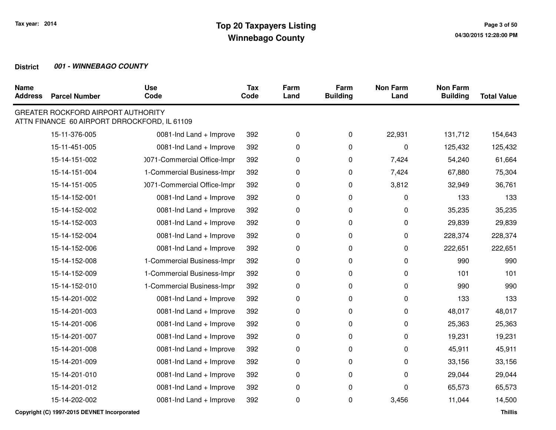| <b>Name</b><br><b>Address</b> | <b>Parcel Number</b>                      | <b>Use</b><br>Code                           | <b>Tax</b><br>Code | Farm<br>Land | Farm<br><b>Building</b> | <b>Non Farm</b><br>Land | <b>Non Farm</b><br><b>Building</b> | <b>Total Value</b> |
|-------------------------------|-------------------------------------------|----------------------------------------------|--------------------|--------------|-------------------------|-------------------------|------------------------------------|--------------------|
|                               | <b>GREATER ROCKFORD AIRPORT AUTHORITY</b> | ATTN FINANCE 60 AIRPORT DRROCKFORD, IL 61109 |                    |              |                         |                         |                                    |                    |
|                               | 15-11-376-005                             | 0081-Ind Land + Improve                      | 392                | 0            | 0                       | 22,931                  | 131,712                            | 154,643            |
|                               | 15-11-451-005                             | 0081-Ind Land + Improve                      | 392                | 0            | 0                       | 0                       | 125,432                            | 125,432            |
|                               | 15-14-151-002                             | 0071-Commercial Office-Impr                  | 392                | 0            | 0                       | 7,424                   | 54,240                             | 61,664             |
|                               | 15-14-151-004                             | 1-Commercial Business-Impr                   | 392                | 0            | 0                       | 7,424                   | 67,880                             | 75,304             |
|                               | 15-14-151-005                             | 0071-Commercial Office-Impr                  | 392                | 0            | 0                       | 3,812                   | 32,949                             | 36,761             |
|                               | 15-14-152-001                             | 0081-Ind Land + Improve                      | 392                | 0            | 0                       | 0                       | 133                                | 133                |
|                               | 15-14-152-002                             | 0081-Ind Land + Improve                      | 392                | 0            | 0                       | 0                       | 35,235                             | 35,235             |
|                               | 15-14-152-003                             | 0081-Ind Land + Improve                      | 392                | 0            | 0                       | 0                       | 29,839                             | 29,839             |
|                               | 15-14-152-004                             | 0081-Ind Land + Improve                      | 392                | 0            | 0                       | 0                       | 228,374                            | 228,374            |
|                               | 15-14-152-006                             | 0081-Ind Land + Improve                      | 392                | 0            | 0                       | 0                       | 222,651                            | 222,651            |
|                               | 15-14-152-008                             | 1-Commercial Business-Impr                   | 392                | 0            | 0                       | 0                       | 990                                | 990                |
|                               | 15-14-152-009                             | 1-Commercial Business-Impr                   | 392                | 0            | 0                       | 0                       | 101                                | 101                |
|                               | 15-14-152-010                             | 1-Commercial Business-Impr                   | 392                | 0            | 0                       | 0                       | 990                                | 990                |
|                               | 15-14-201-002                             | 0081-Ind Land + Improve                      | 392                | 0            | 0                       | 0                       | 133                                | 133                |
|                               | 15-14-201-003                             | 0081-Ind Land + Improve                      | 392                | 0            | 0                       | 0                       | 48,017                             | 48,017             |
|                               | 15-14-201-006                             | 0081-Ind Land + Improve                      | 392                | 0            | 0                       | 0                       | 25,363                             | 25,363             |
|                               | 15-14-201-007                             | 0081-Ind Land + Improve                      | 392                | 0            | 0                       | 0                       | 19,231                             | 19,231             |
|                               | 15-14-201-008                             | 0081-Ind Land + Improve                      | 392                | 0            | 0                       | 0                       | 45,911                             | 45,911             |
|                               | 15-14-201-009                             | 0081-Ind Land + Improve                      | 392                | 0            | 0                       | 0                       | 33,156                             | 33,156             |
|                               | 15-14-201-010                             | 0081-Ind Land + Improve                      | 392                | 0            | 0                       | 0                       | 29,044                             | 29,044             |
|                               | 15-14-201-012                             | 0081-Ind Land + Improve                      | 392                | 0            | 0                       | 0                       | 65,573                             | 65,573             |
|                               | 15-14-202-002                             | 0081-Ind Land + Improve                      | 392                | 0            | 0                       | 3,456                   | 11,044                             | 14,500             |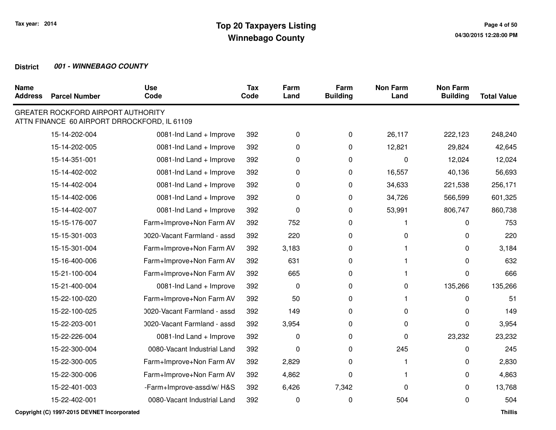| <b>Name</b><br><b>Address</b> | <b>Parcel Number</b>                      | <b>Use</b><br>Code                           | Tax<br>Code | Farm<br>Land | Farm<br><b>Building</b> | <b>Non Farm</b><br>Land | <b>Non Farm</b><br><b>Building</b> | <b>Total Value</b> |
|-------------------------------|-------------------------------------------|----------------------------------------------|-------------|--------------|-------------------------|-------------------------|------------------------------------|--------------------|
|                               | <b>GREATER ROCKFORD AIRPORT AUTHORITY</b> | ATTN FINANCE 60 AIRPORT DRROCKFORD, IL 61109 |             |              |                         |                         |                                    |                    |
|                               | 15-14-202-004                             | 0081-Ind Land + Improve                      | 392         | 0            | $\mathbf 0$             | 26,117                  | 222,123                            | 248,240            |
|                               | 15-14-202-005                             | 0081-Ind Land + Improve                      | 392         | 0            | $\mathbf 0$             | 12,821                  | 29,824                             | 42,645             |
|                               | 15-14-351-001                             | 0081-Ind Land + Improve                      | 392         | 0            | $\pmb{0}$               | $\Omega$                | 12,024                             | 12,024             |
|                               | 15-14-402-002                             | 0081-Ind Land + Improve                      | 392         | 0            | $\mathbf 0$             | 16,557                  | 40,136                             | 56,693             |
|                               | 15-14-402-004                             | 0081-Ind Land + Improve                      | 392         | 0            | 0                       | 34,633                  | 221,538                            | 256,171            |
|                               | 15-14-402-006                             | 0081-Ind Land + Improve                      | 392         | 0            | $\mathbf 0$             | 34,726                  | 566,599                            | 601,325            |
|                               | 15-14-402-007                             | 0081-Ind Land + Improve                      | 392         | 0            | 0                       | 53,991                  | 806,747                            | 860,738            |
|                               | 15-15-176-007                             | Farm+Improve+Non Farm AV                     | 392         | 752          | $\pmb{0}$               |                         | $\Omega$                           | 753                |
|                               | 15-15-301-003                             | 0020-Vacant Farmland - assd                  | 392         | 220          | 0                       | $\Omega$                | 0                                  | 220                |
|                               | 15-15-301-004                             | Farm+Improve+Non Farm AV                     | 392         | 3,183        | 0                       |                         | 0                                  | 3,184              |
|                               | 15-16-400-006                             | Farm+Improve+Non Farm AV                     | 392         | 631          | $\Omega$                |                         | 0                                  | 632                |
|                               | 15-21-100-004                             | Farm+Improve+Non Farm AV                     | 392         | 665          | $\pmb{0}$               |                         | 0                                  | 666                |
|                               | 15-21-400-004                             | 0081-Ind Land + Improve                      | 392         | $\mathbf 0$  | $\mathbf 0$             | 0                       | 135,266                            | 135,266            |
|                               | 15-22-100-020                             | Farm+Improve+Non Farm AV                     | 392         | 50           | 0                       | 1                       | 0                                  | 51                 |
|                               | 15-22-100-025                             | 0020-Vacant Farmland - assd                  | 392         | 149          | $\mathbf 0$             | 0                       | $\Omega$                           | 149                |
|                               | 15-22-203-001                             | 0020-Vacant Farmland - assd                  | 392         | 3,954        | 0                       | 0                       | 0                                  | 3,954              |
|                               | 15-22-226-004                             | 0081-Ind Land + Improve                      | 392         | 0            | $\Omega$                | 0                       | 23,232                             | 23,232             |
|                               | 15-22-300-004                             | 0080-Vacant Industrial Land                  | 392         | 0            | $\mathbf 0$             | 245                     | 0                                  | 245                |
|                               | 15-22-300-005                             | Farm+Improve+Non Farm AV                     | 392         | 2,829        | 0                       | 1                       | 0                                  | 2,830              |
|                               | 15-22-300-006                             | Farm+Improve+Non Farm AV                     | 392         | 4,862        | $\Omega$                |                         | 0                                  | 4,863              |
|                               | 15-22-401-003                             | -Farm+Improve-assd/w/H&S                     | 392         | 6,426        | 7,342                   | 0                       | 0                                  | 13,768             |
|                               | 15-22-402-001                             | 0080-Vacant Industrial Land                  | 392         | 0            | 0                       | 504                     | $\Omega$                           | 504                |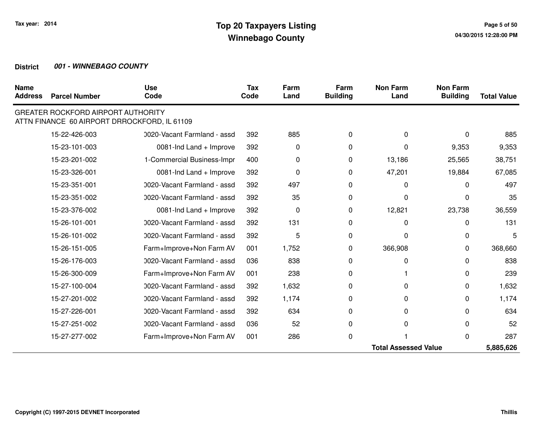| <b>Name</b><br><b>Address</b> | <b>Parcel Number</b>                      | <b>Use</b><br>Code                           | Tax<br>Code | Farm<br>Land | Farm<br><b>Building</b> | <b>Non Farm</b><br>Land     | <b>Non Farm</b><br><b>Building</b> | <b>Total Value</b> |
|-------------------------------|-------------------------------------------|----------------------------------------------|-------------|--------------|-------------------------|-----------------------------|------------------------------------|--------------------|
|                               | <b>GREATER ROCKFORD AIRPORT AUTHORITY</b> | ATTN FINANCE 60 AIRPORT DRROCKFORD, IL 61109 |             |              |                         |                             |                                    |                    |
|                               | 15-22-426-003                             | 0020-Vacant Farmland - assd                  | 392         | 885          | 0                       | 0                           | 0                                  | 885                |
|                               | 15-23-101-003                             | 0081-Ind Land + Improve                      | 392         | 0            | 0                       | 0                           | 9,353                              | 9,353              |
|                               | 15-23-201-002                             | 1-Commercial Business-Impr                   | 400         | 0            | 0                       | 13,186                      | 25,565                             | 38,751             |
|                               | 15-23-326-001                             | 0081-Ind Land + Improve                      | 392         | 0            | 0                       | 47,201                      | 19,884                             | 67,085             |
|                               | 15-23-351-001                             | 0020-Vacant Farmland - assd                  | 392         | 497          | 0                       | 0                           | 0                                  | 497                |
|                               | 15-23-351-002                             | 0020-Vacant Farmland - assd                  | 392         | 35           | 0                       | U                           | O                                  | 35                 |
|                               | 15-23-376-002                             | 0081-Ind Land + Improve                      | 392         | 0            | 0                       | 12,821                      | 23,738                             | 36,559             |
|                               | 15-26-101-001                             | 0020-Vacant Farmland - assd                  | 392         | 131          | 0                       | 0                           | 0                                  | 131                |
|                               | 15-26-101-002                             | 0020-Vacant Farmland - assd                  | 392         | 5            | 0                       | O                           | 0                                  | 5                  |
|                               | 15-26-151-005                             | Farm+Improve+Non Farm AV                     | 001         | 1,752        | 0                       | 366,908                     | 0                                  | 368,660            |
|                               | 15-26-176-003                             | 0020-Vacant Farmland - assd                  | 036         | 838          | 0                       | 0                           | 0                                  | 838                |
|                               | 15-26-300-009                             | Farm+Improve+Non Farm AV                     | 001         | 238          | 0                       |                             | 0                                  | 239                |
|                               | 15-27-100-004                             | 0020-Vacant Farmland - assd                  | 392         | 1,632        | 0                       | 0                           | 0                                  | 1,632              |
|                               | 15-27-201-002                             | 0020-Vacant Farmland - assd                  | 392         | 1,174        | 0                       | 0                           | 0                                  | 1,174              |
|                               | 15-27-226-001                             | 0020-Vacant Farmland - assd                  | 392         | 634          | 0                       | 0                           | 0                                  | 634                |
|                               | 15-27-251-002                             | 0020-Vacant Farmland - assd                  | 036         | 52           | 0                       | $\Omega$                    | 0                                  | 52                 |
|                               | 15-27-277-002                             | Farm+Improve+Non Farm AV                     | 001         | 286          | 0                       |                             | O                                  | 287                |
|                               |                                           |                                              |             |              |                         | <b>Total Assessed Value</b> |                                    | 5,885,626          |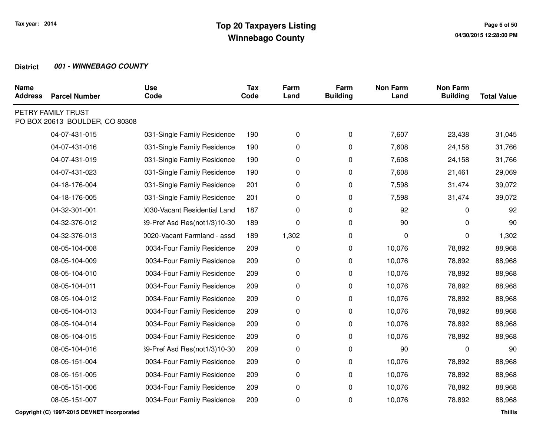| <b>Name</b><br><b>Address</b> | <b>Parcel Number</b>                                 | <b>Use</b><br>Code           | <b>Tax</b><br>Code | Farm<br>Land | Farm<br><b>Building</b> | <b>Non Farm</b><br>Land | <b>Non Farm</b><br><b>Building</b> | <b>Total Value</b> |
|-------------------------------|------------------------------------------------------|------------------------------|--------------------|--------------|-------------------------|-------------------------|------------------------------------|--------------------|
|                               | PETRY FAMILY TRUST<br>PO BOX 20613 BOULDER, CO 80308 |                              |                    |              |                         |                         |                                    |                    |
|                               | 04-07-431-015                                        | 031-Single Family Residence  | 190                | 0            | 0                       | 7,607                   | 23,438                             | 31,045             |
|                               | 04-07-431-016                                        | 031-Single Family Residence  | 190                | 0            | 0                       | 7,608                   | 24,158                             | 31,766             |
|                               | 04-07-431-019                                        | 031-Single Family Residence  | 190                | 0            | 0                       | 7,608                   | 24,158                             | 31,766             |
|                               | 04-07-431-023                                        | 031-Single Family Residence  | 190                | 0            | 0                       | 7,608                   | 21,461                             | 29,069             |
|                               | 04-18-176-004                                        | 031-Single Family Residence  | 201                | 0            | 0                       | 7,598                   | 31,474                             | 39,072             |
|                               | 04-18-176-005                                        | 031-Single Family Residence  | 201                | 0            | 0                       | 7,598                   | 31,474                             | 39,072             |
|                               | 04-32-301-001                                        | 0030-Vacant Residential Land | 187                | 0            | 0                       | 92                      | 0                                  | 92                 |
|                               | 04-32-376-012                                        | 39-Pref Asd Res(not1/3)10-30 | 189                | 0            | 0                       | 90                      | 0                                  | 90                 |
|                               | 04-32-376-013                                        | 0020-Vacant Farmland - assd  | 189                | 1,302        | 0                       | 0                       | $\Omega$                           | 1,302              |
|                               | 08-05-104-008                                        | 0034-Four Family Residence   | 209                | 0            | 0                       | 10,076                  | 78,892                             | 88,968             |
|                               | 08-05-104-009                                        | 0034-Four Family Residence   | 209                | 0            | 0                       | 10,076                  | 78,892                             | 88,968             |
|                               | 08-05-104-010                                        | 0034-Four Family Residence   | 209                | 0            | 0                       | 10,076                  | 78,892                             | 88,968             |
|                               | 08-05-104-011                                        | 0034-Four Family Residence   | 209                | 0            | 0                       | 10,076                  | 78,892                             | 88,968             |
|                               | 08-05-104-012                                        | 0034-Four Family Residence   | 209                | 0            | 0                       | 10,076                  | 78,892                             | 88,968             |
|                               | 08-05-104-013                                        | 0034-Four Family Residence   | 209                | 0            | 0                       | 10,076                  | 78,892                             | 88,968             |
|                               | 08-05-104-014                                        | 0034-Four Family Residence   | 209                | 0            | 0                       | 10,076                  | 78,892                             | 88,968             |
|                               | 08-05-104-015                                        | 0034-Four Family Residence   | 209                | 0            | 0                       | 10,076                  | 78,892                             | 88,968             |
|                               | 08-05-104-016                                        | 39-Pref Asd Res(not1/3)10-30 | 209                | 0            | 0                       | 90                      | 0                                  | 90                 |
|                               | 08-05-151-004                                        | 0034-Four Family Residence   | 209                | 0            | 0                       | 10,076                  | 78,892                             | 88,968             |
|                               | 08-05-151-005                                        | 0034-Four Family Residence   | 209                | 0            | $\pmb{0}$               | 10,076                  | 78,892                             | 88,968             |
|                               | 08-05-151-006                                        | 0034-Four Family Residence   | 209                | 0            | 0                       | 10,076                  | 78,892                             | 88,968             |
|                               | 08-05-151-007                                        | 0034-Four Family Residence   | 209                | 0            | 0                       | 10,076                  | 78,892                             | 88,968             |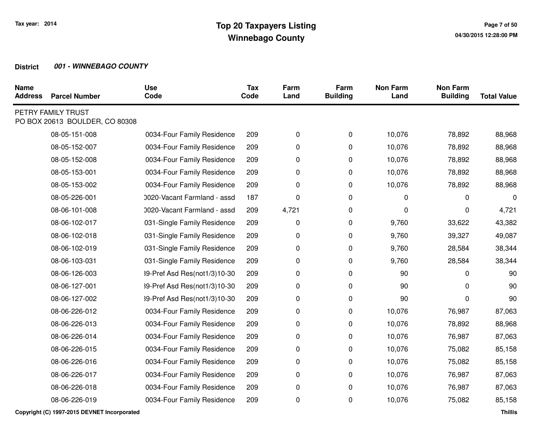| <b>Name</b><br><b>Address</b> | <b>Parcel Number</b>                                 | <b>Use</b><br>Code           | <b>Tax</b><br>Code | Farm<br>Land | Farm<br><b>Building</b> | <b>Non Farm</b><br>Land | <b>Non Farm</b><br><b>Building</b> | <b>Total Value</b> |
|-------------------------------|------------------------------------------------------|------------------------------|--------------------|--------------|-------------------------|-------------------------|------------------------------------|--------------------|
|                               | PETRY FAMILY TRUST<br>PO BOX 20613 BOULDER, CO 80308 |                              |                    |              |                         |                         |                                    |                    |
|                               | 08-05-151-008                                        | 0034-Four Family Residence   | 209                | 0            | 0                       | 10,076                  | 78,892                             | 88,968             |
|                               | 08-05-152-007                                        | 0034-Four Family Residence   | 209                | 0            | 0                       | 10,076                  | 78,892                             | 88,968             |
|                               | 08-05-152-008                                        | 0034-Four Family Residence   | 209                | 0            | 0                       | 10,076                  | 78,892                             | 88,968             |
|                               | 08-05-153-001                                        | 0034-Four Family Residence   | 209                | 0            | 0                       | 10,076                  | 78,892                             | 88,968             |
|                               | 08-05-153-002                                        | 0034-Four Family Residence   | 209                | 0            | 0                       | 10,076                  | 78,892                             | 88,968             |
|                               | 08-05-226-001                                        | 0020-Vacant Farmland - assd  | 187                | 0            | 0                       | 0                       | $\Omega$                           | $\mathbf 0$        |
|                               | 08-06-101-008                                        | 0020-Vacant Farmland - assd  | 209                | 4,721        | 0                       | 0                       | 0                                  | 4,721              |
|                               | 08-06-102-017                                        | 031-Single Family Residence  | 209                | 0            | 0                       | 9,760                   | 33,622                             | 43,382             |
|                               | 08-06-102-018                                        | 031-Single Family Residence  | 209                | 0            | 0                       | 9,760                   | 39,327                             | 49,087             |
|                               | 08-06-102-019                                        | 031-Single Family Residence  | 209                | 0            | 0                       | 9,760                   | 28,584                             | 38,344             |
|                               | 08-06-103-031                                        | 031-Single Family Residence  | 209                | 0            | 0                       | 9,760                   | 28,584                             | 38,344             |
|                               | 08-06-126-003                                        | 39-Pref Asd Res(not1/3)10-30 | 209                | 0            | 0                       | 90                      | 0                                  | 90                 |
|                               | 08-06-127-001                                        | 39-Pref Asd Res(not1/3)10-30 | 209                | 0            | 0                       | 90                      | 0                                  | 90                 |
|                               | 08-06-127-002                                        | 39-Pref Asd Res(not1/3)10-30 | 209                | 0            | 0                       | 90                      | $\Omega$                           | 90                 |
|                               | 08-06-226-012                                        | 0034-Four Family Residence   | 209                | 0            | 0                       | 10,076                  | 76,987                             | 87,063             |
|                               | 08-06-226-013                                        | 0034-Four Family Residence   | 209                | 0            | $\pmb{0}$               | 10,076                  | 78,892                             | 88,968             |
|                               | 08-06-226-014                                        | 0034-Four Family Residence   | 209                | 0            | 0                       | 10,076                  | 76,987                             | 87,063             |
|                               | 08-06-226-015                                        | 0034-Four Family Residence   | 209                | 0            | 0                       | 10,076                  | 75,082                             | 85,158             |
|                               | 08-06-226-016                                        | 0034-Four Family Residence   | 209                | 0            | 0                       | 10,076                  | 75,082                             | 85,158             |
|                               | 08-06-226-017                                        | 0034-Four Family Residence   | 209                | 0            | 0                       | 10,076                  | 76,987                             | 87,063             |
|                               | 08-06-226-018                                        | 0034-Four Family Residence   | 209                | 0            | 0                       | 10,076                  | 76,987                             | 87,063             |
|                               | 08-06-226-019                                        | 0034-Four Family Residence   | 209                | 0            | 0                       | 10,076                  | 75,082                             | 85,158             |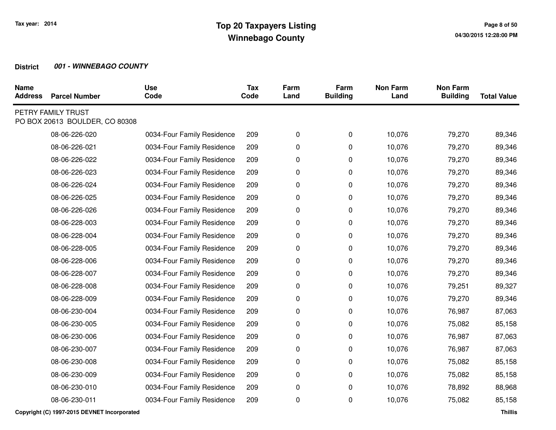| <b>Name</b><br><b>Address</b> | <b>Parcel Number</b>                                 | <b>Use</b><br>Code         | <b>Tax</b><br>Code | Farm<br>Land | Farm<br><b>Building</b> | <b>Non Farm</b><br>Land | <b>Non Farm</b><br><b>Building</b> | <b>Total Value</b> |
|-------------------------------|------------------------------------------------------|----------------------------|--------------------|--------------|-------------------------|-------------------------|------------------------------------|--------------------|
|                               | PETRY FAMILY TRUST<br>PO BOX 20613 BOULDER, CO 80308 |                            |                    |              |                         |                         |                                    |                    |
|                               | 08-06-226-020                                        | 0034-Four Family Residence | 209                | 0            | 0                       | 10,076                  | 79,270                             | 89,346             |
|                               | 08-06-226-021                                        | 0034-Four Family Residence | 209                | 0            | 0                       | 10,076                  | 79,270                             | 89,346             |
|                               | 08-06-226-022                                        | 0034-Four Family Residence | 209                | 0            | 0                       | 10,076                  | 79,270                             | 89,346             |
|                               | 08-06-226-023                                        | 0034-Four Family Residence | 209                | 0            | 0                       | 10,076                  | 79,270                             | 89,346             |
|                               | 08-06-226-024                                        | 0034-Four Family Residence | 209                | 0            | 0                       | 10,076                  | 79,270                             | 89,346             |
|                               | 08-06-226-025                                        | 0034-Four Family Residence | 209                | 0            | 0                       | 10,076                  | 79,270                             | 89,346             |
|                               | 08-06-226-026                                        | 0034-Four Family Residence | 209                | 0            | 0                       | 10,076                  | 79,270                             | 89,346             |
|                               | 08-06-228-003                                        | 0034-Four Family Residence | 209                | 0            | 0                       | 10,076                  | 79,270                             | 89,346             |
|                               | 08-06-228-004                                        | 0034-Four Family Residence | 209                | 0            | 0                       | 10,076                  | 79,270                             | 89,346             |
|                               | 08-06-228-005                                        | 0034-Four Family Residence | 209                | 0            | $\mathbf 0$             | 10,076                  | 79,270                             | 89,346             |
|                               | 08-06-228-006                                        | 0034-Four Family Residence | 209                | 0            | 0                       | 10,076                  | 79,270                             | 89,346             |
|                               | 08-06-228-007                                        | 0034-Four Family Residence | 209                | 0            | 0                       | 10,076                  | 79,270                             | 89,346             |
|                               | 08-06-228-008                                        | 0034-Four Family Residence | 209                | 0            | 0                       | 10,076                  | 79,251                             | 89,327             |
|                               | 08-06-228-009                                        | 0034-Four Family Residence | 209                | 0            | 0                       | 10,076                  | 79,270                             | 89,346             |
|                               | 08-06-230-004                                        | 0034-Four Family Residence | 209                | 0            | 0                       | 10,076                  | 76,987                             | 87,063             |
|                               | 08-06-230-005                                        | 0034-Four Family Residence | 209                | 0            | 0                       | 10,076                  | 75,082                             | 85,158             |
|                               | 08-06-230-006                                        | 0034-Four Family Residence | 209                | 0            | 0                       | 10,076                  | 76,987                             | 87,063             |
|                               | 08-06-230-007                                        | 0034-Four Family Residence | 209                | 0            | 0                       | 10,076                  | 76,987                             | 87,063             |
|                               | 08-06-230-008                                        | 0034-Four Family Residence | 209                | 0            | 0                       | 10,076                  | 75,082                             | 85,158             |
|                               | 08-06-230-009                                        | 0034-Four Family Residence | 209                | 0            | 0                       | 10,076                  | 75,082                             | 85,158             |
|                               | 08-06-230-010                                        | 0034-Four Family Residence | 209                | 0            | 0                       | 10,076                  | 78,892                             | 88,968             |
|                               | 08-06-230-011                                        | 0034-Four Family Residence | 209                | 0            | 0                       | 10,076                  | 75,082                             | 85,158             |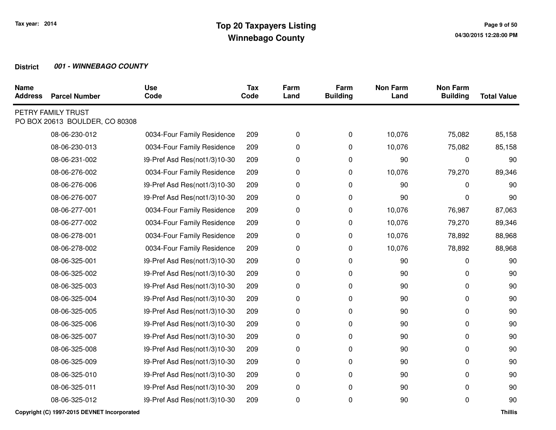| <b>Name</b><br><b>Address</b> | <b>Parcel Number</b>                                 | <b>Use</b><br>Code           | <b>Tax</b><br>Code | Farm<br>Land | Farm<br><b>Building</b> | <b>Non Farm</b><br>Land | <b>Non Farm</b><br><b>Building</b> | <b>Total Value</b> |
|-------------------------------|------------------------------------------------------|------------------------------|--------------------|--------------|-------------------------|-------------------------|------------------------------------|--------------------|
|                               | PETRY FAMILY TRUST<br>PO BOX 20613 BOULDER, CO 80308 |                              |                    |              |                         |                         |                                    |                    |
|                               | 08-06-230-012                                        | 0034-Four Family Residence   | 209                | 0            | 0                       | 10,076                  | 75,082                             | 85,158             |
|                               | 08-06-230-013                                        | 0034-Four Family Residence   | 209                | 0            | 0                       | 10,076                  | 75,082                             | 85,158             |
|                               | 08-06-231-002                                        | 39-Pref Asd Res(not1/3)10-30 | 209                | 0            | 0                       | 90                      | 0                                  | 90                 |
|                               | 08-06-276-002                                        | 0034-Four Family Residence   | 209                | 0            | 0                       | 10,076                  | 79,270                             | 89,346             |
|                               | 08-06-276-006                                        | 39-Pref Asd Res(not1/3)10-30 | 209                | 0            | 0                       | 90                      | 0                                  | 90                 |
|                               | 08-06-276-007                                        | 39-Pref Asd Res(not1/3)10-30 | 209                | 0            | 0                       | 90                      | $\Omega$                           | 90                 |
|                               | 08-06-277-001                                        | 0034-Four Family Residence   | 209                | 0            | 0                       | 10,076                  | 76,987                             | 87,063             |
|                               | 08-06-277-002                                        | 0034-Four Family Residence   | 209                | 0            | 0                       | 10,076                  | 79,270                             | 89,346             |
|                               | 08-06-278-001                                        | 0034-Four Family Residence   | 209                | 0            | 0                       | 10,076                  | 78,892                             | 88,968             |
|                               | 08-06-278-002                                        | 0034-Four Family Residence   | 209                | 0            | 0                       | 10,076                  | 78,892                             | 88,968             |
|                               | 08-06-325-001                                        | 39-Pref Asd Res(not1/3)10-30 | 209                | 0            | 0                       | 90                      | $\Omega$                           | 90                 |
|                               | 08-06-325-002                                        | 39-Pref Asd Res(not1/3)10-30 | 209                | 0            | $\pmb{0}$               | 90                      | 0                                  | 90                 |
|                               | 08-06-325-003                                        | 39-Pref Asd Res(not1/3)10-30 | 209                | 0            | 0                       | 90                      | 0                                  | 90                 |
|                               | 08-06-325-004                                        | 39-Pref Asd Res(not1/3)10-30 | 209                | 0            | 0                       | 90                      | 0                                  | 90                 |
|                               | 08-06-325-005                                        | 39-Pref Asd Res(not1/3)10-30 | 209                | 0            | 0                       | 90                      | 0                                  | 90                 |
|                               | 08-06-325-006                                        | 39-Pref Asd Res(not1/3)10-30 | 209                | 0            | 0                       | 90                      | 0                                  | 90                 |
|                               | 08-06-325-007                                        | 39-Pref Asd Res(not1/3)10-30 | 209                | 0            | 0                       | 90                      | 0                                  | 90                 |
|                               | 08-06-325-008                                        | 39-Pref Asd Res(not1/3)10-30 | 209                | 0            | 0                       | 90                      | 0                                  | 90                 |
|                               | 08-06-325-009                                        | 39-Pref Asd Res(not1/3)10-30 | 209                | 0            | 0                       | 90                      | 0                                  | 90                 |
|                               | 08-06-325-010                                        | 39-Pref Asd Res(not1/3)10-30 | 209                | 0            | 0                       | 90                      | $\Omega$                           | 90                 |
|                               | 08-06-325-011                                        | 39-Pref Asd Res(not1/3)10-30 | 209                | 0            | 0                       | 90                      | 0                                  | 90                 |
|                               | 08-06-325-012                                        | 39-Pref Asd Res(not1/3)10-30 | 209                | 0            | 0                       | 90                      | 0                                  | 90                 |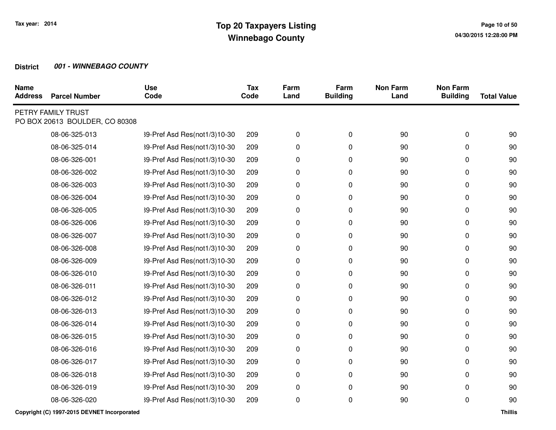| <b>Parcel Number</b> | <b>Use</b><br>Code                                   | <b>Tax</b><br>Code | Farm<br>Land | Farm<br><b>Building</b> | <b>Non Farm</b><br>Land | <b>Non Farm</b><br><b>Building</b> | <b>Total Value</b> |
|----------------------|------------------------------------------------------|--------------------|--------------|-------------------------|-------------------------|------------------------------------|--------------------|
|                      |                                                      |                    |              |                         |                         |                                    |                    |
| 08-06-325-013        | 39-Pref Asd Res(not1/3)10-30                         | 209                | 0            | 0                       | 90                      | 0                                  | 90                 |
| 08-06-325-014        | 39-Pref Asd Res(not1/3)10-30                         | 209                | 0            | 0                       | 90                      | 0                                  | 90                 |
| 08-06-326-001        | 39-Pref Asd Res(not1/3)10-30                         | 209                | 0            | 0                       | 90                      | 0                                  | 90                 |
| 08-06-326-002        | 39-Pref Asd Res(not1/3)10-30                         | 209                | 0            | 0                       | 90                      | 0                                  | 90                 |
| 08-06-326-003        | 39-Pref Asd Res(not1/3)10-30                         | 209                | 0            | 0                       | 90                      | 0                                  | 90                 |
| 08-06-326-004        | 39-Pref Asd Res(not1/3)10-30                         | 209                | 0            | 0                       | 90                      | 0                                  | 90                 |
| 08-06-326-005        | 39-Pref Asd Res(not1/3)10-30                         | 209                | 0            | 0                       | 90                      | 0                                  | 90                 |
| 08-06-326-006        | 39-Pref Asd Res(not1/3)10-30                         | 209                | 0            | 0                       | 90                      | 0                                  | 90                 |
| 08-06-326-007        | 39-Pref Asd Res(not1/3)10-30                         | 209                | 0            | 0                       | 90                      | 0                                  | 90                 |
| 08-06-326-008        | 39-Pref Asd Res(not1/3)10-30                         | 209                | 0            | 0                       | 90                      | 0                                  | 90                 |
| 08-06-326-009        | 39-Pref Asd Res(not1/3)10-30                         | 209                | 0            | 0                       | 90                      | 0                                  | 90                 |
| 08-06-326-010        | 39-Pref Asd Res(not1/3)10-30                         | 209                | 0            | 0                       | 90                      | 0                                  | 90                 |
| 08-06-326-011        | 39-Pref Asd Res(not1/3)10-30                         | 209                | $\pmb{0}$    | 0                       | 90                      | 0                                  | 90                 |
| 08-06-326-012        | 39-Pref Asd Res(not1/3)10-30                         | 209                | 0            | 0                       | 90                      | 0                                  | 90                 |
| 08-06-326-013        | 39-Pref Asd Res(not1/3)10-30                         | 209                | 0            | 0                       | 90                      | 0                                  | 90                 |
| 08-06-326-014        | 39-Pref Asd Res(not1/3)10-30                         | 209                | 0            | 0                       | 90                      | 0                                  | 90                 |
| 08-06-326-015        | 39-Pref Asd Res(not1/3)10-30                         | 209                | 0            | 0                       | 90                      | 0                                  | 90                 |
| 08-06-326-016        | 39-Pref Asd Res(not1/3)10-30                         | 209                | 0            | 0                       | 90                      | 0                                  | 90                 |
| 08-06-326-017        | 39-Pref Asd Res(not1/3)10-30                         | 209                | 0            | 0                       | 90                      | 0                                  | 90                 |
| 08-06-326-018        | 39-Pref Asd Res(not1/3)10-30                         | 209                | 0            | 0                       | 90                      | 0                                  | 90                 |
| 08-06-326-019        | 39-Pref Asd Res(not1/3)10-30                         | 209                | 0            | 0                       | 90                      | 0                                  | 90                 |
| 08-06-326-020        | 39-Pref Asd Res(not1/3)10-30                         | 209                | 0            | 0                       | 90                      | 0                                  | 90                 |
|                      | PETRY FAMILY TRUST<br>PO BOX 20613 BOULDER, CO 80308 |                    |              |                         |                         |                                    |                    |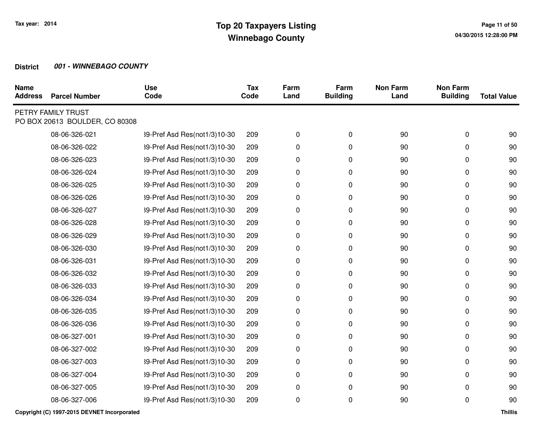| <b>Name</b><br><b>Address</b> | <b>Parcel Number</b>                                 | <b>Use</b><br>Code           | <b>Tax</b><br>Code | Farm<br>Land | Farm<br><b>Building</b> | <b>Non Farm</b><br>Land | <b>Non Farm</b><br><b>Building</b> | <b>Total Value</b> |
|-------------------------------|------------------------------------------------------|------------------------------|--------------------|--------------|-------------------------|-------------------------|------------------------------------|--------------------|
|                               | PETRY FAMILY TRUST<br>PO BOX 20613 BOULDER, CO 80308 |                              |                    |              |                         |                         |                                    |                    |
|                               | 08-06-326-021                                        | 39-Pref Asd Res(not1/3)10-30 | 209                | 0            | 0                       | 90                      | 0                                  | 90                 |
|                               | 08-06-326-022                                        | 39-Pref Asd Res(not1/3)10-30 | 209                | 0            | 0                       | 90                      | 0                                  | 90                 |
|                               | 08-06-326-023                                        | 39-Pref Asd Res(not1/3)10-30 | 209                | 0            | 0                       | 90                      | 0                                  | 90                 |
|                               | 08-06-326-024                                        | 39-Pref Asd Res(not1/3)10-30 | 209                | 0            | 0                       | 90                      | 0                                  | 90                 |
|                               | 08-06-326-025                                        | 39-Pref Asd Res(not1/3)10-30 | 209                | 0            | 0                       | 90                      | 0                                  | 90                 |
|                               | 08-06-326-026                                        | 39-Pref Asd Res(not1/3)10-30 | 209                | 0            | 0                       | 90                      | 0                                  | 90                 |
|                               | 08-06-326-027                                        | 39-Pref Asd Res(not1/3)10-30 | 209                | 0            | 0                       | 90                      | 0                                  | 90                 |
|                               | 08-06-326-028                                        | 39-Pref Asd Res(not1/3)10-30 | 209                | 0            | 0                       | 90                      | 0                                  | 90                 |
|                               | 08-06-326-029                                        | 39-Pref Asd Res(not1/3)10-30 | 209                | 0            | 0                       | 90                      | 0                                  | 90                 |
|                               | 08-06-326-030                                        | 39-Pref Asd Res(not1/3)10-30 | 209                | 0            | 0                       | 90                      | 0                                  | 90                 |
|                               | 08-06-326-031                                        | 39-Pref Asd Res(not1/3)10-30 | 209                | 0            | 0                       | 90                      | 0                                  | 90                 |
|                               | 08-06-326-032                                        | 39-Pref Asd Res(not1/3)10-30 | 209                | 0            | 0                       | 90                      | 0                                  | 90                 |
|                               | 08-06-326-033                                        | 39-Pref Asd Res(not1/3)10-30 | 209                | 0            | 0                       | 90                      | 0                                  | 90                 |
|                               | 08-06-326-034                                        | 39-Pref Asd Res(not1/3)10-30 | 209                | 0            | 0                       | 90                      | 0                                  | 90                 |
|                               | 08-06-326-035                                        | 39-Pref Asd Res(not1/3)10-30 | 209                | 0            | 0                       | 90                      | 0                                  | 90                 |
|                               | 08-06-326-036                                        | 39-Pref Asd Res(not1/3)10-30 | 209                | 0            | 0                       | 90                      | 0                                  | 90                 |
|                               | 08-06-327-001                                        | 39-Pref Asd Res(not1/3)10-30 | 209                | 0            | 0                       | 90                      | 0                                  | 90                 |
|                               | 08-06-327-002                                        | 39-Pref Asd Res(not1/3)10-30 | 209                | 0            | 0                       | 90                      | 0                                  | 90                 |
|                               | 08-06-327-003                                        | 39-Pref Asd Res(not1/3)10-30 | 209                | 0            | 0                       | 90                      | 0                                  | 90                 |
|                               | 08-06-327-004                                        | 39-Pref Asd Res(not1/3)10-30 | 209                | 0            | 0                       | 90                      | 0                                  | 90                 |
|                               | 08-06-327-005                                        | 39-Pref Asd Res(not1/3)10-30 | 209                | 0            | 0                       | 90                      | 0                                  | 90                 |
|                               | 08-06-327-006                                        | 39-Pref Asd Res(not1/3)10-30 | 209                | 0            | 0                       | 90                      | 0                                  | 90                 |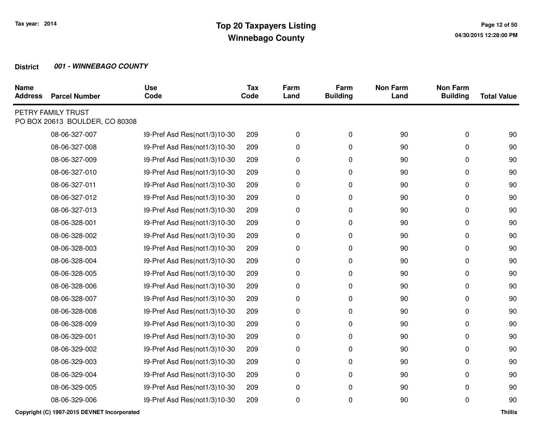| <b>Name</b><br><b>Address</b> | <b>Parcel Number</b>                                 | <b>Use</b><br>Code           | <b>Tax</b><br>Code | Farm<br>Land | Farm<br><b>Building</b> | <b>Non Farm</b><br>Land | <b>Non Farm</b><br><b>Building</b> | <b>Total Value</b> |
|-------------------------------|------------------------------------------------------|------------------------------|--------------------|--------------|-------------------------|-------------------------|------------------------------------|--------------------|
|                               | PETRY FAMILY TRUST<br>PO BOX 20613 BOULDER, CO 80308 |                              |                    |              |                         |                         |                                    |                    |
|                               | 08-06-327-007                                        | 39-Pref Asd Res(not1/3)10-30 | 209                | 0            | 0                       | 90                      | 0                                  | 90                 |
|                               | 08-06-327-008                                        | 39-Pref Asd Res(not1/3)10-30 | 209                | 0            | 0                       | 90                      | 0                                  | 90                 |
|                               | 08-06-327-009                                        | 39-Pref Asd Res(not1/3)10-30 | 209                | 0            | 0                       | 90                      | 0                                  | 90                 |
|                               | 08-06-327-010                                        | 39-Pref Asd Res(not1/3)10-30 | 209                | 0            | 0                       | 90                      | 0                                  | 90                 |
|                               | 08-06-327-011                                        | 39-Pref Asd Res(not1/3)10-30 | 209                | 0            | 0                       | 90                      | 0                                  | 90                 |
|                               | 08-06-327-012                                        | 39-Pref Asd Res(not1/3)10-30 | 209                | 0            | 0                       | 90                      | 0                                  | 90                 |
|                               | 08-06-327-013                                        | 39-Pref Asd Res(not1/3)10-30 | 209                | 0            | 0                       | 90                      | 0                                  | 90                 |
|                               | 08-06-328-001                                        | 39-Pref Asd Res(not1/3)10-30 | 209                | 0            | 0                       | 90                      | 0                                  | 90                 |
|                               | 08-06-328-002                                        | 39-Pref Asd Res(not1/3)10-30 | 209                | 0            | 0                       | 90                      | 0                                  | 90                 |
|                               | 08-06-328-003                                        | 39-Pref Asd Res(not1/3)10-30 | 209                | 0            | 0                       | 90                      | 0                                  | 90                 |
|                               | 08-06-328-004                                        | 39-Pref Asd Res(not1/3)10-30 | 209                | 0            | 0                       | 90                      | 0                                  | 90                 |
|                               | 08-06-328-005                                        | 39-Pref Asd Res(not1/3)10-30 | 209                | 0            | 0                       | 90                      | 0                                  | 90                 |
|                               | 08-06-328-006                                        | 39-Pref Asd Res(not1/3)10-30 | 209                | 0            | 0                       | 90                      | 0                                  | 90                 |
|                               | 08-06-328-007                                        | 39-Pref Asd Res(not1/3)10-30 | 209                | 0            | 0                       | 90                      | 0                                  | 90                 |
|                               | 08-06-328-008                                        | 39-Pref Asd Res(not1/3)10-30 | 209                | 0            | 0                       | 90                      | 0                                  | 90                 |
|                               | 08-06-328-009                                        | 39-Pref Asd Res(not1/3)10-30 | 209                | 0            | 0                       | 90                      | 0                                  | 90                 |
|                               | 08-06-329-001                                        | 39-Pref Asd Res(not1/3)10-30 | 209                | 0            | 0                       | 90                      | 0                                  | 90                 |
|                               | 08-06-329-002                                        | 39-Pref Asd Res(not1/3)10-30 | 209                | 0            | 0                       | 90                      | 0                                  | 90                 |
|                               | 08-06-329-003                                        | 39-Pref Asd Res(not1/3)10-30 | 209                | 0            | 0                       | 90                      | 0                                  | 90                 |
|                               | 08-06-329-004                                        | 39-Pref Asd Res(not1/3)10-30 | 209                | 0            | 0                       | 90                      | 0                                  | 90                 |
|                               | 08-06-329-005                                        | 39-Pref Asd Res(not1/3)10-30 | 209                | 0            | 0                       | 90                      | 0                                  | 90                 |
|                               | 08-06-329-006                                        | 39-Pref Asd Res(not1/3)10-30 | 209                | 0            | 0                       | 90                      | 0                                  | 90                 |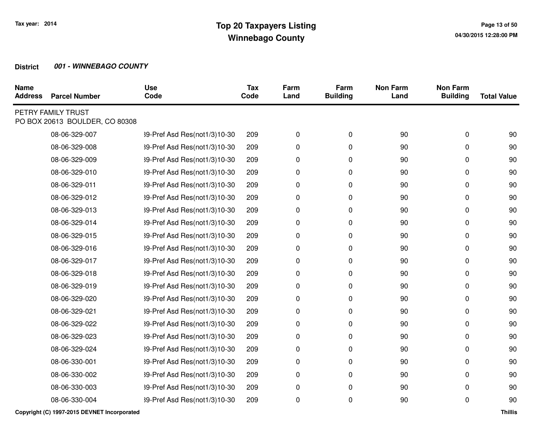| <b>Parcel Number</b> | <b>Use</b><br>Code                                   | <b>Tax</b><br>Code | Farm<br>Land | Farm<br><b>Building</b> | <b>Non Farm</b><br>Land | <b>Non Farm</b><br><b>Building</b> | <b>Total Value</b> |
|----------------------|------------------------------------------------------|--------------------|--------------|-------------------------|-------------------------|------------------------------------|--------------------|
|                      |                                                      |                    |              |                         |                         |                                    |                    |
| 08-06-329-007        | 39-Pref Asd Res(not1/3)10-30                         | 209                | 0            | 0                       | 90                      | 0                                  | 90                 |
| 08-06-329-008        | 39-Pref Asd Res(not1/3)10-30                         | 209                | 0            | 0                       | 90                      | 0                                  | 90                 |
| 08-06-329-009        | 39-Pref Asd Res(not1/3)10-30                         | 209                | 0            | 0                       | 90                      | 0                                  | 90                 |
| 08-06-329-010        | 39-Pref Asd Res(not1/3)10-30                         | 209                | 0            | 0                       | 90                      | 0                                  | 90                 |
| 08-06-329-011        | 39-Pref Asd Res(not1/3)10-30                         | 209                | 0            | 0                       | 90                      | 0                                  | 90                 |
| 08-06-329-012        | 39-Pref Asd Res(not1/3)10-30                         | 209                | 0            | 0                       | 90                      | 0                                  | 90                 |
| 08-06-329-013        | 39-Pref Asd Res(not1/3)10-30                         | 209                | 0            | 0                       | 90                      | 0                                  | 90                 |
| 08-06-329-014        | 39-Pref Asd Res(not1/3)10-30                         | 209                | 0            | 0                       | 90                      | 0                                  | 90                 |
| 08-06-329-015        | 39-Pref Asd Res(not1/3)10-30                         | 209                | 0            | 0                       | 90                      | 0                                  | 90                 |
| 08-06-329-016        | 39-Pref Asd Res(not1/3)10-30                         | 209                | 0            | 0                       | 90                      | 0                                  | 90                 |
| 08-06-329-017        | 39-Pref Asd Res(not1/3)10-30                         | 209                | 0            | 0                       | 90                      | 0                                  | 90                 |
| 08-06-329-018        | 39-Pref Asd Res(not1/3)10-30                         | 209                | 0            | 0                       | 90                      | 0                                  | 90                 |
| 08-06-329-019        | 39-Pref Asd Res(not1/3)10-30                         | 209                | $\pmb{0}$    | 0                       | 90                      | 0                                  | 90                 |
| 08-06-329-020        | 39-Pref Asd Res(not1/3)10-30                         | 209                | 0            | 0                       | 90                      | 0                                  | 90                 |
| 08-06-329-021        | 39-Pref Asd Res(not1/3)10-30                         | 209                | 0            | 0                       | 90                      | 0                                  | 90                 |
| 08-06-329-022        | 39-Pref Asd Res(not1/3)10-30                         | 209                | 0            | 0                       | 90                      | 0                                  | 90                 |
| 08-06-329-023        | 39-Pref Asd Res(not1/3)10-30                         | 209                | 0            | 0                       | 90                      | 0                                  | 90                 |
| 08-06-329-024        | 39-Pref Asd Res(not1/3)10-30                         | 209                | 0            | 0                       | 90                      | 0                                  | 90                 |
| 08-06-330-001        | 39-Pref Asd Res(not1/3)10-30                         | 209                | 0            | 0                       | 90                      | 0                                  | 90                 |
| 08-06-330-002        | 39-Pref Asd Res(not1/3)10-30                         | 209                | 0            | 0                       | 90                      | 0                                  | 90                 |
| 08-06-330-003        | 39-Pref Asd Res(not1/3)10-30                         | 209                | 0            | 0                       | 90                      | 0                                  | 90                 |
| 08-06-330-004        | 39-Pref Asd Res(not1/3)10-30                         | 209                | 0            | 0                       | 90                      | 0                                  | 90                 |
|                      | PETRY FAMILY TRUST<br>PO BOX 20613 BOULDER, CO 80308 |                    |              |                         |                         |                                    |                    |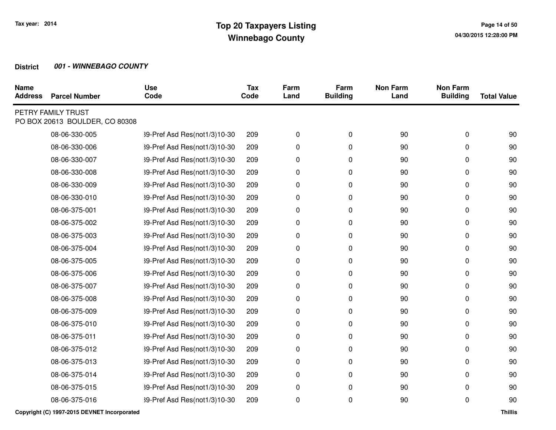| <b>Name</b><br><b>Address</b> | <b>Parcel Number</b>                                 | <b>Use</b><br>Code           | <b>Tax</b><br>Code | Farm<br>Land | Farm<br><b>Building</b> | <b>Non Farm</b><br>Land | <b>Non Farm</b><br><b>Building</b> | <b>Total Value</b> |
|-------------------------------|------------------------------------------------------|------------------------------|--------------------|--------------|-------------------------|-------------------------|------------------------------------|--------------------|
|                               | PETRY FAMILY TRUST<br>PO BOX 20613 BOULDER, CO 80308 |                              |                    |              |                         |                         |                                    |                    |
|                               | 08-06-330-005                                        | 39-Pref Asd Res(not1/3)10-30 | 209                | 0            | 0                       | 90                      | 0                                  | 90                 |
|                               | 08-06-330-006                                        | 39-Pref Asd Res(not1/3)10-30 | 209                | 0            | 0                       | 90                      | 0                                  | 90                 |
|                               | 08-06-330-007                                        | 39-Pref Asd Res(not1/3)10-30 | 209                | 0            | 0                       | 90                      | 0                                  | 90                 |
|                               | 08-06-330-008                                        | 39-Pref Asd Res(not1/3)10-30 | 209                | 0            | 0                       | 90                      | 0                                  | 90                 |
|                               | 08-06-330-009                                        | 39-Pref Asd Res(not1/3)10-30 | 209                | 0            | 0                       | 90                      | 0                                  | 90                 |
|                               | 08-06-330-010                                        | 39-Pref Asd Res(not1/3)10-30 | 209                | 0            | 0                       | 90                      | 0                                  | 90                 |
|                               | 08-06-375-001                                        | 39-Pref Asd Res(not1/3)10-30 | 209                | 0            | 0                       | 90                      | 0                                  | 90                 |
|                               | 08-06-375-002                                        | 39-Pref Asd Res(not1/3)10-30 | 209                | 0            | 0                       | 90                      | 0                                  | 90                 |
|                               | 08-06-375-003                                        | 39-Pref Asd Res(not1/3)10-30 | 209                | 0            | 0                       | 90                      | 0                                  | 90                 |
|                               | 08-06-375-004                                        | 39-Pref Asd Res(not1/3)10-30 | 209                | 0            | 0                       | 90                      | 0                                  | 90                 |
|                               | 08-06-375-005                                        | 39-Pref Asd Res(not1/3)10-30 | 209                | 0            | 0                       | 90                      | 0                                  | 90                 |
|                               | 08-06-375-006                                        | 39-Pref Asd Res(not1/3)10-30 | 209                | 0            | 0                       | 90                      | 0                                  | 90                 |
|                               | 08-06-375-007                                        | 39-Pref Asd Res(not1/3)10-30 | 209                | 0            | 0                       | 90                      | 0                                  | 90                 |
|                               | 08-06-375-008                                        | 39-Pref Asd Res(not1/3)10-30 | 209                | 0            | 0                       | 90                      | 0                                  | 90                 |
|                               | 08-06-375-009                                        | 39-Pref Asd Res(not1/3)10-30 | 209                | 0            | 0                       | 90                      | 0                                  | 90                 |
|                               | 08-06-375-010                                        | 39-Pref Asd Res(not1/3)10-30 | 209                | 0            | 0                       | 90                      | 0                                  | 90                 |
|                               | 08-06-375-011                                        | 39-Pref Asd Res(not1/3)10-30 | 209                | 0            | 0                       | 90                      | 0                                  | 90                 |
|                               | 08-06-375-012                                        | 39-Pref Asd Res(not1/3)10-30 | 209                | 0            | 0                       | 90                      | 0                                  | 90                 |
|                               | 08-06-375-013                                        | 39-Pref Asd Res(not1/3)10-30 | 209                | 0            | 0                       | 90                      | 0                                  | 90                 |
|                               | 08-06-375-014                                        | 39-Pref Asd Res(not1/3)10-30 | 209                | 0            | 0                       | 90                      | 0                                  | 90                 |
|                               | 08-06-375-015                                        | 39-Pref Asd Res(not1/3)10-30 | 209                | 0            | 0                       | 90                      | 0                                  | 90                 |
|                               | 08-06-375-016                                        | 39-Pref Asd Res(not1/3)10-30 | 209                | 0            | 0                       | 90                      | 0                                  | 90                 |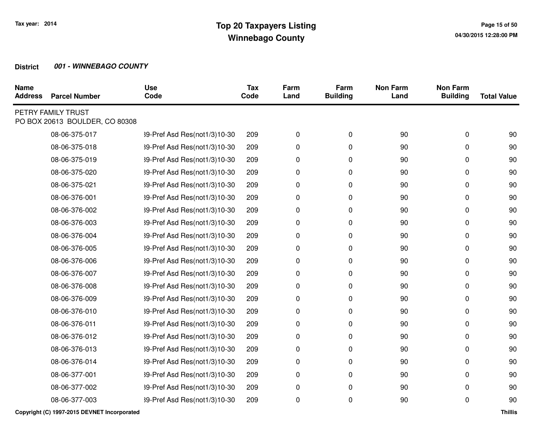| <b>Name</b><br><b>Address</b> | <b>Parcel Number</b>                                 | <b>Use</b><br>Code           | <b>Tax</b><br>Code | Farm<br>Land | Farm<br><b>Building</b> | <b>Non Farm</b><br>Land | <b>Non Farm</b><br><b>Building</b> | <b>Total Value</b> |
|-------------------------------|------------------------------------------------------|------------------------------|--------------------|--------------|-------------------------|-------------------------|------------------------------------|--------------------|
|                               | PETRY FAMILY TRUST<br>PO BOX 20613 BOULDER, CO 80308 |                              |                    |              |                         |                         |                                    |                    |
|                               | 08-06-375-017                                        | 39-Pref Asd Res(not1/3)10-30 | 209                | 0            | 0                       | 90                      | 0                                  | 90                 |
|                               | 08-06-375-018                                        | 39-Pref Asd Res(not1/3)10-30 | 209                | 0            | 0                       | 90                      | 0                                  | 90                 |
|                               | 08-06-375-019                                        | 39-Pref Asd Res(not1/3)10-30 | 209                | 0            | 0                       | 90                      | 0                                  | 90                 |
|                               | 08-06-375-020                                        | 39-Pref Asd Res(not1/3)10-30 | 209                | 0            | 0                       | 90                      | 0                                  | 90                 |
|                               | 08-06-375-021                                        | 39-Pref Asd Res(not1/3)10-30 | 209                | 0            | 0                       | 90                      | 0                                  | 90                 |
|                               | 08-06-376-001                                        | 39-Pref Asd Res(not1/3)10-30 | 209                | 0            | 0                       | 90                      | 0                                  | 90                 |
|                               | 08-06-376-002                                        | 39-Pref Asd Res(not1/3)10-30 | 209                | 0            | 0                       | 90                      | 0                                  | 90                 |
|                               | 08-06-376-003                                        | 39-Pref Asd Res(not1/3)10-30 | 209                | 0            | 0                       | 90                      | 0                                  | 90                 |
|                               | 08-06-376-004                                        | 39-Pref Asd Res(not1/3)10-30 | 209                | 0            | 0                       | 90                      | 0                                  | 90                 |
|                               | 08-06-376-005                                        | 39-Pref Asd Res(not1/3)10-30 | 209                | 0            | 0                       | 90                      | 0                                  | 90                 |
|                               | 08-06-376-006                                        | 39-Pref Asd Res(not1/3)10-30 | 209                | 0            | 0                       | 90                      | 0                                  | 90                 |
|                               | 08-06-376-007                                        | 39-Pref Asd Res(not1/3)10-30 | 209                | 0            | 0                       | 90                      | 0                                  | 90                 |
|                               | 08-06-376-008                                        | 39-Pref Asd Res(not1/3)10-30 | 209                | 0            | 0                       | 90                      | 0                                  | 90                 |
|                               | 08-06-376-009                                        | 39-Pref Asd Res(not1/3)10-30 | 209                | 0            | 0                       | 90                      | 0                                  | 90                 |
|                               | 08-06-376-010                                        | 39-Pref Asd Res(not1/3)10-30 | 209                | 0            | 0                       | 90                      | 0                                  | 90                 |
|                               | 08-06-376-011                                        | 39-Pref Asd Res(not1/3)10-30 | 209                | 0            | 0                       | 90                      | 0                                  | 90                 |
|                               | 08-06-376-012                                        | 39-Pref Asd Res(not1/3)10-30 | 209                | 0            | 0                       | 90                      | 0                                  | 90                 |
|                               | 08-06-376-013                                        | 39-Pref Asd Res(not1/3)10-30 | 209                | 0            | 0                       | 90                      | 0                                  | 90                 |
|                               | 08-06-376-014                                        | 39-Pref Asd Res(not1/3)10-30 | 209                | 0            | 0                       | 90                      | 0                                  | 90                 |
|                               | 08-06-377-001                                        | 39-Pref Asd Res(not1/3)10-30 | 209                | 0            | 0                       | 90                      | 0                                  | 90                 |
|                               | 08-06-377-002                                        | 39-Pref Asd Res(not1/3)10-30 | 209                | 0            | 0                       | 90                      | 0                                  | 90                 |
|                               | 08-06-377-003                                        | 39-Pref Asd Res(not1/3)10-30 | 209                | 0            | 0                       | 90                      | 0                                  | 90                 |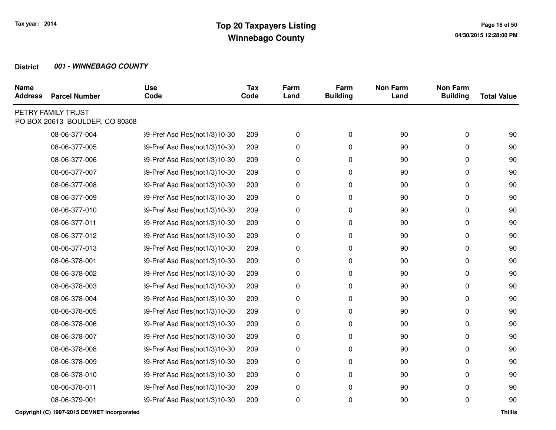| <b>Name</b><br><b>Address</b> | <b>Parcel Number</b>                                 | <b>Use</b><br>Code           | <b>Tax</b><br>Code | Farm<br>Land | Farm<br><b>Building</b> | <b>Non Farm</b><br>Land | <b>Non Farm</b><br><b>Building</b> | <b>Total Value</b> |
|-------------------------------|------------------------------------------------------|------------------------------|--------------------|--------------|-------------------------|-------------------------|------------------------------------|--------------------|
|                               | PETRY FAMILY TRUST<br>PO BOX 20613 BOULDER, CO 80308 |                              |                    |              |                         |                         |                                    |                    |
|                               | 08-06-377-004                                        | 39-Pref Asd Res(not1/3)10-30 | 209                | 0            | 0                       | 90                      | 0                                  | 90                 |
|                               | 08-06-377-005                                        | 39-Pref Asd Res(not1/3)10-30 | 209                | 0            | 0                       | 90                      | 0                                  | 90                 |
|                               | 08-06-377-006                                        | 39-Pref Asd Res(not1/3)10-30 | 209                | 0            | 0                       | 90                      | 0                                  | 90                 |
|                               | 08-06-377-007                                        | 39-Pref Asd Res(not1/3)10-30 | 209                | 0            | 0                       | 90                      | 0                                  | 90                 |
|                               | 08-06-377-008                                        | 39-Pref Asd Res(not1/3)10-30 | 209                | 0            | 0                       | 90                      | 0                                  | 90                 |
|                               | 08-06-377-009                                        | 39-Pref Asd Res(not1/3)10-30 | 209                | 0            | 0                       | 90                      | 0                                  | 90                 |
|                               | 08-06-377-010                                        | 39-Pref Asd Res(not1/3)10-30 | 209                | 0            | 0                       | 90                      | 0                                  | 90                 |
|                               | 08-06-377-011                                        | 39-Pref Asd Res(not1/3)10-30 | 209                | 0            | 0                       | 90                      | 0                                  | 90                 |
|                               | 08-06-377-012                                        | 39-Pref Asd Res(not1/3)10-30 | 209                | 0            | 0                       | 90                      | 0                                  | 90                 |
|                               | 08-06-377-013                                        | 39-Pref Asd Res(not1/3)10-30 | 209                | 0            | 0                       | 90                      | 0                                  | 90                 |
|                               | 08-06-378-001                                        | 39-Pref Asd Res(not1/3)10-30 | 209                | 0            | 0                       | 90                      | 0                                  | 90                 |
|                               | 08-06-378-002                                        | 39-Pref Asd Res(not1/3)10-30 | 209                | 0            | 0                       | 90                      | 0                                  | 90                 |
|                               | 08-06-378-003                                        | 39-Pref Asd Res(not1/3)10-30 | 209                | 0            | 0                       | 90                      | 0                                  | 90                 |
|                               | 08-06-378-004                                        | 39-Pref Asd Res(not1/3)10-30 | 209                | 0            | 0                       | 90                      | 0                                  | 90                 |
|                               | 08-06-378-005                                        | 39-Pref Asd Res(not1/3)10-30 | 209                | 0            | 0                       | 90                      | 0                                  | 90                 |
|                               | 08-06-378-006                                        | 39-Pref Asd Res(not1/3)10-30 | 209                | 0            | 0                       | 90                      | 0                                  | 90                 |
|                               | 08-06-378-007                                        | 39-Pref Asd Res(not1/3)10-30 | 209                | 0            | 0                       | 90                      | 0                                  | 90                 |
|                               | 08-06-378-008                                        | 39-Pref Asd Res(not1/3)10-30 | 209                | 0            | 0                       | 90                      | 0                                  | 90                 |
|                               | 08-06-378-009                                        | 39-Pref Asd Res(not1/3)10-30 | 209                | 0            | 0                       | 90                      | 0                                  | 90                 |
|                               | 08-06-378-010                                        | 39-Pref Asd Res(not1/3)10-30 | 209                | 0            | 0                       | 90                      | 0                                  | 90                 |
|                               | 08-06-378-011                                        | 39-Pref Asd Res(not1/3)10-30 | 209                | 0            | 0                       | 90                      | 0                                  | 90                 |
|                               | 08-06-379-001                                        | 39-Pref Asd Res(not1/3)10-30 | 209                | 0            | 0                       | 90                      | 0                                  | 90                 |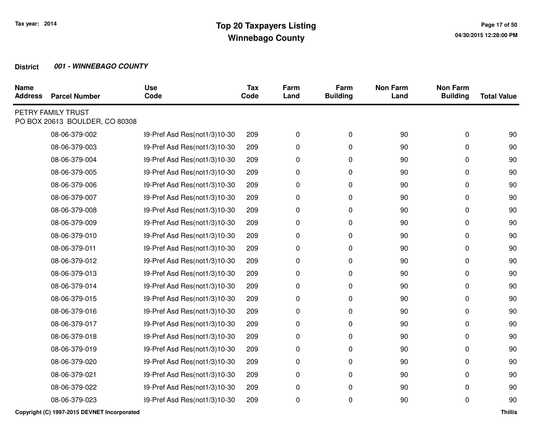| <b>Name</b><br><b>Address</b> | <b>Parcel Number</b>                                 | <b>Use</b><br>Code           | <b>Tax</b><br>Code | Farm<br>Land | Farm<br><b>Building</b> | <b>Non Farm</b><br>Land | <b>Non Farm</b><br><b>Building</b> | <b>Total Value</b> |
|-------------------------------|------------------------------------------------------|------------------------------|--------------------|--------------|-------------------------|-------------------------|------------------------------------|--------------------|
|                               | PETRY FAMILY TRUST<br>PO BOX 20613 BOULDER, CO 80308 |                              |                    |              |                         |                         |                                    |                    |
|                               | 08-06-379-002                                        | 39-Pref Asd Res(not1/3)10-30 | 209                | 0            | 0                       | 90                      | 0                                  | 90                 |
|                               | 08-06-379-003                                        | 39-Pref Asd Res(not1/3)10-30 | 209                | 0            | 0                       | 90                      | 0                                  | 90                 |
|                               | 08-06-379-004                                        | 39-Pref Asd Res(not1/3)10-30 | 209                | 0            | 0                       | 90                      | 0                                  | 90                 |
|                               | 08-06-379-005                                        | 39-Pref Asd Res(not1/3)10-30 | 209                | 0            | 0                       | 90                      | 0                                  | 90                 |
|                               | 08-06-379-006                                        | 39-Pref Asd Res(not1/3)10-30 | 209                | 0            | 0                       | 90                      | 0                                  | 90                 |
|                               | 08-06-379-007                                        | 39-Pref Asd Res(not1/3)10-30 | 209                | 0            | 0                       | 90                      | 0                                  | 90                 |
|                               | 08-06-379-008                                        | 39-Pref Asd Res(not1/3)10-30 | 209                | 0            | 0                       | 90                      | 0                                  | 90                 |
|                               | 08-06-379-009                                        | 39-Pref Asd Res(not1/3)10-30 | 209                | 0            | 0                       | 90                      | 0                                  | 90                 |
|                               | 08-06-379-010                                        | 39-Pref Asd Res(not1/3)10-30 | 209                | 0            | 0                       | 90                      | 0                                  | 90                 |
|                               | 08-06-379-011                                        | 39-Pref Asd Res(not1/3)10-30 | 209                | 0            | 0                       | 90                      | 0                                  | 90                 |
|                               | 08-06-379-012                                        | 39-Pref Asd Res(not1/3)10-30 | 209                | 0            | 0                       | 90                      | 0                                  | 90                 |
|                               | 08-06-379-013                                        | 39-Pref Asd Res(not1/3)10-30 | 209                | 0            | 0                       | 90                      | 0                                  | 90                 |
|                               | 08-06-379-014                                        | 39-Pref Asd Res(not1/3)10-30 | 209                | 0            | 0                       | 90                      | 0                                  | 90                 |
|                               | 08-06-379-015                                        | 39-Pref Asd Res(not1/3)10-30 | 209                | 0            | 0                       | 90                      | 0                                  | 90                 |
|                               | 08-06-379-016                                        | 39-Pref Asd Res(not1/3)10-30 | 209                | 0            | 0                       | 90                      | 0                                  | 90                 |
|                               | 08-06-379-017                                        | 39-Pref Asd Res(not1/3)10-30 | 209                | 0            | 0                       | 90                      | 0                                  | 90                 |
|                               | 08-06-379-018                                        | 39-Pref Asd Res(not1/3)10-30 | 209                | 0            | 0                       | 90                      | 0                                  | 90                 |
|                               | 08-06-379-019                                        | 39-Pref Asd Res(not1/3)10-30 | 209                | 0            | 0                       | 90                      | 0                                  | 90                 |
|                               | 08-06-379-020                                        | 39-Pref Asd Res(not1/3)10-30 | 209                | 0            | 0                       | 90                      | 0                                  | 90                 |
|                               | 08-06-379-021                                        | 39-Pref Asd Res(not1/3)10-30 | 209                | 0            | 0                       | 90                      | 0                                  | 90                 |
|                               | 08-06-379-022                                        | 39-Pref Asd Res(not1/3)10-30 | 209                | 0            | 0                       | 90                      | 0                                  | 90                 |
|                               | 08-06-379-023                                        | 39-Pref Asd Res(not1/3)10-30 | 209                | 0            | 0                       | 90                      | 0                                  | 90                 |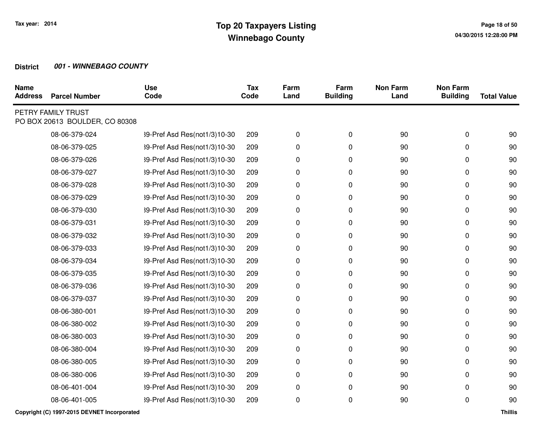| <b>Name</b><br><b>Address</b> | <b>Parcel Number</b>                                 | <b>Use</b><br>Code           | <b>Tax</b><br>Code | Farm<br>Land | Farm<br><b>Building</b> | <b>Non Farm</b><br>Land | <b>Non Farm</b><br><b>Building</b> | <b>Total Value</b> |
|-------------------------------|------------------------------------------------------|------------------------------|--------------------|--------------|-------------------------|-------------------------|------------------------------------|--------------------|
|                               | PETRY FAMILY TRUST<br>PO BOX 20613 BOULDER, CO 80308 |                              |                    |              |                         |                         |                                    |                    |
|                               | 08-06-379-024                                        | 39-Pref Asd Res(not1/3)10-30 | 209                | 0            | 0                       | 90                      | 0                                  | 90                 |
|                               | 08-06-379-025                                        | 39-Pref Asd Res(not1/3)10-30 | 209                | 0            | 0                       | 90                      | 0                                  | 90                 |
|                               | 08-06-379-026                                        | 39-Pref Asd Res(not1/3)10-30 | 209                | 0            | 0                       | 90                      | 0                                  | 90                 |
|                               | 08-06-379-027                                        | 39-Pref Asd Res(not1/3)10-30 | 209                | 0            | 0                       | 90                      | 0                                  | 90                 |
|                               | 08-06-379-028                                        | 39-Pref Asd Res(not1/3)10-30 | 209                | 0            | 0                       | 90                      | 0                                  | 90                 |
|                               | 08-06-379-029                                        | 39-Pref Asd Res(not1/3)10-30 | 209                | 0            | 0                       | 90                      | 0                                  | 90                 |
|                               | 08-06-379-030                                        | 39-Pref Asd Res(not1/3)10-30 | 209                | 0            | 0                       | 90                      | 0                                  | 90                 |
|                               | 08-06-379-031                                        | 39-Pref Asd Res(not1/3)10-30 | 209                | 0            | 0                       | 90                      | 0                                  | 90                 |
|                               | 08-06-379-032                                        | 39-Pref Asd Res(not1/3)10-30 | 209                | 0            | 0                       | 90                      | 0                                  | 90                 |
|                               | 08-06-379-033                                        | 39-Pref Asd Res(not1/3)10-30 | 209                | 0            | 0                       | 90                      | 0                                  | 90                 |
|                               | 08-06-379-034                                        | 39-Pref Asd Res(not1/3)10-30 | 209                | 0            | 0                       | 90                      | 0                                  | 90                 |
|                               | 08-06-379-035                                        | 39-Pref Asd Res(not1/3)10-30 | 209                | 0            | 0                       | 90                      | 0                                  | 90                 |
|                               | 08-06-379-036                                        | 39-Pref Asd Res(not1/3)10-30 | 209                | 0            | 0                       | 90                      | 0                                  | 90                 |
|                               | 08-06-379-037                                        | 39-Pref Asd Res(not1/3)10-30 | 209                | 0            | 0                       | 90                      | 0                                  | 90                 |
|                               | 08-06-380-001                                        | 39-Pref Asd Res(not1/3)10-30 | 209                | 0            | 0                       | 90                      | 0                                  | 90                 |
|                               | 08-06-380-002                                        | 39-Pref Asd Res(not1/3)10-30 | 209                | 0            | 0                       | 90                      | 0                                  | 90                 |
|                               | 08-06-380-003                                        | 39-Pref Asd Res(not1/3)10-30 | 209                | 0            | 0                       | 90                      | 0                                  | 90                 |
|                               | 08-06-380-004                                        | 39-Pref Asd Res(not1/3)10-30 | 209                | 0            | 0                       | 90                      | 0                                  | 90                 |
|                               | 08-06-380-005                                        | 39-Pref Asd Res(not1/3)10-30 | 209                | 0            | 0                       | 90                      | 0                                  | 90                 |
|                               | 08-06-380-006                                        | 39-Pref Asd Res(not1/3)10-30 | 209                | 0            | 0                       | 90                      | 0                                  | 90                 |
|                               | 08-06-401-004                                        | 39-Pref Asd Res(not1/3)10-30 | 209                | 0            | 0                       | 90                      | 0                                  | 90                 |
|                               | 08-06-401-005                                        | 39-Pref Asd Res(not1/3)10-30 | 209                | 0            | 0                       | 90                      | 0                                  | 90                 |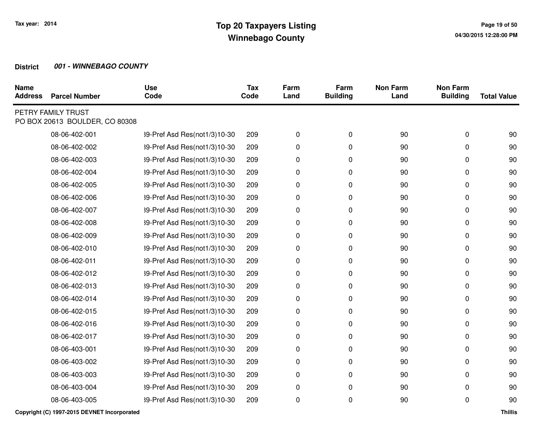| <b>Name</b><br><b>Address</b> | <b>Parcel Number</b>                                 | <b>Use</b><br>Code           | <b>Tax</b><br>Code | Farm<br>Land | Farm<br><b>Building</b> | <b>Non Farm</b><br>Land | <b>Non Farm</b><br><b>Building</b> | <b>Total Value</b> |
|-------------------------------|------------------------------------------------------|------------------------------|--------------------|--------------|-------------------------|-------------------------|------------------------------------|--------------------|
|                               | PETRY FAMILY TRUST<br>PO BOX 20613 BOULDER, CO 80308 |                              |                    |              |                         |                         |                                    |                    |
|                               | 08-06-402-001                                        | 39-Pref Asd Res(not1/3)10-30 | 209                | 0            | 0                       | 90                      | 0                                  | 90                 |
|                               | 08-06-402-002                                        | 39-Pref Asd Res(not1/3)10-30 | 209                | 0            | 0                       | 90                      | 0                                  | 90                 |
|                               | 08-06-402-003                                        | 39-Pref Asd Res(not1/3)10-30 | 209                | 0            | 0                       | 90                      | 0                                  | 90                 |
|                               | 08-06-402-004                                        | 39-Pref Asd Res(not1/3)10-30 | 209                | 0            | 0                       | 90                      | 0                                  | 90                 |
|                               | 08-06-402-005                                        | 39-Pref Asd Res(not1/3)10-30 | 209                | 0            | 0                       | 90                      | 0                                  | 90                 |
|                               | 08-06-402-006                                        | 39-Pref Asd Res(not1/3)10-30 | 209                | 0            | 0                       | 90                      | 0                                  | 90                 |
|                               | 08-06-402-007                                        | 39-Pref Asd Res(not1/3)10-30 | 209                | 0            | 0                       | 90                      | 0                                  | 90                 |
|                               | 08-06-402-008                                        | 39-Pref Asd Res(not1/3)10-30 | 209                | 0            | 0                       | 90                      | 0                                  | 90                 |
|                               | 08-06-402-009                                        | 39-Pref Asd Res(not1/3)10-30 | 209                | 0            | 0                       | 90                      | 0                                  | 90                 |
|                               | 08-06-402-010                                        | 39-Pref Asd Res(not1/3)10-30 | 209                | 0            | 0                       | 90                      | 0                                  | 90                 |
|                               | 08-06-402-011                                        | 39-Pref Asd Res(not1/3)10-30 | 209                | 0            | 0                       | 90                      | 0                                  | 90                 |
|                               | 08-06-402-012                                        | 39-Pref Asd Res(not1/3)10-30 | 209                | 0            | 0                       | 90                      | 0                                  | 90                 |
|                               | 08-06-402-013                                        | 39-Pref Asd Res(not1/3)10-30 | 209                | 0            | 0                       | 90                      | 0                                  | 90                 |
|                               | 08-06-402-014                                        | 39-Pref Asd Res(not1/3)10-30 | 209                | 0            | 0                       | 90                      | 0                                  | 90                 |
|                               | 08-06-402-015                                        | 39-Pref Asd Res(not1/3)10-30 | 209                | 0            | 0                       | 90                      | 0                                  | 90                 |
|                               | 08-06-402-016                                        | 39-Pref Asd Res(not1/3)10-30 | 209                | 0            | 0                       | 90                      | 0                                  | 90                 |
|                               | 08-06-402-017                                        | 39-Pref Asd Res(not1/3)10-30 | 209                | 0            | 0                       | 90                      | 0                                  | 90                 |
|                               | 08-06-403-001                                        | 39-Pref Asd Res(not1/3)10-30 | 209                | 0            | 0                       | 90                      | 0                                  | 90                 |
|                               | 08-06-403-002                                        | 39-Pref Asd Res(not1/3)10-30 | 209                | 0            | 0                       | 90                      | 0                                  | 90                 |
|                               | 08-06-403-003                                        | 39-Pref Asd Res(not1/3)10-30 | 209                | 0            | 0                       | 90                      | 0                                  | 90                 |
|                               | 08-06-403-004                                        | 39-Pref Asd Res(not1/3)10-30 | 209                | 0            | 0                       | 90                      | 0                                  | 90                 |
|                               | 08-06-403-005                                        | 39-Pref Asd Res(not1/3)10-30 | 209                | 0            | 0                       | 90                      | 0                                  | 90                 |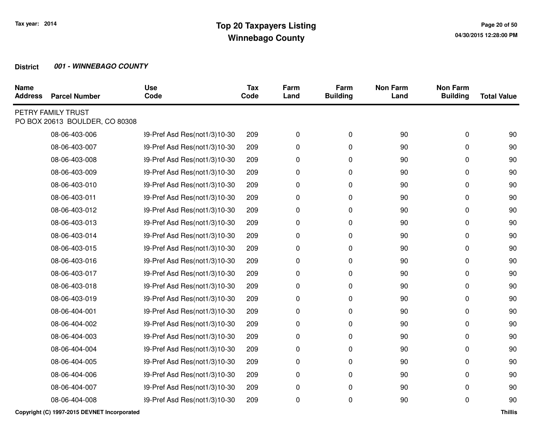| <b>Parcel Number</b> | <b>Use</b><br>Code                                   | <b>Tax</b><br>Code | Farm<br>Land | Farm<br><b>Building</b> | <b>Non Farm</b><br>Land | <b>Non Farm</b><br><b>Building</b> | <b>Total Value</b> |
|----------------------|------------------------------------------------------|--------------------|--------------|-------------------------|-------------------------|------------------------------------|--------------------|
|                      |                                                      |                    |              |                         |                         |                                    |                    |
| 08-06-403-006        | 39-Pref Asd Res(not1/3)10-30                         | 209                | 0            | 0                       | 90                      | 0                                  | 90                 |
| 08-06-403-007        | 39-Pref Asd Res(not1/3)10-30                         | 209                | 0            | 0                       | 90                      | 0                                  | 90                 |
| 08-06-403-008        | 39-Pref Asd Res(not1/3)10-30                         | 209                | 0            | 0                       | 90                      | 0                                  | 90                 |
| 08-06-403-009        | 39-Pref Asd Res(not1/3)10-30                         | 209                | 0            | 0                       | 90                      | 0                                  | 90                 |
| 08-06-403-010        | 39-Pref Asd Res(not1/3)10-30                         | 209                | 0            | 0                       | 90                      | 0                                  | 90                 |
| 08-06-403-011        | 39-Pref Asd Res(not1/3)10-30                         | 209                | 0            | 0                       | 90                      | 0                                  | 90                 |
| 08-06-403-012        | 39-Pref Asd Res(not1/3)10-30                         | 209                | 0            | 0                       | 90                      | 0                                  | 90                 |
| 08-06-403-013        | 39-Pref Asd Res(not1/3)10-30                         | 209                | 0            | 0                       | 90                      | 0                                  | 90                 |
| 08-06-403-014        | 39-Pref Asd Res(not1/3)10-30                         | 209                | 0            | 0                       | 90                      | 0                                  | 90                 |
| 08-06-403-015        | 39-Pref Asd Res(not1/3)10-30                         | 209                | 0            | 0                       | 90                      | 0                                  | 90                 |
| 08-06-403-016        | 39-Pref Asd Res(not1/3)10-30                         | 209                | 0            | 0                       | 90                      | 0                                  | 90                 |
| 08-06-403-017        | 39-Pref Asd Res(not1/3)10-30                         | 209                | 0            | 0                       | 90                      | 0                                  | 90                 |
| 08-06-403-018        | 39-Pref Asd Res(not1/3)10-30                         | 209                | $\pmb{0}$    | 0                       | 90                      | 0                                  | 90                 |
| 08-06-403-019        | 39-Pref Asd Res(not1/3)10-30                         | 209                | 0            | 0                       | 90                      | 0                                  | 90                 |
| 08-06-404-001        | 39-Pref Asd Res(not1/3)10-30                         | 209                | 0            | 0                       | 90                      | 0                                  | 90                 |
| 08-06-404-002        | 39-Pref Asd Res(not1/3)10-30                         | 209                | 0            | 0                       | 90                      | 0                                  | 90                 |
| 08-06-404-003        | 39-Pref Asd Res(not1/3)10-30                         | 209                | 0            | 0                       | 90                      | 0                                  | 90                 |
| 08-06-404-004        | 39-Pref Asd Res(not1/3)10-30                         | 209                | 0            | 0                       | 90                      | 0                                  | 90                 |
| 08-06-404-005        | 39-Pref Asd Res(not1/3)10-30                         | 209                | 0            | 0                       | 90                      | 0                                  | 90                 |
| 08-06-404-006        | 39-Pref Asd Res(not1/3)10-30                         | 209                | 0            | 0                       | 90                      | 0                                  | 90                 |
| 08-06-404-007        | 39-Pref Asd Res(not1/3)10-30                         | 209                | 0            | 0                       | 90                      | 0                                  | 90                 |
| 08-06-404-008        | 39-Pref Asd Res(not1/3)10-30                         | 209                | 0            | 0                       | 90                      | 0                                  | 90                 |
|                      | PETRY FAMILY TRUST<br>PO BOX 20613 BOULDER, CO 80308 |                    |              |                         |                         |                                    |                    |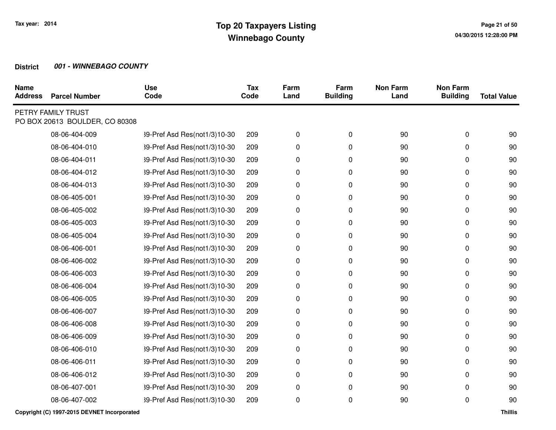| <b>Parcel Number</b> | <b>Use</b><br>Code                                   | <b>Tax</b><br>Code | Farm<br>Land | Farm<br><b>Building</b> | <b>Non Farm</b><br>Land | <b>Non Farm</b><br><b>Building</b> | <b>Total Value</b> |
|----------------------|------------------------------------------------------|--------------------|--------------|-------------------------|-------------------------|------------------------------------|--------------------|
|                      |                                                      |                    |              |                         |                         |                                    |                    |
| 08-06-404-009        | 39-Pref Asd Res(not1/3)10-30                         | 209                | 0            | 0                       | 90                      | 0                                  | 90                 |
| 08-06-404-010        | 39-Pref Asd Res(not1/3)10-30                         | 209                | 0            | 0                       | 90                      | 0                                  | 90                 |
| 08-06-404-011        | 39-Pref Asd Res(not1/3)10-30                         | 209                | 0            | 0                       | 90                      | 0                                  | 90                 |
| 08-06-404-012        | 39-Pref Asd Res(not1/3)10-30                         | 209                | 0            | 0                       | 90                      | 0                                  | 90                 |
| 08-06-404-013        | 39-Pref Asd Res(not1/3)10-30                         | 209                | 0            | 0                       | 90                      | 0                                  | 90                 |
| 08-06-405-001        | 39-Pref Asd Res(not1/3)10-30                         | 209                | 0            | 0                       | 90                      | 0                                  | 90                 |
| 08-06-405-002        | 39-Pref Asd Res(not1/3)10-30                         | 209                | 0            | 0                       | 90                      | 0                                  | 90                 |
| 08-06-405-003        | 39-Pref Asd Res(not1/3)10-30                         | 209                | 0            | 0                       | 90                      | 0                                  | 90                 |
| 08-06-405-004        | 39-Pref Asd Res(not1/3)10-30                         | 209                | 0            | 0                       | 90                      | 0                                  | 90                 |
| 08-06-406-001        | 39-Pref Asd Res(not1/3)10-30                         | 209                | 0            | 0                       | 90                      | 0                                  | 90                 |
| 08-06-406-002        | 39-Pref Asd Res(not1/3)10-30                         | 209                | 0            | 0                       | 90                      | 0                                  | 90                 |
| 08-06-406-003        | 39-Pref Asd Res(not1/3)10-30                         | 209                | 0            | 0                       | 90                      | 0                                  | 90                 |
| 08-06-406-004        | 39-Pref Asd Res(not1/3)10-30                         | 209                | $\pmb{0}$    | 0                       | 90                      | 0                                  | 90                 |
| 08-06-406-005        | 39-Pref Asd Res(not1/3)10-30                         | 209                | 0            | 0                       | 90                      | 0                                  | 90                 |
| 08-06-406-007        | 39-Pref Asd Res(not1/3)10-30                         | 209                | 0            | 0                       | 90                      | 0                                  | 90                 |
| 08-06-406-008        | 39-Pref Asd Res(not1/3)10-30                         | 209                | 0            | 0                       | 90                      | 0                                  | 90                 |
| 08-06-406-009        | 39-Pref Asd Res(not1/3)10-30                         | 209                | 0            | 0                       | 90                      | 0                                  | 90                 |
| 08-06-406-010        | 39-Pref Asd Res(not1/3)10-30                         | 209                | 0            | 0                       | 90                      | 0                                  | 90                 |
| 08-06-406-011        | 39-Pref Asd Res(not1/3)10-30                         | 209                | 0            | 0                       | 90                      | 0                                  | 90                 |
| 08-06-406-012        | 39-Pref Asd Res(not1/3)10-30                         | 209                | 0            | 0                       | 90                      | 0                                  | 90                 |
| 08-06-407-001        | 39-Pref Asd Res(not1/3)10-30                         | 209                | 0            | 0                       | 90                      | 0                                  | 90                 |
| 08-06-407-002        | 39-Pref Asd Res(not1/3)10-30                         | 209                | 0            | 0                       | 90                      | 0                                  | 90                 |
|                      | PETRY FAMILY TRUST<br>PO BOX 20613 BOULDER, CO 80308 |                    |              |                         |                         |                                    |                    |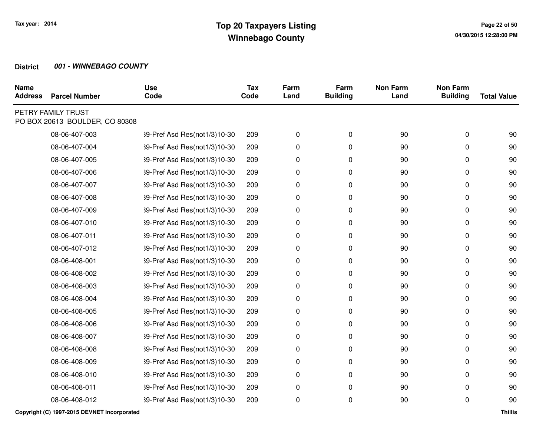| <b>Parcel Number</b> | <b>Use</b><br>Code                                   | <b>Tax</b><br>Code | Farm<br>Land | Farm<br><b>Building</b> | <b>Non Farm</b><br>Land | <b>Non Farm</b><br><b>Building</b> | <b>Total Value</b> |
|----------------------|------------------------------------------------------|--------------------|--------------|-------------------------|-------------------------|------------------------------------|--------------------|
|                      |                                                      |                    |              |                         |                         |                                    |                    |
| 08-06-407-003        | 39-Pref Asd Res(not1/3)10-30                         | 209                | 0            | 0                       | 90                      | 0                                  | 90                 |
| 08-06-407-004        | 39-Pref Asd Res(not1/3)10-30                         | 209                | 0            | 0                       | 90                      | 0                                  | 90                 |
| 08-06-407-005        | 39-Pref Asd Res(not1/3)10-30                         | 209                | 0            | 0                       | 90                      | 0                                  | 90                 |
| 08-06-407-006        | 39-Pref Asd Res(not1/3)10-30                         | 209                | 0            | 0                       | 90                      | 0                                  | 90                 |
| 08-06-407-007        | 39-Pref Asd Res(not1/3)10-30                         | 209                | 0            | 0                       | 90                      | 0                                  | 90                 |
| 08-06-407-008        | 39-Pref Asd Res(not1/3)10-30                         | 209                | 0            | 0                       | 90                      | 0                                  | 90                 |
| 08-06-407-009        | 39-Pref Asd Res(not1/3)10-30                         | 209                | 0            | 0                       | 90                      | 0                                  | 90                 |
| 08-06-407-010        | 39-Pref Asd Res(not1/3)10-30                         | 209                | 0            | 0                       | 90                      | 0                                  | 90                 |
| 08-06-407-011        | 39-Pref Asd Res(not1/3)10-30                         | 209                | 0            | 0                       | 90                      | 0                                  | 90                 |
| 08-06-407-012        | 39-Pref Asd Res(not1/3)10-30                         | 209                | 0            | 0                       | 90                      | 0                                  | 90                 |
| 08-06-408-001        | 39-Pref Asd Res(not1/3)10-30                         | 209                | 0            | 0                       | 90                      | 0                                  | 90                 |
| 08-06-408-002        | 39-Pref Asd Res(not1/3)10-30                         | 209                | 0            | 0                       | 90                      | 0                                  | 90                 |
| 08-06-408-003        | 39-Pref Asd Res(not1/3)10-30                         | 209                | 0            | 0                       | 90                      | 0                                  | 90                 |
| 08-06-408-004        | 39-Pref Asd Res(not1/3)10-30                         | 209                | 0            | 0                       | 90                      | 0                                  | 90                 |
| 08-06-408-005        | 39-Pref Asd Res(not1/3)10-30                         | 209                | 0            | 0                       | 90                      | 0                                  | 90                 |
| 08-06-408-006        | 39-Pref Asd Res(not1/3)10-30                         | 209                | 0            | 0                       | 90                      | 0                                  | 90                 |
| 08-06-408-007        | 39-Pref Asd Res(not1/3)10-30                         | 209                | 0            | 0                       | 90                      | 0                                  | 90                 |
| 08-06-408-008        | 39-Pref Asd Res(not1/3)10-30                         | 209                | 0            | 0                       | 90                      | 0                                  | 90                 |
| 08-06-408-009        | 39-Pref Asd Res(not1/3)10-30                         | 209                | 0            | 0                       | 90                      | 0                                  | 90                 |
| 08-06-408-010        | 39-Pref Asd Res(not1/3)10-30                         | 209                | 0            | 0                       | 90                      | 0                                  | 90                 |
| 08-06-408-011        | 39-Pref Asd Res(not1/3)10-30                         | 209                | 0            | 0                       | 90                      | 0                                  | 90                 |
| 08-06-408-012        | 39-Pref Asd Res(not1/3)10-30                         | 209                | 0            | 0                       | 90                      | 0                                  | 90                 |
|                      | PETRY FAMILY TRUST<br>PO BOX 20613 BOULDER, CO 80308 |                    |              |                         |                         |                                    |                    |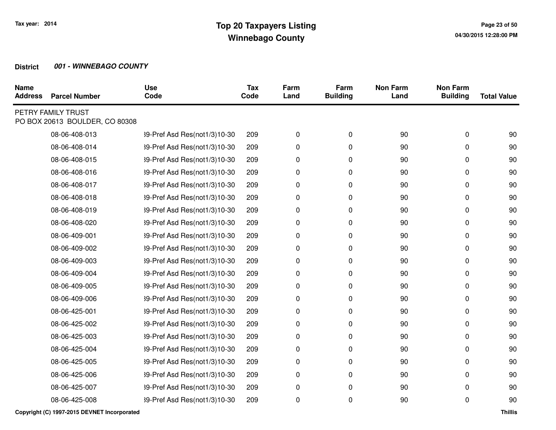| <b>Parcel Number</b> | <b>Use</b><br>Code                                   | <b>Tax</b><br>Code | Farm<br>Land | Farm<br><b>Building</b> | <b>Non Farm</b><br>Land | <b>Non Farm</b><br><b>Building</b> | <b>Total Value</b> |
|----------------------|------------------------------------------------------|--------------------|--------------|-------------------------|-------------------------|------------------------------------|--------------------|
|                      |                                                      |                    |              |                         |                         |                                    |                    |
| 08-06-408-013        | 39-Pref Asd Res(not1/3)10-30                         | 209                | 0            | 0                       | 90                      | 0                                  | 90                 |
| 08-06-408-014        | 39-Pref Asd Res(not1/3)10-30                         | 209                | 0            | 0                       | 90                      | 0                                  | 90                 |
| 08-06-408-015        | 39-Pref Asd Res(not1/3)10-30                         | 209                | 0            | 0                       | 90                      | 0                                  | 90                 |
| 08-06-408-016        | 39-Pref Asd Res(not1/3)10-30                         | 209                | 0            | 0                       | 90                      | 0                                  | 90                 |
| 08-06-408-017        | 39-Pref Asd Res(not1/3)10-30                         | 209                | 0            | 0                       | 90                      | 0                                  | 90                 |
| 08-06-408-018        | 39-Pref Asd Res(not1/3)10-30                         | 209                | 0            | 0                       | 90                      | 0                                  | 90                 |
| 08-06-408-019        | 39-Pref Asd Res(not1/3)10-30                         | 209                | 0            | 0                       | 90                      | 0                                  | 90                 |
| 08-06-408-020        | 39-Pref Asd Res(not1/3)10-30                         | 209                | 0            | 0                       | 90                      | 0                                  | 90                 |
| 08-06-409-001        | 39-Pref Asd Res(not1/3)10-30                         | 209                | 0            | 0                       | 90                      | 0                                  | 90                 |
| 08-06-409-002        | 39-Pref Asd Res(not1/3)10-30                         | 209                | 0            | 0                       | 90                      | 0                                  | 90                 |
| 08-06-409-003        | 39-Pref Asd Res(not1/3)10-30                         | 209                | 0            | 0                       | 90                      | 0                                  | 90                 |
| 08-06-409-004        | 39-Pref Asd Res(not1/3)10-30                         | 209                | 0            | 0                       | 90                      | 0                                  | 90                 |
| 08-06-409-005        | 39-Pref Asd Res(not1/3)10-30                         | 209                | $\pmb{0}$    | 0                       | 90                      | 0                                  | 90                 |
| 08-06-409-006        | 39-Pref Asd Res(not1/3)10-30                         | 209                | 0            | 0                       | 90                      | 0                                  | 90                 |
| 08-06-425-001        | 39-Pref Asd Res(not1/3)10-30                         | 209                | 0            | 0                       | 90                      | 0                                  | 90                 |
| 08-06-425-002        | 39-Pref Asd Res(not1/3)10-30                         | 209                | 0            | 0                       | 90                      | 0                                  | 90                 |
| 08-06-425-003        | 39-Pref Asd Res(not1/3)10-30                         | 209                | 0            | 0                       | 90                      | 0                                  | 90                 |
| 08-06-425-004        | 39-Pref Asd Res(not1/3)10-30                         | 209                | 0            | 0                       | 90                      | 0                                  | 90                 |
| 08-06-425-005        | 39-Pref Asd Res(not1/3)10-30                         | 209                | 0            | 0                       | 90                      | 0                                  | 90                 |
| 08-06-425-006        | 39-Pref Asd Res(not1/3)10-30                         | 209                | 0            | 0                       | 90                      | 0                                  | 90                 |
| 08-06-425-007        | 39-Pref Asd Res(not1/3)10-30                         | 209                | 0            | 0                       | 90                      | 0                                  | 90                 |
| 08-06-425-008        | 39-Pref Asd Res(not1/3)10-30                         | 209                | 0            | 0                       | 90                      | 0                                  | 90                 |
|                      | PETRY FAMILY TRUST<br>PO BOX 20613 BOULDER, CO 80308 |                    |              |                         |                         |                                    |                    |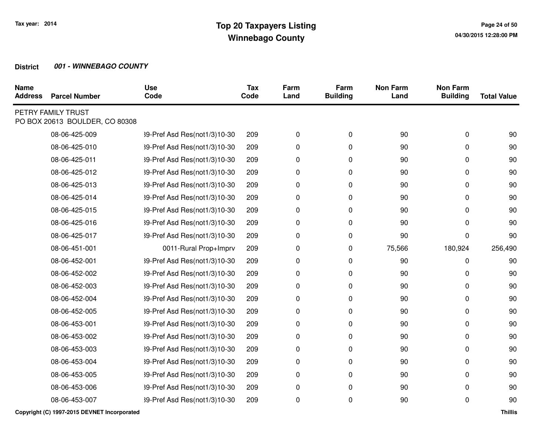| <b>Name</b><br><b>Address</b> | <b>Parcel Number</b>                                 | <b>Use</b><br>Code           | <b>Tax</b><br>Code | Farm<br>Land | Farm<br><b>Building</b> | <b>Non Farm</b><br>Land | <b>Non Farm</b><br><b>Building</b> | <b>Total Value</b> |
|-------------------------------|------------------------------------------------------|------------------------------|--------------------|--------------|-------------------------|-------------------------|------------------------------------|--------------------|
|                               | PETRY FAMILY TRUST<br>PO BOX 20613 BOULDER, CO 80308 |                              |                    |              |                         |                         |                                    |                    |
|                               | 08-06-425-009                                        | 39-Pref Asd Res(not1/3)10-30 | 209                | 0            | 0                       | 90                      | 0                                  | 90                 |
|                               | 08-06-425-010                                        | 39-Pref Asd Res(not1/3)10-30 | 209                | 0            | 0                       | 90                      | 0                                  | 90                 |
|                               | 08-06-425-011                                        | 39-Pref Asd Res(not1/3)10-30 | 209                | 0            | 0                       | 90                      | 0                                  | 90                 |
|                               | 08-06-425-012                                        | 39-Pref Asd Res(not1/3)10-30 | 209                | 0            | 0                       | 90                      | 0                                  | 90                 |
|                               | 08-06-425-013                                        | 39-Pref Asd Res(not1/3)10-30 | 209                | 0            | 0                       | 90                      | 0                                  | 90                 |
|                               | 08-06-425-014                                        | 39-Pref Asd Res(not1/3)10-30 | 209                | 0            | 0                       | 90                      | 0                                  | 90                 |
|                               | 08-06-425-015                                        | 39-Pref Asd Res(not1/3)10-30 | 209                | 0            | 0                       | 90                      | 0                                  | 90                 |
|                               | 08-06-425-016                                        | 39-Pref Asd Res(not1/3)10-30 | 209                | 0            | 0                       | 90                      | 0                                  | 90                 |
|                               | 08-06-425-017                                        | 39-Pref Asd Res(not1/3)10-30 | 209                | 0            | 0                       | 90                      | 0                                  | 90                 |
|                               | 08-06-451-001                                        | 0011-Rural Prop+Imprv        | 209                | 0            | 0                       | 75,566                  | 180,924                            | 256,490            |
|                               | 08-06-452-001                                        | 39-Pref Asd Res(not1/3)10-30 | 209                | 0            | 0                       | 90                      | 0                                  | 90                 |
|                               | 08-06-452-002                                        | 39-Pref Asd Res(not1/3)10-30 | 209                | 0            | 0                       | 90                      | 0                                  | 90                 |
|                               | 08-06-452-003                                        | 39-Pref Asd Res(not1/3)10-30 | 209                | 0            | 0                       | 90                      | 0                                  | 90                 |
|                               | 08-06-452-004                                        | 39-Pref Asd Res(not1/3)10-30 | 209                | 0            | 0                       | 90                      | 0                                  | 90                 |
|                               | 08-06-452-005                                        | 39-Pref Asd Res(not1/3)10-30 | 209                | 0            | 0                       | 90                      | 0                                  | 90                 |
|                               | 08-06-453-001                                        | 39-Pref Asd Res(not1/3)10-30 | 209                | 0            | 0                       | 90                      | 0                                  | 90                 |
|                               | 08-06-453-002                                        | 39-Pref Asd Res(not1/3)10-30 | 209                | 0            | 0                       | 90                      | 0                                  | 90                 |
|                               | 08-06-453-003                                        | 39-Pref Asd Res(not1/3)10-30 | 209                | 0            | 0                       | 90                      | 0                                  | 90                 |
|                               | 08-06-453-004                                        | 39-Pref Asd Res(not1/3)10-30 | 209                | 0            | 0                       | 90                      | 0                                  | 90                 |
|                               | 08-06-453-005                                        | 39-Pref Asd Res(not1/3)10-30 | 209                | 0            | 0                       | 90                      | 0                                  | 90                 |
|                               | 08-06-453-006                                        | 39-Pref Asd Res(not1/3)10-30 | 209                | 0            | 0                       | 90                      | 0                                  | 90                 |
|                               | 08-06-453-007                                        | 39-Pref Asd Res(not1/3)10-30 | 209                | 0            | 0                       | 90                      | 0                                  | 90                 |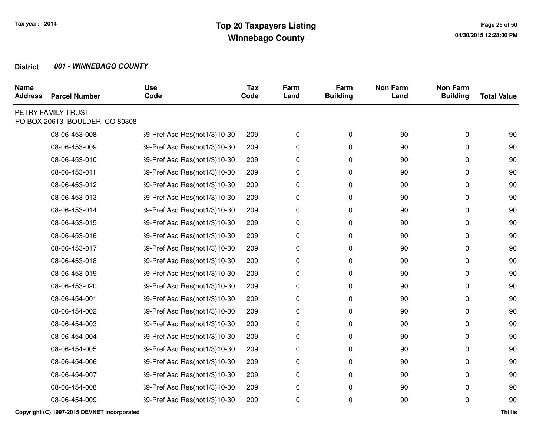| <b>Parcel Number</b> | <b>Use</b><br>Code                                   | <b>Tax</b><br>Code | Farm<br>Land | Farm<br><b>Building</b> | <b>Non Farm</b><br>Land | <b>Non Farm</b><br><b>Building</b> | <b>Total Value</b> |
|----------------------|------------------------------------------------------|--------------------|--------------|-------------------------|-------------------------|------------------------------------|--------------------|
|                      |                                                      |                    |              |                         |                         |                                    |                    |
| 08-06-453-008        | 39-Pref Asd Res(not1/3)10-30                         | 209                | 0            | 0                       | 90                      | 0                                  | 90                 |
| 08-06-453-009        | 39-Pref Asd Res(not1/3)10-30                         | 209                | 0            | 0                       | 90                      | 0                                  | 90                 |
| 08-06-453-010        | 39-Pref Asd Res(not1/3)10-30                         | 209                | 0            | 0                       | 90                      | 0                                  | 90                 |
| 08-06-453-011        | 39-Pref Asd Res(not1/3)10-30                         | 209                | 0            | 0                       | 90                      | 0                                  | 90                 |
| 08-06-453-012        | 39-Pref Asd Res(not1/3)10-30                         | 209                | 0            | 0                       | 90                      | 0                                  | 90                 |
| 08-06-453-013        | 39-Pref Asd Res(not1/3)10-30                         | 209                | 0            | 0                       | 90                      | 0                                  | 90                 |
| 08-06-453-014        | 39-Pref Asd Res(not1/3)10-30                         | 209                | 0            | 0                       | 90                      | 0                                  | 90                 |
| 08-06-453-015        | 39-Pref Asd Res(not1/3)10-30                         | 209                | 0            | 0                       | 90                      | 0                                  | 90                 |
| 08-06-453-016        | 39-Pref Asd Res(not1/3)10-30                         | 209                | 0            | 0                       | 90                      | 0                                  | 90                 |
| 08-06-453-017        | 39-Pref Asd Res(not1/3)10-30                         | 209                | 0            | 0                       | 90                      | 0                                  | 90                 |
| 08-06-453-018        | 39-Pref Asd Res(not1/3)10-30                         | 209                | 0            | 0                       | 90                      | 0                                  | 90                 |
| 08-06-453-019        | 39-Pref Asd Res(not1/3)10-30                         | 209                | 0            | 0                       | 90                      | 0                                  | 90                 |
| 08-06-453-020        | 39-Pref Asd Res(not1/3)10-30                         | 209                | 0            | 0                       | 90                      | 0                                  | 90                 |
| 08-06-454-001        | 39-Pref Asd Res(not1/3)10-30                         | 209                | 0            | 0                       | 90                      | 0                                  | 90                 |
| 08-06-454-002        | 39-Pref Asd Res(not1/3)10-30                         | 209                | 0            | 0                       | 90                      | 0                                  | 90                 |
| 08-06-454-003        | 39-Pref Asd Res(not1/3)10-30                         | 209                | 0            | 0                       | 90                      | 0                                  | 90                 |
| 08-06-454-004        | 39-Pref Asd Res(not1/3)10-30                         | 209                | 0            | 0                       | 90                      | 0                                  | 90                 |
| 08-06-454-005        | 39-Pref Asd Res(not1/3)10-30                         | 209                | 0            | 0                       | 90                      | 0                                  | 90                 |
| 08-06-454-006        | 39-Pref Asd Res(not1/3)10-30                         | 209                | 0            | 0                       | 90                      | 0                                  | 90                 |
| 08-06-454-007        | 39-Pref Asd Res(not1/3)10-30                         | 209                | 0            | 0                       | 90                      | 0                                  | 90                 |
| 08-06-454-008        | 39-Pref Asd Res(not1/3)10-30                         | 209                | 0            | 0                       | 90                      | 0                                  | 90                 |
| 08-06-454-009        | 39-Pref Asd Res(not1/3)10-30                         | 209                | 0            | 0                       | 90                      | 0                                  | 90                 |
|                      | PETRY FAMILY TRUST<br>PO BOX 20613 BOULDER, CO 80308 |                    |              |                         |                         |                                    |                    |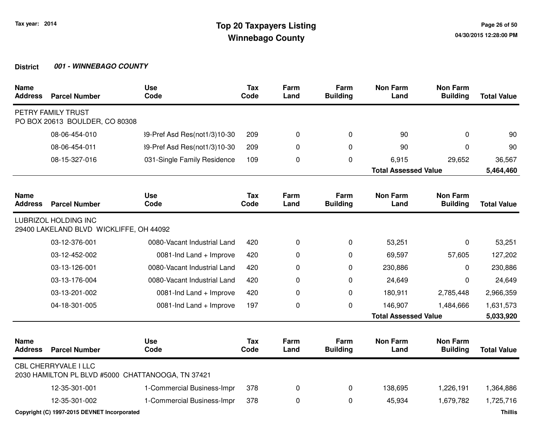| <b>Name</b><br><b>Address</b> | <b>Parcel Number</b>                                                   | <b>Use</b><br>Code                                | <b>Tax</b><br>Code | Farm<br>Land | Farm<br><b>Building</b> | <b>Non Farm</b><br>Land     | <b>Non Farm</b><br><b>Building</b> | <b>Total Value</b> |
|-------------------------------|------------------------------------------------------------------------|---------------------------------------------------|--------------------|--------------|-------------------------|-----------------------------|------------------------------------|--------------------|
|                               | PETRY FAMILY TRUST<br>PO BOX 20613 BOULDER, CO 80308                   |                                                   |                    |              |                         |                             |                                    |                    |
|                               | 08-06-454-010                                                          | 39-Pref Asd Res(not1/3)10-30                      | 209                | 0            | 0                       | 90                          | 0                                  | 90                 |
|                               | 08-06-454-011                                                          | 39-Pref Asd Res(not1/3)10-30                      | 209                | 0            | 0                       | 90                          | $\Omega$                           | 90                 |
|                               | 08-15-327-016                                                          | 031-Single Family Residence                       | 109                | 0            | 0                       | 6,915                       | 29,652                             | 36,567             |
|                               |                                                                        |                                                   |                    |              |                         | <b>Total Assessed Value</b> |                                    | 5,464,460          |
| <b>Name</b><br><b>Address</b> | <b>Parcel Number</b>                                                   | <b>Use</b><br>Code                                | <b>Tax</b><br>Code | Farm<br>Land | Farm<br><b>Building</b> | <b>Non Farm</b><br>Land     | <b>Non Farm</b><br><b>Building</b> | <b>Total Value</b> |
|                               | <b>LUBRIZOL HOLDING INC</b><br>29400 LAKELAND BLVD WICKLIFFE, OH 44092 |                                                   |                    |              |                         |                             |                                    |                    |
|                               | 03-12-376-001                                                          | 0080-Vacant Industrial Land                       | 420                | 0            | 0                       | 53,251                      | $\Omega$                           | 53,251             |
|                               | 03-12-452-002                                                          | 0081-Ind Land + Improve                           | 420                | 0            | 0                       | 69,597                      | 57,605                             | 127,202            |
|                               | 03-13-126-001                                                          | 0080-Vacant Industrial Land                       | 420                | 0            | $\Omega$                | 230,886                     | 0                                  | 230,886            |
|                               | 03-13-176-004                                                          | 0080-Vacant Industrial Land                       | 420                | 0            | 0                       | 24,649                      | 0                                  | 24,649             |
|                               | 03-13-201-002                                                          | 0081-Ind Land + Improve                           | 420                | 0            | $\Omega$                | 180,911                     | 2,785,448                          | 2,966,359          |
|                               | 04-18-301-005                                                          | 0081-Ind Land + Improve                           | 197                | 0            | 0                       | 146,907                     | 1,484,666                          | 1,631,573          |
|                               |                                                                        |                                                   |                    |              |                         | <b>Total Assessed Value</b> |                                    | 5,033,920          |
| <b>Name</b><br><b>Address</b> | <b>Parcel Number</b>                                                   | <b>Use</b><br>Code                                | <b>Tax</b><br>Code | Farm<br>Land | Farm<br><b>Building</b> | <b>Non Farm</b><br>Land     | <b>Non Farm</b><br><b>Building</b> | <b>Total Value</b> |
|                               | <b>CBL CHERRYVALE I LLC</b>                                            | 2030 HAMILTON PL BLVD #5000 CHATTANOOGA, TN 37421 |                    |              |                         |                             |                                    |                    |
|                               | 12-35-301-001                                                          | 1-Commercial Business-Impr                        | 378                | 0            | $\pmb{0}$               | 138,695                     | 1,226,191                          | 1,364,886          |
|                               | 12-35-301-002                                                          | 1-Commercial Business-Impr                        | 378                | 0            | 0                       | 45,934                      | 1,679,782                          | 1,725,716          |

**Copyright (C) 1997-2015 DEVNET Incorporated**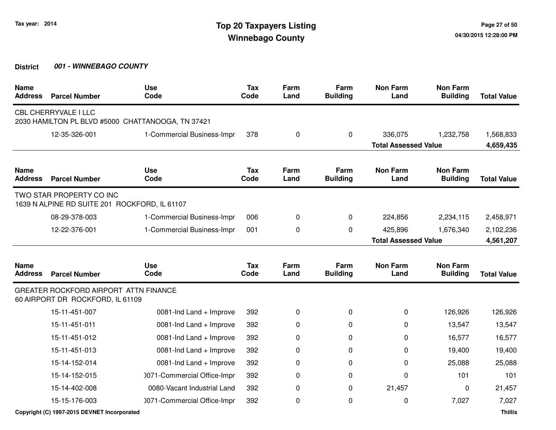| <b>Name</b><br><b>Address</b> | <b>Parcel Number</b>                                                      | <b>Use</b><br>Code                                | <b>Tax</b><br>Code | Farm<br>Land | Farm<br><b>Building</b> | <b>Non Farm</b><br>Land     | <b>Non Farm</b><br><b>Building</b> | <b>Total Value</b> |
|-------------------------------|---------------------------------------------------------------------------|---------------------------------------------------|--------------------|--------------|-------------------------|-----------------------------|------------------------------------|--------------------|
|                               | <b>CBL CHERRYVALE I LLC</b>                                               | 2030 HAMILTON PL BLVD #5000 CHATTANOOGA, TN 37421 |                    |              |                         |                             |                                    |                    |
|                               | 12-35-326-001                                                             | 1-Commercial Business-Impr                        | 378                | 0            | 0                       | 336,075                     | 1,232,758                          | 1,568,833          |
|                               |                                                                           |                                                   |                    |              |                         | <b>Total Assessed Value</b> |                                    | 4,659,435          |
| <b>Name</b><br><b>Address</b> | <b>Parcel Number</b>                                                      | <b>Use</b><br>Code                                | <b>Tax</b><br>Code | Farm<br>Land | Farm<br><b>Building</b> | <b>Non Farm</b><br>Land     | <b>Non Farm</b><br><b>Building</b> | <b>Total Value</b> |
|                               | TWO STAR PROPERTY CO INC<br>1639 N ALPINE RD SUITE 201 ROCKFORD, IL 61107 |                                                   |                    |              |                         |                             |                                    |                    |
|                               | 08-29-378-003                                                             | 1-Commercial Business-Impr                        | 006                | 0            | 0                       | 224,856                     | 2,234,115                          | 2,458,971          |
|                               | 12-22-376-001                                                             | 1-Commercial Business-Impr                        | 001                | 0            | 0                       | 425,896                     | 1,676,340                          | 2,102,236          |
|                               |                                                                           |                                                   |                    |              |                         | <b>Total Assessed Value</b> |                                    | 4,561,207          |
| <b>Name</b><br><b>Address</b> | <b>Parcel Number</b>                                                      | <b>Use</b><br>Code                                | <b>Tax</b><br>Code | Farm<br>Land | Farm<br><b>Building</b> | <b>Non Farm</b><br>Land     | <b>Non Farm</b><br><b>Building</b> | <b>Total Value</b> |
|                               | GREATER ROCKFORD AIRPORT ATTN FINANCE<br>60 AIRPORT DR ROCKFORD, IL 61109 |                                                   |                    |              |                         |                             |                                    |                    |
|                               | 15-11-451-007                                                             | 0081-Ind Land + Improve                           | 392                | 0            | $\Omega$                | 0                           | 126,926                            | 126,926            |
|                               | 15-11-451-011                                                             | 0081-Ind Land + Improve                           | 392                | 0            | 0                       | 0                           | 13,547                             | 13,547             |
|                               | 15-11-451-012                                                             | 0081-Ind Land + Improve                           | 392                | 0            | $\Omega$                | 0                           | 16,577                             | 16,577             |
|                               | 15-11-451-013                                                             | 0081-Ind Land + Improve                           | 392                | 0            | 0                       | 0                           | 19,400                             | 19,400             |
|                               | 15-14-152-014                                                             | 0081-Ind Land + Improve                           | 392                | 0            | 0                       | 0                           | 25,088                             | 25,088             |
|                               | 15-14-152-015                                                             | 0071-Commercial Office-Impr                       | 392                | 0            | 0                       | 0                           | 101                                | 101                |
|                               | 15-14-402-008                                                             | 0080-Vacant Industrial Land                       | 392                | 0            | 0                       | 21,457                      | $\Omega$                           | 21,457             |
|                               | 15-15-176-003                                                             | 0071-Commercial Office-Impr                       | 392                | 0            | 0                       | 0                           | 7,027                              | 7,027              |
|                               | Copyright (C) 1997-2015 DEVNET Incorporated                               |                                                   |                    |              |                         |                             |                                    | <b>Thillis</b>     |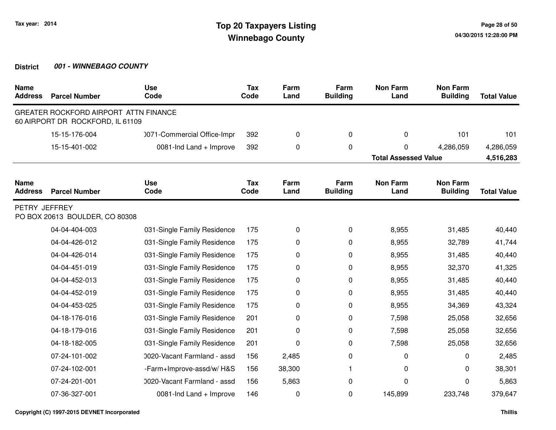| <b>Name</b><br><b>Address</b> | <b>Parcel Number</b>                                                      | <b>Use</b><br>Code          | <b>Tax</b><br>Code | Farm<br>Land | Farm<br><b>Building</b> | <b>Non Farm</b><br>Land     | <b>Non Farm</b><br><b>Building</b> | <b>Total Value</b> |
|-------------------------------|---------------------------------------------------------------------------|-----------------------------|--------------------|--------------|-------------------------|-----------------------------|------------------------------------|--------------------|
|                               | GREATER ROCKFORD AIRPORT ATTN FINANCE<br>60 AIRPORT DR ROCKFORD, IL 61109 |                             |                    |              |                         |                             |                                    |                    |
|                               | 15-15-176-004                                                             | 0071-Commercial Office-Impr | 392                | 0            | $\mathbf 0$             | 0                           | 101                                | 101                |
|                               | 15-15-401-002                                                             | 0081-Ind Land + Improve     | 392                | 0            | $\pmb{0}$               | 0                           | 4,286,059                          | 4,286,059          |
|                               |                                                                           |                             |                    |              |                         | <b>Total Assessed Value</b> |                                    | 4,516,283          |
| <b>Name</b><br><b>Address</b> | <b>Parcel Number</b>                                                      | <b>Use</b><br>Code          | <b>Tax</b><br>Code | Farm<br>Land | Farm<br><b>Building</b> | <b>Non Farm</b><br>Land     | <b>Non Farm</b><br><b>Building</b> | <b>Total Value</b> |
| PETRY JEFFREY                 | PO BOX 20613 BOULDER, CO 80308                                            |                             |                    |              |                         |                             |                                    |                    |
|                               | 04-04-404-003                                                             | 031-Single Family Residence | 175                | 0            | 0                       | 8,955                       | 31,485                             | 40,440             |
|                               | 04-04-426-012                                                             | 031-Single Family Residence | 175                | 0            | 0                       | 8,955                       | 32,789                             | 41,744             |
|                               | 04-04-426-014                                                             | 031-Single Family Residence | 175                | 0            | 0                       | 8,955                       | 31,485                             | 40,440             |
|                               | 04-04-451-019                                                             | 031-Single Family Residence | 175                | 0            | 0                       | 8,955                       | 32,370                             | 41,325             |
|                               | 04-04-452-013                                                             | 031-Single Family Residence | 175                | 0            | 0                       | 8,955                       | 31,485                             | 40,440             |
|                               | 04-04-452-019                                                             | 031-Single Family Residence | 175                | 0            | 0                       | 8,955                       | 31,485                             | 40,440             |
|                               | 04-04-453-025                                                             | 031-Single Family Residence | 175                | 0            | 0                       | 8,955                       | 34,369                             | 43,324             |
|                               | 04-18-176-016                                                             | 031-Single Family Residence | 201                | 0            | 0                       | 7,598                       | 25,058                             | 32,656             |
|                               | 04-18-179-016                                                             | 031-Single Family Residence | 201                | 0            | 0                       | 7,598                       | 25,058                             | 32,656             |
|                               | 04-18-182-005                                                             | 031-Single Family Residence | 201                | 0            | 0                       | 7,598                       | 25,058                             | 32,656             |
|                               | 07-24-101-002                                                             | 0020-Vacant Farmland - assd | 156                | 2,485        | 0                       | 0                           | 0                                  | 2,485              |
|                               | 07-24-102-001                                                             | -Farm+Improve-assd/w/H&S    | 156                | 38,300       | 1                       | 0                           | 0                                  | 38,301             |
|                               | 07-24-201-001                                                             | 0020-Vacant Farmland - assd | 156                | 5,863        | 0                       | 0                           | 0                                  | 5,863              |
|                               | 07-36-327-001                                                             | 0081-Ind Land + Improve     | 146                | 0            | 0                       | 145,899                     | 233,748                            | 379,647            |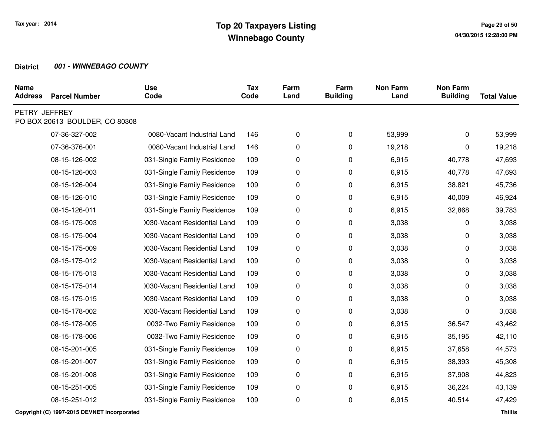| <b>Name</b><br><b>Address</b> | <b>Parcel Number</b>           | <b>Use</b><br>Code           | <b>Tax</b><br>Code | Farm<br>Land | Farm<br><b>Building</b> | <b>Non Farm</b><br>Land | <b>Non Farm</b><br><b>Building</b> | <b>Total Value</b> |
|-------------------------------|--------------------------------|------------------------------|--------------------|--------------|-------------------------|-------------------------|------------------------------------|--------------------|
| PETRY JEFFREY                 | PO BOX 20613 BOULDER, CO 80308 |                              |                    |              |                         |                         |                                    |                    |
|                               | 07-36-327-002                  | 0080-Vacant Industrial Land  | 146                | 0            | 0                       | 53,999                  | 0                                  | 53,999             |
|                               | 07-36-376-001                  | 0080-Vacant Industrial Land  | 146                | 0            | 0                       | 19,218                  | 0                                  | 19,218             |
|                               | 08-15-126-002                  | 031-Single Family Residence  | 109                | 0            | 0                       | 6,915                   | 40,778                             | 47,693             |
|                               | 08-15-126-003                  | 031-Single Family Residence  | 109                | 0            | 0                       | 6,915                   | 40,778                             | 47,693             |
|                               | 08-15-126-004                  | 031-Single Family Residence  | 109                | 0            | 0                       | 6,915                   | 38,821                             | 45,736             |
|                               | 08-15-126-010                  | 031-Single Family Residence  | 109                | 0            | 0                       | 6,915                   | 40,009                             | 46,924             |
|                               | 08-15-126-011                  | 031-Single Family Residence  | 109                | 0            | 0                       | 6,915                   | 32,868                             | 39,783             |
|                               | 08-15-175-003                  | 0030-Vacant Residential Land | 109                | 0            | 0                       | 3,038                   | 0                                  | 3,038              |
|                               | 08-15-175-004                  | 1030-Vacant Residential Land | 109                | 0            | 0                       | 3,038                   | 0                                  | 3,038              |
|                               | 08-15-175-009                  | 0030-Vacant Residential Land | 109                | 0            | 0                       | 3,038                   | 0                                  | 3,038              |
|                               | 08-15-175-012                  | 1030-Vacant Residential Land | 109                | 0            | 0                       | 3,038                   | 0                                  | 3,038              |
|                               | 08-15-175-013                  | 0030-Vacant Residential Land | 109                | 0            | 0                       | 3,038                   | 0                                  | 3,038              |
|                               | 08-15-175-014                  | 0030-Vacant Residential Land | 109                | 0            | 0                       | 3,038                   | 0                                  | 3,038              |
|                               | 08-15-175-015                  | 0030-Vacant Residential Land | 109                | 0            | 0                       | 3,038                   | 0                                  | 3,038              |
|                               | 08-15-178-002                  | 0030-Vacant Residential Land | 109                | 0            | 0                       | 3,038                   | 0                                  | 3,038              |
|                               | 08-15-178-005                  | 0032-Two Family Residence    | 109                | 0            | 0                       | 6,915                   | 36,547                             | 43,462             |
|                               | 08-15-178-006                  | 0032-Two Family Residence    | 109                | 0            | 0                       | 6,915                   | 35,195                             | 42,110             |
|                               | 08-15-201-005                  | 031-Single Family Residence  | 109                | 0            | 0                       | 6,915                   | 37,658                             | 44,573             |
|                               | 08-15-201-007                  | 031-Single Family Residence  | 109                | 0            | 0                       | 6,915                   | 38,393                             | 45,308             |
|                               | 08-15-201-008                  | 031-Single Family Residence  | 109                | 0            | 0                       | 6,915                   | 37,908                             | 44,823             |
|                               | 08-15-251-005                  | 031-Single Family Residence  | 109                | 0            | 0                       | 6,915                   | 36,224                             | 43,139             |
|                               | 08-15-251-012                  | 031-Single Family Residence  | 109                | 0            | 0                       | 6,915                   | 40,514                             | 47,429             |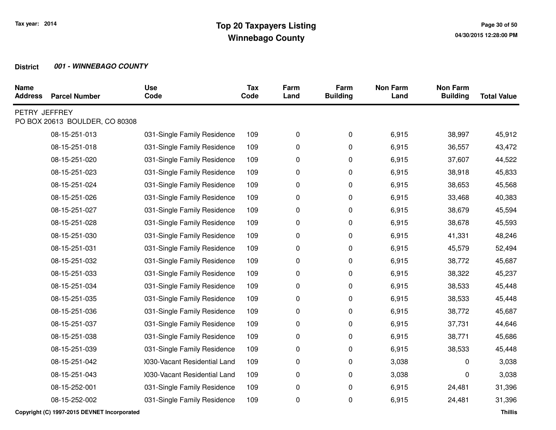| <b>Name</b><br><b>Address</b> | <b>Parcel Number</b>           | <b>Use</b><br>Code           | <b>Tax</b><br>Code | Farm<br>Land | Farm<br><b>Building</b> | <b>Non Farm</b><br>Land | <b>Non Farm</b><br><b>Building</b> | <b>Total Value</b> |
|-------------------------------|--------------------------------|------------------------------|--------------------|--------------|-------------------------|-------------------------|------------------------------------|--------------------|
| PETRY JEFFREY                 | PO BOX 20613 BOULDER, CO 80308 |                              |                    |              |                         |                         |                                    |                    |
|                               | 08-15-251-013                  | 031-Single Family Residence  | 109                | 0            | 0                       | 6,915                   | 38,997                             | 45,912             |
|                               | 08-15-251-018                  | 031-Single Family Residence  | 109                | 0            | 0                       | 6,915                   | 36,557                             | 43,472             |
|                               | 08-15-251-020                  | 031-Single Family Residence  | 109                | 0            | 0                       | 6,915                   | 37,607                             | 44,522             |
|                               | 08-15-251-023                  | 031-Single Family Residence  | 109                | 0            | 0                       | 6,915                   | 38,918                             | 45,833             |
|                               | 08-15-251-024                  | 031-Single Family Residence  | 109                | 0            | 0                       | 6,915                   | 38,653                             | 45,568             |
|                               | 08-15-251-026                  | 031-Single Family Residence  | 109                | 0            | 0                       | 6,915                   | 33,468                             | 40,383             |
|                               | 08-15-251-027                  | 031-Single Family Residence  | 109                | 0            | 0                       | 6,915                   | 38,679                             | 45,594             |
|                               | 08-15-251-028                  | 031-Single Family Residence  | 109                | 0            | 0                       | 6,915                   | 38,678                             | 45,593             |
|                               | 08-15-251-030                  | 031-Single Family Residence  | 109                | 0            | 0                       | 6,915                   | 41,331                             | 48,246             |
|                               | 08-15-251-031                  | 031-Single Family Residence  | 109                | 0            | 0                       | 6,915                   | 45,579                             | 52,494             |
|                               | 08-15-251-032                  | 031-Single Family Residence  | 109                | 0            | 0                       | 6,915                   | 38,772                             | 45,687             |
|                               | 08-15-251-033                  | 031-Single Family Residence  | 109                | 0            | 0                       | 6,915                   | 38,322                             | 45,237             |
|                               | 08-15-251-034                  | 031-Single Family Residence  | 109                | 0            | 0                       | 6,915                   | 38,533                             | 45,448             |
|                               | 08-15-251-035                  | 031-Single Family Residence  | 109                | 0            | 0                       | 6,915                   | 38,533                             | 45,448             |
|                               | 08-15-251-036                  | 031-Single Family Residence  | 109                | 0            | 0                       | 6,915                   | 38,772                             | 45,687             |
|                               | 08-15-251-037                  | 031-Single Family Residence  | 109                | 0            | 0                       | 6,915                   | 37,731                             | 44,646             |
|                               | 08-15-251-038                  | 031-Single Family Residence  | 109                | 0            | 0                       | 6,915                   | 38,771                             | 45,686             |
|                               | 08-15-251-039                  | 031-Single Family Residence  | 109                | 0            | 0                       | 6,915                   | 38,533                             | 45,448             |
|                               | 08-15-251-042                  | 0030-Vacant Residential Land | 109                | 0            | 0                       | 3,038                   | 0                                  | 3,038              |
|                               | 08-15-251-043                  | 0030-Vacant Residential Land | 109                | 0            | 0                       | 3,038                   | 0                                  | 3,038              |
|                               | 08-15-252-001                  | 031-Single Family Residence  | 109                | 0            | 0                       | 6,915                   | 24,481                             | 31,396             |
|                               | 08-15-252-002                  | 031-Single Family Residence  | 109                | 0            | 0                       | 6,915                   | 24,481                             | 31,396             |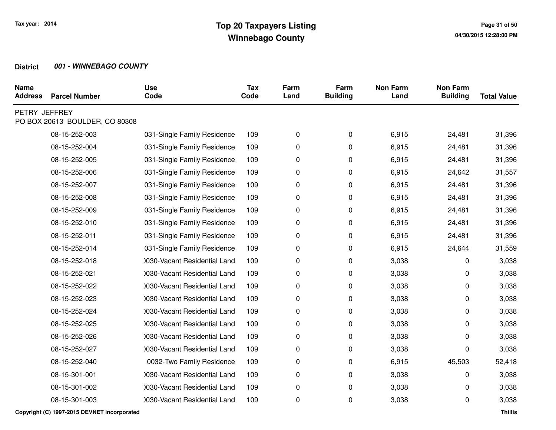| <b>Name</b><br><b>Address</b> | <b>Parcel Number</b>           | <b>Use</b><br>Code           | <b>Tax</b><br>Code | Farm<br>Land | Farm<br><b>Building</b> | <b>Non Farm</b><br>Land | <b>Non Farm</b><br><b>Building</b> | <b>Total Value</b> |
|-------------------------------|--------------------------------|------------------------------|--------------------|--------------|-------------------------|-------------------------|------------------------------------|--------------------|
| PETRY JEFFREY                 | PO BOX 20613 BOULDER, CO 80308 |                              |                    |              |                         |                         |                                    |                    |
|                               | 08-15-252-003                  | 031-Single Family Residence  | 109                | 0            | 0                       | 6,915                   | 24,481                             | 31,396             |
|                               | 08-15-252-004                  | 031-Single Family Residence  | 109                | 0            | 0                       | 6,915                   | 24,481                             | 31,396             |
|                               | 08-15-252-005                  | 031-Single Family Residence  | 109                | 0            | 0                       | 6,915                   | 24,481                             | 31,396             |
|                               | 08-15-252-006                  | 031-Single Family Residence  | 109                | 0            | 0                       | 6,915                   | 24,642                             | 31,557             |
|                               | 08-15-252-007                  | 031-Single Family Residence  | 109                | 0            | 0                       | 6,915                   | 24,481                             | 31,396             |
|                               | 08-15-252-008                  | 031-Single Family Residence  | 109                | 0            | 0                       | 6,915                   | 24,481                             | 31,396             |
|                               | 08-15-252-009                  | 031-Single Family Residence  | 109                | 0            | 0                       | 6,915                   | 24,481                             | 31,396             |
|                               | 08-15-252-010                  | 031-Single Family Residence  | 109                | 0            | 0                       | 6,915                   | 24,481                             | 31,396             |
|                               | 08-15-252-011                  | 031-Single Family Residence  | 109                | 0            | 0                       | 6,915                   | 24,481                             | 31,396             |
|                               | 08-15-252-014                  | 031-Single Family Residence  | 109                | 0            | 0                       | 6,915                   | 24,644                             | 31,559             |
|                               | 08-15-252-018                  | 0030-Vacant Residential Land | 109                | 0            | 0                       | 3,038                   | 0                                  | 3,038              |
|                               | 08-15-252-021                  | 0030-Vacant Residential Land | 109                | 0            | 0                       | 3,038                   | 0                                  | 3,038              |
|                               | 08-15-252-022                  | 0030-Vacant Residential Land | 109                | 0            | 0                       | 3,038                   | 0                                  | 3,038              |
|                               | 08-15-252-023                  | 0030-Vacant Residential Land | 109                | 0            | 0                       | 3,038                   | 0                                  | 3,038              |
|                               | 08-15-252-024                  | 0030-Vacant Residential Land | 109                | 0            | 0                       | 3,038                   | 0                                  | 3,038              |
|                               | 08-15-252-025                  | 0030-Vacant Residential Land | 109                | 0            | 0                       | 3,038                   | 0                                  | 3,038              |
|                               | 08-15-252-026                  | 0030-Vacant Residential Land | 109                | 0            | 0                       | 3,038                   | 0                                  | 3,038              |
|                               | 08-15-252-027                  | 0030-Vacant Residential Land | 109                | 0            | 0                       | 3,038                   | 0                                  | 3,038              |
|                               | 08-15-252-040                  | 0032-Two Family Residence    | 109                | 0            | 0                       | 6,915                   | 45,503                             | 52,418             |
|                               | 08-15-301-001                  | 0030-Vacant Residential Land | 109                | 0            | 0                       | 3,038                   | 0                                  | 3,038              |
|                               | 08-15-301-002                  | 1030-Vacant Residential Land | 109                | 0            | 0                       | 3,038                   | 0                                  | 3,038              |
|                               | 08-15-301-003                  | 0030-Vacant Residential Land | 109                | 0            | 0                       | 3,038                   | 0                                  | 3,038              |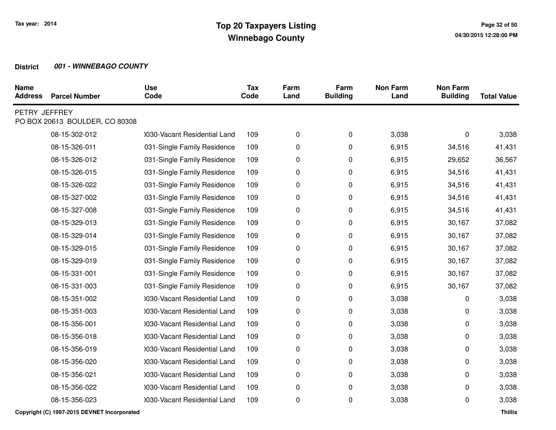| <b>Name</b><br><b>Address</b> | <b>Parcel Number</b>           | <b>Use</b><br>Code           | <b>Tax</b><br>Code | Farm<br>Land | Farm<br><b>Building</b> | <b>Non Farm</b><br>Land | <b>Non Farm</b><br><b>Building</b> | <b>Total Value</b> |
|-------------------------------|--------------------------------|------------------------------|--------------------|--------------|-------------------------|-------------------------|------------------------------------|--------------------|
| PETRY JEFFREY                 | PO BOX 20613 BOULDER, CO 80308 |                              |                    |              |                         |                         |                                    |                    |
|                               | 08-15-302-012                  | 0030-Vacant Residential Land | 109                | 0            | 0                       | 3,038                   | 0                                  | 3,038              |
|                               | 08-15-326-011                  | 031-Single Family Residence  | 109                | 0            | 0                       | 6,915                   | 34,516                             | 41,431             |
|                               | 08-15-326-012                  | 031-Single Family Residence  | 109                | 0            | 0                       | 6,915                   | 29,652                             | 36,567             |
|                               | 08-15-326-015                  | 031-Single Family Residence  | 109                | 0            | 0                       | 6,915                   | 34,516                             | 41,431             |
|                               | 08-15-326-022                  | 031-Single Family Residence  | 109                | 0            | 0                       | 6,915                   | 34,516                             | 41,431             |
|                               | 08-15-327-002                  | 031-Single Family Residence  | 109                | 0            | 0                       | 6,915                   | 34,516                             | 41,431             |
|                               | 08-15-327-008                  | 031-Single Family Residence  | 109                | 0            | 0                       | 6,915                   | 34,516                             | 41,431             |
|                               | 08-15-329-013                  | 031-Single Family Residence  | 109                | 0            | 0                       | 6,915                   | 30,167                             | 37,082             |
|                               | 08-15-329-014                  | 031-Single Family Residence  | 109                | 0            | 0                       | 6,915                   | 30,167                             | 37,082             |
|                               | 08-15-329-015                  | 031-Single Family Residence  | 109                | 0            | 0                       | 6,915                   | 30,167                             | 37,082             |
|                               | 08-15-329-019                  | 031-Single Family Residence  | 109                | 0            | 0                       | 6,915                   | 30,167                             | 37,082             |
|                               | 08-15-331-001                  | 031-Single Family Residence  | 109                | 0            | 0                       | 6,915                   | 30,167                             | 37,082             |
|                               | 08-15-331-003                  | 031-Single Family Residence  | 109                | 0            | 0                       | 6,915                   | 30,167                             | 37,082             |
|                               | 08-15-351-002                  | 0030-Vacant Residential Land | 109                | 0            | 0                       | 3,038                   | 0                                  | 3,038              |
|                               | 08-15-351-003                  | 0030-Vacant Residential Land | 109                | 0            | 0                       | 3,038                   | 0                                  | 3,038              |
|                               | 08-15-356-001                  | 0030-Vacant Residential Land | 109                | 0            | 0                       | 3,038                   | 0                                  | 3,038              |
|                               | 08-15-356-018                  | 0030-Vacant Residential Land | 109                | 0            | 0                       | 3,038                   | 0                                  | 3,038              |
|                               | 08-15-356-019                  | 0030-Vacant Residential Land | 109                | 0            | 0                       | 3,038                   | 0                                  | 3,038              |
|                               | 08-15-356-020                  | 1030-Vacant Residential Land | 109                | 0            | 0                       | 3,038                   | 0                                  | 3,038              |
|                               | 08-15-356-021                  | 0030-Vacant Residential Land | 109                | 0            | 0                       | 3,038                   | 0                                  | 3,038              |
|                               | 08-15-356-022                  | 1030-Vacant Residential Land | 109                | 0            | 0                       | 3,038                   | 0                                  | 3,038              |
|                               | 08-15-356-023                  | 0030-Vacant Residential Land | 109                | 0            | 0                       | 3,038                   | 0                                  | 3,038              |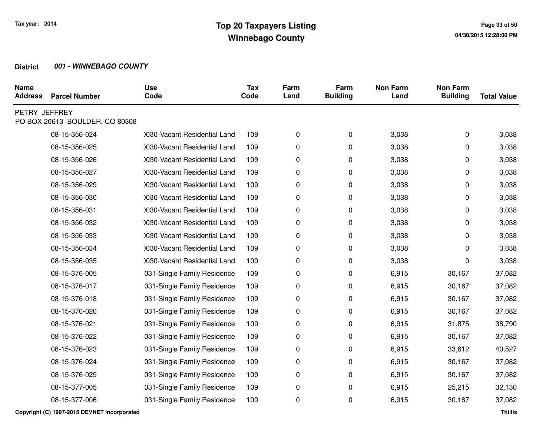| <b>Name</b><br><b>Address</b> | <b>Parcel Number</b>           | <b>Use</b><br>Code           | <b>Tax</b><br>Code | Farm<br>Land | Farm<br><b>Building</b> | <b>Non Farm</b><br>Land | <b>Non Farm</b><br><b>Building</b> | <b>Total Value</b> |
|-------------------------------|--------------------------------|------------------------------|--------------------|--------------|-------------------------|-------------------------|------------------------------------|--------------------|
| PETRY JEFFREY                 | PO BOX 20613 BOULDER, CO 80308 |                              |                    |              |                         |                         |                                    |                    |
|                               | 08-15-356-024                  | 0030-Vacant Residential Land | 109                | 0            | $\pmb{0}$               | 3,038                   | 0                                  | 3,038              |
|                               | 08-15-356-025                  | 0030-Vacant Residential Land | 109                | 0            | 0                       | 3,038                   | 0                                  | 3,038              |
|                               | 08-15-356-026                  | 0030-Vacant Residential Land | 109                | 0            | 0                       | 3,038                   | 0                                  | 3,038              |
|                               | 08-15-356-027                  | 0030-Vacant Residential Land | 109                | 0            | 0                       | 3,038                   | 0                                  | 3,038              |
|                               | 08-15-356-029                  | 0030-Vacant Residential Land | 109                | 0            | 0                       | 3,038                   | 0                                  | 3,038              |
|                               | 08-15-356-030                  | 0030-Vacant Residential Land | 109                | 0            | 0                       | 3,038                   | 0                                  | 3,038              |
|                               | 08-15-356-031                  | 0030-Vacant Residential Land | 109                | 0            | 0                       | 3,038                   | 0                                  | 3,038              |
|                               | 08-15-356-032                  | 0030-Vacant Residential Land | 109                | 0            | 0                       | 3,038                   | 0                                  | 3,038              |
|                               | 08-15-356-033                  | 0030-Vacant Residential Land | 109                | 0            | 0                       | 3,038                   | 0                                  | 3,038              |
|                               | 08-15-356-034                  | 0030-Vacant Residential Land | 109                | 0            | 0                       | 3,038                   | 0                                  | 3,038              |
|                               | 08-15-356-035                  | 0030-Vacant Residential Land | 109                | 0            | 0                       | 3,038                   | 0                                  | 3,038              |
|                               | 08-15-376-005                  | 031-Single Family Residence  | 109                | 0            | 0                       | 6,915                   | 30,167                             | 37,082             |
|                               | 08-15-376-017                  | 031-Single Family Residence  | 109                | 0            | 0                       | 6,915                   | 30,167                             | 37,082             |
|                               | 08-15-376-018                  | 031-Single Family Residence  | 109                | 0            | 0                       | 6,915                   | 30,167                             | 37,082             |
|                               | 08-15-376-020                  | 031-Single Family Residence  | 109                | 0            | 0                       | 6,915                   | 30,167                             | 37,082             |
|                               | 08-15-376-021                  | 031-Single Family Residence  | 109                | 0            | 0                       | 6,915                   | 31,875                             | 38,790             |
|                               | 08-15-376-022                  | 031-Single Family Residence  | 109                | 0            | 0                       | 6,915                   | 30,167                             | 37,082             |
|                               | 08-15-376-023                  | 031-Single Family Residence  | 109                | 0            | 0                       | 6,915                   | 33,612                             | 40,527             |
|                               | 08-15-376-024                  | 031-Single Family Residence  | 109                | 0            | 0                       | 6,915                   | 30,167                             | 37,082             |
|                               | 08-15-376-025                  | 031-Single Family Residence  | 109                | 0            | 0                       | 6,915                   | 30,167                             | 37,082             |
|                               | 08-15-377-005                  | 031-Single Family Residence  | 109                | 0            | 0                       | 6,915                   | 25,215                             | 32,130             |
|                               | 08-15-377-006                  | 031-Single Family Residence  | 109                | 0            | 0                       | 6,915                   | 30,167                             | 37,082             |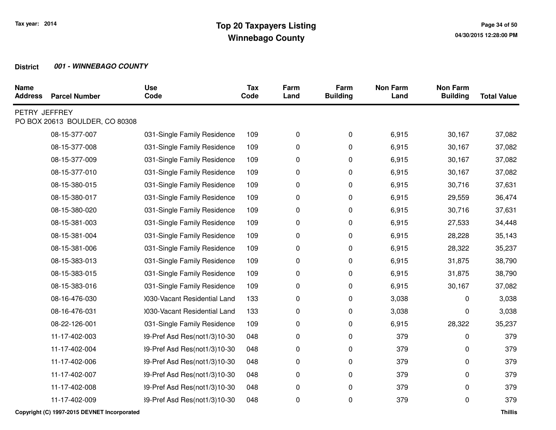| <b>Name</b><br><b>Address</b> | <b>Parcel Number</b>           | <b>Use</b><br>Code           | <b>Tax</b><br>Code | Farm<br>Land | Farm<br><b>Building</b> | <b>Non Farm</b><br>Land | <b>Non Farm</b><br><b>Building</b> | <b>Total Value</b> |
|-------------------------------|--------------------------------|------------------------------|--------------------|--------------|-------------------------|-------------------------|------------------------------------|--------------------|
| PETRY JEFFREY                 | PO BOX 20613 BOULDER, CO 80308 |                              |                    |              |                         |                         |                                    |                    |
|                               | 08-15-377-007                  | 031-Single Family Residence  | 109                | 0            | 0                       | 6,915                   | 30,167                             | 37,082             |
|                               | 08-15-377-008                  | 031-Single Family Residence  | 109                | 0            | 0                       | 6,915                   | 30,167                             | 37,082             |
|                               | 08-15-377-009                  | 031-Single Family Residence  | 109                | 0            | 0                       | 6,915                   | 30,167                             | 37,082             |
|                               | 08-15-377-010                  | 031-Single Family Residence  | 109                | 0            | 0                       | 6,915                   | 30,167                             | 37,082             |
|                               | 08-15-380-015                  | 031-Single Family Residence  | 109                | 0            | 0                       | 6,915                   | 30,716                             | 37,631             |
|                               | 08-15-380-017                  | 031-Single Family Residence  | 109                | 0            | 0                       | 6,915                   | 29,559                             | 36,474             |
|                               | 08-15-380-020                  | 031-Single Family Residence  | 109                | 0            | 0                       | 6,915                   | 30,716                             | 37,631             |
|                               | 08-15-381-003                  | 031-Single Family Residence  | 109                | 0            | 0                       | 6,915                   | 27,533                             | 34,448             |
|                               | 08-15-381-004                  | 031-Single Family Residence  | 109                | 0            | 0                       | 6,915                   | 28,228                             | 35,143             |
|                               | 08-15-381-006                  | 031-Single Family Residence  | 109                | 0            | 0                       | 6,915                   | 28,322                             | 35,237             |
|                               | 08-15-383-013                  | 031-Single Family Residence  | 109                | 0            | 0                       | 6,915                   | 31,875                             | 38,790             |
|                               | 08-15-383-015                  | 031-Single Family Residence  | 109                | 0            | 0                       | 6,915                   | 31,875                             | 38,790             |
|                               | 08-15-383-016                  | 031-Single Family Residence  | 109                | 0            | 0                       | 6,915                   | 30,167                             | 37,082             |
|                               | 08-16-476-030                  | 0030-Vacant Residential Land | 133                | 0            | 0                       | 3,038                   | 0                                  | 3,038              |
|                               | 08-16-476-031                  | 0030-Vacant Residential Land | 133                | 0            | 0                       | 3,038                   | 0                                  | 3,038              |
|                               | 08-22-126-001                  | 031-Single Family Residence  | 109                | 0            | 0                       | 6,915                   | 28,322                             | 35,237             |
|                               | 11-17-402-003                  | 39-Pref Asd Res(not1/3)10-30 | 048                | 0            | 0                       | 379                     | 0                                  | 379                |
|                               | 11-17-402-004                  | 39-Pref Asd Res(not1/3)10-30 | 048                | 0            | 0                       | 379                     | 0                                  | 379                |
|                               | 11-17-402-006                  | 39-Pref Asd Res(not1/3)10-30 | 048                | 0            | 0                       | 379                     | 0                                  | 379                |
|                               | 11-17-402-007                  | 39-Pref Asd Res(not1/3)10-30 | 048                | 0            | 0                       | 379                     | 0                                  | 379                |
|                               | 11-17-402-008                  | 39-Pref Asd Res(not1/3)10-30 | 048                | 0            | 0                       | 379                     | 0                                  | 379                |
|                               | 11-17-402-009                  | 39-Pref Asd Res(not1/3)10-30 | 048                | 0            | 0                       | 379                     | 0                                  | 379                |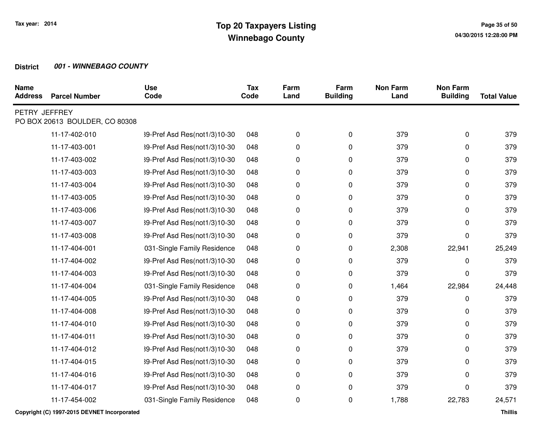| <b>Name</b><br><b>Address</b> | <b>Parcel Number</b>           | <b>Use</b><br>Code           | <b>Tax</b><br>Code | Farm<br>Land | Farm<br><b>Building</b> | <b>Non Farm</b><br>Land | <b>Non Farm</b><br><b>Building</b> | <b>Total Value</b> |
|-------------------------------|--------------------------------|------------------------------|--------------------|--------------|-------------------------|-------------------------|------------------------------------|--------------------|
| PETRY JEFFREY                 | PO BOX 20613 BOULDER, CO 80308 |                              |                    |              |                         |                         |                                    |                    |
|                               | 11-17-402-010                  | 39-Pref Asd Res(not1/3)10-30 | 048                | 0            | 0                       | 379                     | 0                                  | 379                |
|                               | 11-17-403-001                  | 39-Pref Asd Res(not1/3)10-30 | 048                | 0            | 0                       | 379                     | 0                                  | 379                |
|                               | 11-17-403-002                  | 39-Pref Asd Res(not1/3)10-30 | 048                | 0            | 0                       | 379                     | 0                                  | 379                |
|                               | 11-17-403-003                  | 39-Pref Asd Res(not1/3)10-30 | 048                | 0            | 0                       | 379                     | 0                                  | 379                |
|                               | 11-17-403-004                  | 39-Pref Asd Res(not1/3)10-30 | 048                | 0            | 0                       | 379                     | 0                                  | 379                |
|                               | 11-17-403-005                  | 39-Pref Asd Res(not1/3)10-30 | 048                | 0            | 0                       | 379                     | 0                                  | 379                |
|                               | 11-17-403-006                  | 39-Pref Asd Res(not1/3)10-30 | 048                | 0            | 0                       | 379                     | 0                                  | 379                |
|                               | 11-17-403-007                  | 39-Pref Asd Res(not1/3)10-30 | 048                | 0            | 0                       | 379                     | 0                                  | 379                |
|                               | 11-17-403-008                  | 39-Pref Asd Res(not1/3)10-30 | 048                | 0            | 0                       | 379                     | 0                                  | 379                |
|                               | 11-17-404-001                  | 031-Single Family Residence  | 048                | 0            | 0                       | 2,308                   | 22,941                             | 25,249             |
|                               | 11-17-404-002                  | 39-Pref Asd Res(not1/3)10-30 | 048                | 0            | 0                       | 379                     | 0                                  | 379                |
|                               | 11-17-404-003                  | 39-Pref Asd Res(not1/3)10-30 | 048                | 0            | 0                       | 379                     | 0                                  | 379                |
|                               | 11-17-404-004                  | 031-Single Family Residence  | 048                | 0            | 0                       | 1,464                   | 22,984                             | 24,448             |
|                               | 11-17-404-005                  | 39-Pref Asd Res(not1/3)10-30 | 048                | 0            | 0                       | 379                     | 0                                  | 379                |
|                               | 11-17-404-008                  | 39-Pref Asd Res(not1/3)10-30 | 048                | 0            | 0                       | 379                     | 0                                  | 379                |
|                               | 11-17-404-010                  | 39-Pref Asd Res(not1/3)10-30 | 048                | 0            | 0                       | 379                     | 0                                  | 379                |
|                               | 11-17-404-011                  | 39-Pref Asd Res(not1/3)10-30 | 048                | 0            | 0                       | 379                     | 0                                  | 379                |
|                               | 11-17-404-012                  | 39-Pref Asd Res(not1/3)10-30 | 048                | 0            | 0                       | 379                     | 0                                  | 379                |
|                               | 11-17-404-015                  | 39-Pref Asd Res(not1/3)10-30 | 048                | 0            | 0                       | 379                     | 0                                  | 379                |
|                               | 11-17-404-016                  | 39-Pref Asd Res(not1/3)10-30 | 048                | 0            | 0                       | 379                     | 0                                  | 379                |
|                               | 11-17-404-017                  | 39-Pref Asd Res(not1/3)10-30 | 048                | 0            | 0                       | 379                     | 0                                  | 379                |
|                               | 11-17-454-002                  | 031-Single Family Residence  | 048                | 0            | 0                       | 1,788                   | 22,783                             | 24,571             |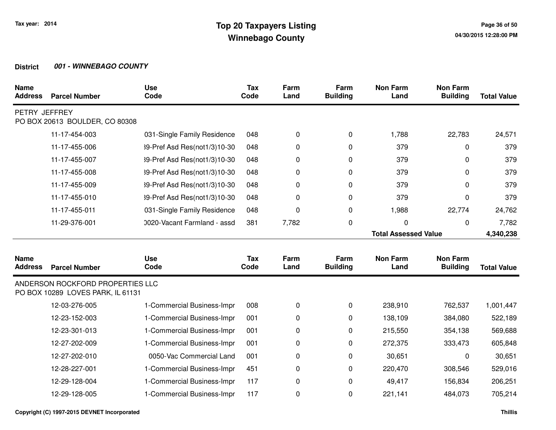| <b>Name</b><br><b>Address</b> | <b>Parcel Number</b>                                                  | <b>Use</b><br>Code           | Tax<br>Code | Farm<br>Land | Farm<br><b>Building</b> | <b>Non Farm</b><br>Land     | <b>Non Farm</b><br><b>Building</b> | <b>Total Value</b> |
|-------------------------------|-----------------------------------------------------------------------|------------------------------|-------------|--------------|-------------------------|-----------------------------|------------------------------------|--------------------|
| PETRY JEFFREY                 | PO BOX 20613 BOULDER, CO 80308                                        |                              |             |              |                         |                             |                                    |                    |
|                               | 11-17-454-003                                                         | 031-Single Family Residence  | 048         | 0            | $\mathbf 0$             | 1,788                       | 22,783                             | 24,571             |
|                               | 11-17-455-006                                                         | 39-Pref Asd Res(not1/3)10-30 | 048         | $\Omega$     | 0                       | 379                         | 0                                  | 379                |
|                               | 11-17-455-007                                                         | 39-Pref Asd Res(not1/3)10-30 | 048         | 0            | $\mathbf 0$             | 379                         | 0                                  | 379                |
|                               | 11-17-455-008                                                         | 39-Pref Asd Res(not1/3)10-30 | 048         | 0            | 0                       | 379                         | 0                                  | 379                |
|                               | 11-17-455-009                                                         | 39-Pref Asd Res(not1/3)10-30 | 048         | 0            | 0                       | 379                         | 0                                  | 379                |
|                               | 11-17-455-010                                                         | 39-Pref Asd Res(not1/3)10-30 | 048         | 0            | 0                       | 379                         | 0                                  | 379                |
|                               | 11-17-455-011                                                         | 031-Single Family Residence  | 048         | 0            | $\mathbf 0$             | 1,988                       | 22,774                             | 24,762             |
|                               | 11-29-376-001                                                         | 0020-Vacant Farmland - assd  | 381         | 7,782        | $\mathbf 0$             | 0                           | 0                                  | 7,782              |
|                               |                                                                       |                              |             |              |                         | <b>Total Assessed Value</b> |                                    | 4,340,238          |
| <b>Name</b>                   |                                                                       | <b>Use</b>                   | <b>Tax</b>  | Farm         | Farm                    | <b>Non Farm</b>             | <b>Non Farm</b>                    |                    |
| <b>Address</b>                | <b>Parcel Number</b>                                                  | Code                         | Code        | Land         | <b>Building</b>         | Land                        | <b>Building</b>                    | <b>Total Value</b> |
|                               | ANDERSON ROCKFORD PROPERTIES LLC<br>PO BOX 10289 LOVES PARK, IL 61131 |                              |             |              |                         |                             |                                    |                    |
|                               | 12-03-276-005                                                         | 1-Commercial Business-Impr   | 008         | 0            | 0                       | 238,910                     | 762,537                            | 1,001,447          |
|                               | 12-23-152-003                                                         | 1-Commercial Business-Impr   | 001         | 0            | 0                       | 138,109                     | 384,080                            | 522,189            |
|                               | 12-23-301-013                                                         | 1-Commercial Business-Impr   | 001         | 0            | 0                       | 215,550                     | 354,138                            | 569,688            |
|                               | 12-27-202-009                                                         | 1-Commercial Business-Impr   | 001         | 0            | 0                       | 272,375                     | 333,473                            | 605,848            |
|                               | 12-27-202-010                                                         | 0050-Vac Commercial Land     | 001         | 0            | 0                       | 30,651                      | 0                                  | 30,651             |
|                               | 12-28-227-001                                                         | 1-Commercial Business-Impr   | 451         | 0            | 0                       | 220,470                     | 308,546                            | 529,016            |
|                               | 12-29-128-004                                                         | 1-Commercial Business-Impr   | 117         | 0            | $\mathbf 0$             | 49,417                      | 156,834                            | 206,251            |
|                               | 12-29-128-005                                                         | 1-Commercial Business-Impr   | 117         | $\mathbf 0$  | $\mathbf 0$             | 221,141                     | 484,073                            | 705,214            |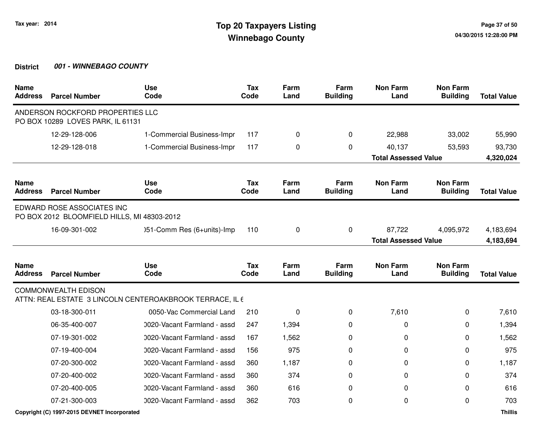| <b>Name</b><br><b>Address</b> | <b>Parcel Number</b>                                                      | <b>Use</b><br>Code                                       | <b>Tax</b><br>Code | Farm<br>Land | Farm<br><b>Building</b> | <b>Non Farm</b><br>Land     | <b>Non Farm</b><br><b>Building</b> | <b>Total Value</b> |
|-------------------------------|---------------------------------------------------------------------------|----------------------------------------------------------|--------------------|--------------|-------------------------|-----------------------------|------------------------------------|--------------------|
|                               | ANDERSON ROCKFORD PROPERTIES LLC<br>PO BOX 10289 LOVES PARK, IL 61131     |                                                          |                    |              |                         |                             |                                    |                    |
|                               | 12-29-128-006                                                             | 1-Commercial Business-Impr                               | 117                | 0            | $\Omega$                | 22,988                      | 33,002                             | 55,990             |
|                               | 12-29-128-018                                                             | 1-Commercial Business-Impr                               | 117                | 0            | $\Omega$                | 40,137                      | 53,593                             | 93,730             |
|                               |                                                                           |                                                          |                    |              |                         | <b>Total Assessed Value</b> |                                    | 4,320,024          |
| <b>Name</b><br><b>Address</b> | <b>Parcel Number</b>                                                      | <b>Use</b><br>Code                                       | <b>Tax</b><br>Code | Farm<br>Land | Farm<br><b>Building</b> | <b>Non Farm</b><br>Land     | <b>Non Farm</b><br><b>Building</b> | <b>Total Value</b> |
|                               | EDWARD ROSE ASSOCIATES INC<br>PO BOX 2012 BLOOMFIELD HILLS, MI 48303-2012 |                                                          |                    |              |                         |                             |                                    |                    |
|                               | 16-09-301-002                                                             | )51-Comm Res (6+units)-Imp                               | 110                | 0            | $\mathbf 0$             | 87,722                      | 4,095,972                          | 4,183,694          |
|                               | <b>Total Assessed Value</b>                                               |                                                          |                    | 4,183,694    |                         |                             |                                    |                    |
| <b>Name</b><br><b>Address</b> | <b>Parcel Number</b>                                                      | <b>Use</b><br>Code                                       | <b>Tax</b><br>Code | Farm<br>Land | Farm<br><b>Building</b> | <b>Non Farm</b><br>Land     | <b>Non Farm</b><br><b>Building</b> | <b>Total Value</b> |
|                               | <b>COMMONWEALTH EDISON</b>                                                | ATTN: REAL ESTATE 3 LINCOLN CENTEROAKBROOK TERRACE, IL 6 |                    |              |                         |                             |                                    |                    |
|                               | 03-18-300-011                                                             | 0050-Vac Commercial Land                                 | 210                | 0            | $\Omega$                | 7,610                       | 0                                  | 7,610              |
|                               | 06-35-400-007                                                             | 0020-Vacant Farmland - assd                              | 247                | 1,394        | 0                       | 0                           | 0                                  | 1,394              |
|                               | 07-19-301-002                                                             | 0020-Vacant Farmland - assd                              | 167                | 1,562        | 0                       | 0                           | 0                                  | 1,562              |
|                               | 07-19-400-004                                                             | 0020-Vacant Farmland - assd                              | 156                | 975          | $\Omega$                | 0                           | 0                                  | 975                |
|                               | 07-20-300-002                                                             | 0020-Vacant Farmland - assd                              | 360                | 1,187        | 0                       | 0                           | 0                                  | 1,187              |
|                               | 07-20-400-002                                                             | 0020-Vacant Farmland - assd                              | 360                | 374          | 0                       | 0                           | 0                                  | 374                |
|                               | 07-20-400-005                                                             | 0020-Vacant Farmland - assd                              | 360                | 616          | 0                       | 0                           | 0                                  | 616                |
|                               | 07-21-300-003                                                             | 0020-Vacant Farmland - assd                              | 362                | 703          | 0                       | 0                           | $\Omega$                           | 703                |
|                               | Copyright (C) 1997-2015 DEVNET Incorporated                               |                                                          |                    |              |                         |                             |                                    | <b>Thillis</b>     |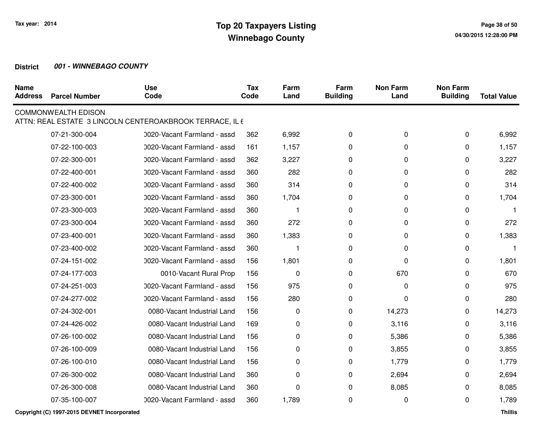| <b>Name</b><br><b>Address</b> | <b>Parcel Number</b>       | <b>Use</b><br>Code                                       | Tax<br>Code | Farm<br>Land | Farm<br><b>Building</b> | <b>Non Farm</b><br>Land | <b>Non Farm</b><br><b>Building</b> | <b>Total Value</b> |
|-------------------------------|----------------------------|----------------------------------------------------------|-------------|--------------|-------------------------|-------------------------|------------------------------------|--------------------|
|                               | <b>COMMONWEALTH EDISON</b> | ATTN: REAL ESTATE 3 LINCOLN CENTEROAKBROOK TERRACE, IL 6 |             |              |                         |                         |                                    |                    |
|                               | 07-21-300-004              | 0020-Vacant Farmland - assd                              | 362         | 6,992        | 0                       | 0                       | 0                                  | 6,992              |
|                               | 07-22-100-003              | 0020-Vacant Farmland - assd                              | 161         | 1,157        | 0                       | 0                       | 0                                  | 1,157              |
|                               | 07-22-300-001              | 0020-Vacant Farmland - assd                              | 362         | 3,227        | 0                       | 0                       | $\Omega$                           | 3,227              |
|                               | 07-22-400-001              | 0020-Vacant Farmland - assd                              | 360         | 282          | 0                       | 0                       | $\Omega$                           | 282                |
|                               | 07-22-400-002              | 0020-Vacant Farmland - assd                              | 360         | 314          | 0                       | 0                       | $\Omega$                           | 314                |
|                               | 07-23-300-001              | 0020-Vacant Farmland - assd                              | 360         | 1,704        | 0                       | 0                       | 0                                  | 1,704              |
|                               | 07-23-300-003              | 0020-Vacant Farmland - assd                              | 360         |              | 0                       | 0                       | 0                                  |                    |
|                               | 07-23-300-004              | 0020-Vacant Farmland - assd                              | 360         | 272          | $\Omega$                | 0                       | $\Omega$                           | 272                |
|                               | 07-23-400-001              | 0020-Vacant Farmland - assd                              | 360         | 1,383        | 0                       | 0                       | 0                                  | 1,383              |
|                               | 07-23-400-002              | 0020-Vacant Farmland - assd                              | 360         | -1           | 0                       | 0                       | 0                                  | 1                  |
|                               | 07-24-151-002              | 0020-Vacant Farmland - assd                              | 156         | 1,801        | 0                       | 0                       | 0                                  | 1,801              |
|                               | 07-24-177-003              | 0010-Vacant Rural Prop                                   | 156         | 0            | 0                       | 670                     | 0                                  | 670                |
|                               | 07-24-251-003              | 0020-Vacant Farmland - assd                              | 156         | 975          | 0                       | 0                       | $\Omega$                           | 975                |
|                               | 07-24-277-002              | 0020-Vacant Farmland - assd                              | 156         | 280          | 0                       | 0                       | $\Omega$                           | 280                |
|                               | 07-24-302-001              | 0080-Vacant Industrial Land                              | 156         | 0            | 0                       | 14,273                  | 0                                  | 14,273             |
|                               | 07-24-426-002              | 0080-Vacant Industrial Land                              | 169         | 0            | 0                       | 3,116                   | 0                                  | 3,116              |
|                               | 07-26-100-002              | 0080-Vacant Industrial Land                              | 156         | 0            | 0                       | 5,386                   | 0                                  | 5,386              |
|                               | 07-26-100-009              | 0080-Vacant Industrial Land                              | 156         | 0            | 0                       | 3,855                   | 0                                  | 3,855              |
|                               | 07-26-100-010              | 0080-Vacant Industrial Land                              | 156         | 0            | 0                       | 1,779                   | 0                                  | 1,779              |
|                               | 07-26-300-002              | 0080-Vacant Industrial Land                              | 360         | 0            | 0                       | 2,694                   | 0                                  | 2,694              |
|                               | 07-26-300-008              | 0080-Vacant Industrial Land                              | 360         | 0            | 0                       | 8,085                   | 0                                  | 8,085              |
|                               | 07-35-100-007              | 0020-Vacant Farmland - assd                              | 360         | 1,789        | 0                       | 0                       | 0                                  | 1,789              |
|                               |                            |                                                          |             |              |                         |                         |                                    |                    |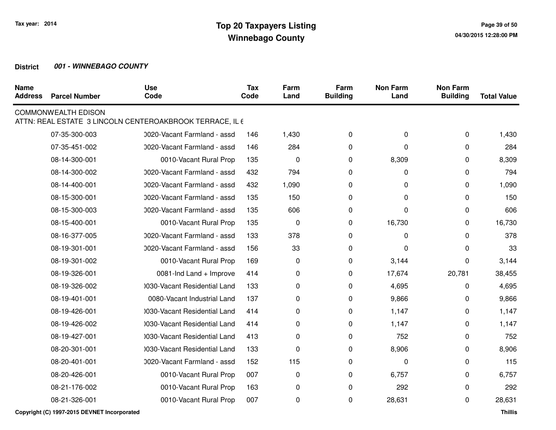| <b>Name</b><br><b>Address</b> | <b>Parcel Number</b>       | <b>Use</b><br>Code                                       | <b>Tax</b><br>Code | Farm<br>Land | Farm<br><b>Building</b> | <b>Non Farm</b><br>Land | <b>Non Farm</b><br><b>Building</b> | <b>Total Value</b> |
|-------------------------------|----------------------------|----------------------------------------------------------|--------------------|--------------|-------------------------|-------------------------|------------------------------------|--------------------|
|                               | <b>COMMONWEALTH EDISON</b> | ATTN: REAL ESTATE 3 LINCOLN CENTEROAKBROOK TERRACE, IL 6 |                    |              |                         |                         |                                    |                    |
|                               | 07-35-300-003              | 0020-Vacant Farmland - assd                              | 146                | 1,430        | 0                       | 0                       | 0                                  | 1,430              |
|                               | 07-35-451-002              | 0020-Vacant Farmland - assd                              | 146                | 284          | 0                       | 0                       | $\Omega$                           | 284                |
|                               | 08-14-300-001              | 0010-Vacant Rural Prop                                   | 135                | $\mathbf 0$  | 0                       | 8,309                   | 0                                  | 8,309              |
|                               | 08-14-300-002              | 0020-Vacant Farmland - assd                              | 432                | 794          | 0                       | 0                       | $\Omega$                           | 794                |
|                               | 08-14-400-001              | 0020-Vacant Farmland - assd                              | 432                | 1,090        | 0                       | 0                       | 0                                  | 1,090              |
|                               | 08-15-300-001              | 0020-Vacant Farmland - assd                              | 135                | 150          | 0                       | 0                       | 0                                  | 150                |
|                               | 08-15-300-003              | 0020-Vacant Farmland - assd                              | 135                | 606          | 0                       | 0                       | 0                                  | 606                |
|                               | 08-15-400-001              | 0010-Vacant Rural Prop                                   | 135                | $\pmb{0}$    | 0                       | 16,730                  | 0                                  | 16,730             |
|                               | 08-16-377-005              | 0020-Vacant Farmland - assd                              | 133                | 378          | 0                       | 0                       | 0                                  | 378                |
|                               | 08-19-301-001              | 0020-Vacant Farmland - assd                              | 156                | 33           | 0                       | 0                       | 0                                  | 33                 |
|                               | 08-19-301-002              | 0010-Vacant Rural Prop                                   | 169                | 0            | 0                       | 3,144                   | 0                                  | 3,144              |
|                               | 08-19-326-001              | 0081-Ind Land + Improve                                  | 414                | 0            | 0                       | 17,674                  | 20,781                             | 38,455             |
|                               | 08-19-326-002              | 0030-Vacant Residential Land                             | 133                | 0            | 0                       | 4,695                   | 0                                  | 4,695              |
|                               | 08-19-401-001              | 0080-Vacant Industrial Land                              | 137                | 0            | 0                       | 9,866                   | 0                                  | 9,866              |
|                               | 08-19-426-001              | 1030-Vacant Residential Land                             | 414                | 0            | 0                       | 1,147                   | 0                                  | 1,147              |
|                               | 08-19-426-002              | 1030-Vacant Residential Land                             | 414                | 0            | 0                       | 1,147                   | 0                                  | 1,147              |
|                               | 08-19-427-001              | 1030-Vacant Residential Land                             | 413                | 0            | 0                       | 752                     | $\Omega$                           | 752                |
|                               | 08-20-301-001              | 0030-Vacant Residential Land                             | 133                | 0            | 0                       | 8,906                   | 0                                  | 8,906              |
|                               | 08-20-401-001              | 0020-Vacant Farmland - assd                              | 152                | 115          | 0                       | 0                       | 0                                  | 115                |
|                               | 08-20-426-001              | 0010-Vacant Rural Prop                                   | 007                | 0            | 0                       | 6,757                   | 0                                  | 6,757              |
|                               | 08-21-176-002              | 0010-Vacant Rural Prop                                   | 163                | 0            | 0                       | 292                     | 0                                  | 292                |
|                               | 08-21-326-001              | 0010-Vacant Rural Prop                                   | 007                | 0            | 0                       | 28,631                  | 0                                  | 28,631             |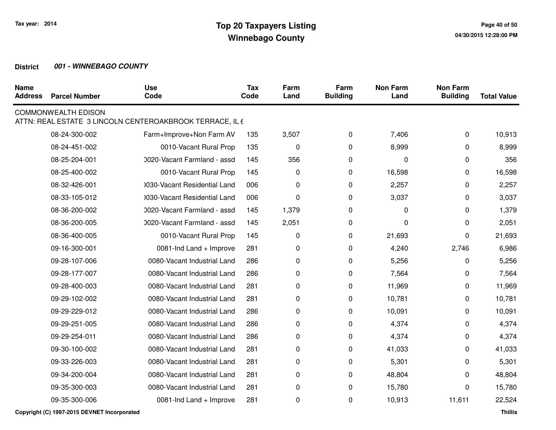| <b>Name</b><br><b>Address</b> | <b>Parcel Number</b>       | <b>Use</b><br>Code                                       | <b>Tax</b><br>Code | Farm<br>Land | Farm<br><b>Building</b> | <b>Non Farm</b><br>Land | <b>Non Farm</b><br><b>Building</b> | <b>Total Value</b> |
|-------------------------------|----------------------------|----------------------------------------------------------|--------------------|--------------|-------------------------|-------------------------|------------------------------------|--------------------|
|                               | <b>COMMONWEALTH EDISON</b> | ATTN: REAL ESTATE 3 LINCOLN CENTEROAKBROOK TERRACE, IL 6 |                    |              |                         |                         |                                    |                    |
|                               | 08-24-300-002              | Farm+Improve+Non Farm AV                                 | 135                | 3,507        | 0                       | 7,406                   | 0                                  | 10,913             |
|                               | 08-24-451-002              | 0010-Vacant Rural Prop                                   | 135                | $\mathbf 0$  | 0                       | 8,999                   | 0                                  | 8,999              |
|                               | 08-25-204-001              | 0020-Vacant Farmland - assd                              | 145                | 356          | 0                       | 0                       | 0                                  | 356                |
|                               | 08-25-400-002              | 0010-Vacant Rural Prop                                   | 145                | 0            | 0                       | 16,598                  | 0                                  | 16,598             |
|                               | 08-32-426-001              | 0030-Vacant Residential Land                             | 006                | 0            | 0                       | 2,257                   | 0                                  | 2,257              |
|                               | 08-33-105-012              | 0030-Vacant Residential Land                             | 006                | 0            | 0                       | 3,037                   | 0                                  | 3,037              |
|                               | 08-36-200-002              | 0020-Vacant Farmland - assd                              | 145                | 1,379        | 0                       | 0                       | 0                                  | 1,379              |
|                               | 08-36-200-005              | 0020-Vacant Farmland - assd                              | 145                | 2,051        | 0                       | 0                       | 0                                  | 2,051              |
|                               | 08-36-400-005              | 0010-Vacant Rural Prop                                   | 145                | 0            | 0                       | 21,693                  | 0                                  | 21,693             |
|                               | 09-16-300-001              | 0081-Ind Land + Improve                                  | 281                | 0            | 0                       | 4,240                   | 2,746                              | 6,986              |
|                               | 09-28-107-006              | 0080-Vacant Industrial Land                              | 286                | 0            | 0                       | 5,256                   | 0                                  | 5,256              |
|                               | 09-28-177-007              | 0080-Vacant Industrial Land                              | 286                | 0            | 0                       | 7,564                   | 0                                  | 7,564              |
|                               | 09-28-400-003              | 0080-Vacant Industrial Land                              | 281                | 0            | 0                       | 11,969                  | 0                                  | 11,969             |
|                               | 09-29-102-002              | 0080-Vacant Industrial Land                              | 281                | 0            | 0                       | 10,781                  | 0                                  | 10,781             |
|                               | 09-29-229-012              | 0080-Vacant Industrial Land                              | 286                | 0            | 0                       | 10,091                  | 0                                  | 10,091             |
|                               | 09-29-251-005              | 0080-Vacant Industrial Land                              | 286                | 0            | 0                       | 4,374                   | 0                                  | 4,374              |
|                               | 09-29-254-011              | 0080-Vacant Industrial Land                              | 286                | 0            | 0                       | 4,374                   | 0                                  | 4,374              |
|                               | 09-30-100-002              | 0080-Vacant Industrial Land                              | 281                | 0            | 0                       | 41,033                  | 0                                  | 41,033             |
|                               | 09-33-226-003              | 0080-Vacant Industrial Land                              | 281                | 0            | 0                       | 5,301                   | 0                                  | 5,301              |
|                               | 09-34-200-004              | 0080-Vacant Industrial Land                              | 281                | 0            | 0                       | 48,804                  | 0                                  | 48,804             |
|                               | 09-35-300-003              | 0080-Vacant Industrial Land                              | 281                | 0            | 0                       | 15,780                  | 0                                  | 15,780             |
|                               | 09-35-300-006              | 0081-Ind Land + Improve                                  | 281                | 0            | 0                       | 10,913                  | 11,611                             | 22,524             |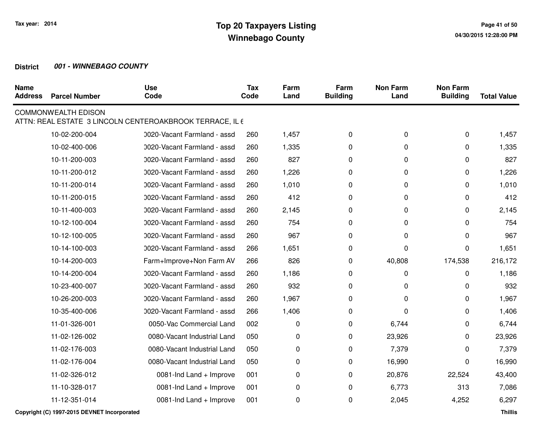| <b>Name</b><br><b>Address</b> | <b>Parcel Number</b>       | <b>Use</b><br>Code                                       | <b>Tax</b><br>Code | Farm<br>Land | Farm<br><b>Building</b> | <b>Non Farm</b><br>Land | <b>Non Farm</b><br><b>Building</b> | <b>Total Value</b> |
|-------------------------------|----------------------------|----------------------------------------------------------|--------------------|--------------|-------------------------|-------------------------|------------------------------------|--------------------|
|                               | <b>COMMONWEALTH EDISON</b> | ATTN: REAL ESTATE 3 LINCOLN CENTEROAKBROOK TERRACE, IL 6 |                    |              |                         |                         |                                    |                    |
|                               | 10-02-200-004              | 0020-Vacant Farmland - assd                              | 260                | 1,457        | 0                       | 0                       | 0                                  | 1,457              |
|                               | 10-02-400-006              | 0020-Vacant Farmland - assd                              | 260                | 1,335        | 0                       | 0                       | 0                                  | 1,335              |
|                               | 10-11-200-003              | 0020-Vacant Farmland - assd                              | 260                | 827          | 0                       | 0                       | 0                                  | 827                |
|                               | 10-11-200-012              | 0020-Vacant Farmland - assd                              | 260                | 1,226        | 0                       | 0                       | 0                                  | 1,226              |
|                               | 10-11-200-014              | 0020-Vacant Farmland - assd                              | 260                | 1,010        | 0                       | 0                       | 0                                  | 1,010              |
|                               | 10-11-200-015              | 0020-Vacant Farmland - assd                              | 260                | 412          | 0                       | 0                       | 0                                  | 412                |
|                               | 10-11-400-003              | 0020-Vacant Farmland - assd                              | 260                | 2,145        | 0                       | 0                       | 0                                  | 2,145              |
|                               | 10-12-100-004              | 0020-Vacant Farmland - assd                              | 260                | 754          | 0                       | 0                       | 0                                  | 754                |
|                               | 10-12-100-005              | 0020-Vacant Farmland - assd                              | 260                | 967          | 0                       | 0                       | 0                                  | 967                |
|                               | 10-14-100-003              | 0020-Vacant Farmland - assd                              | 266                | 1,651        | 0                       | 0                       | 0                                  | 1,651              |
|                               | 10-14-200-003              | Farm+Improve+Non Farm AV                                 | 266                | 826          | 0                       | 40,808                  | 174,538                            | 216,172            |
|                               | 10-14-200-004              | 0020-Vacant Farmland - assd                              | 260                | 1,186        | 0                       | 0                       | 0                                  | 1,186              |
|                               | 10-23-400-007              | 0020-Vacant Farmland - assd                              | 260                | 932          | 0                       | $\Omega$                | 0                                  | 932                |
|                               | 10-26-200-003              | 0020-Vacant Farmland - assd                              | 260                | 1,967        | 0                       | 0                       | 0                                  | 1,967              |
|                               | 10-35-400-006              | 0020-Vacant Farmland - assd                              | 266                | 1,406        | 0                       | $\Omega$                | 0                                  | 1,406              |
|                               | 11-01-326-001              | 0050-Vac Commercial Land                                 | 002                | 0            | 0                       | 6,744                   | 0                                  | 6,744              |
|                               | 11-02-126-002              | 0080-Vacant Industrial Land                              | 050                | 0            | 0                       | 23,926                  | 0                                  | 23,926             |
|                               | 11-02-176-003              | 0080-Vacant Industrial Land                              | 050                | 0            | 0                       | 7,379                   | 0                                  | 7,379              |
|                               | 11-02-176-004              | 0080-Vacant Industrial Land                              | 050                | 0            | 0                       | 16,990                  | 0                                  | 16,990             |
|                               | 11-02-326-012              | 0081-Ind Land + Improve                                  | 001                | 0            | 0                       | 20,876                  | 22,524                             | 43,400             |
|                               | 11-10-328-017              | 0081-Ind Land + Improve                                  | 001                | 0            | 0                       | 6,773                   | 313                                | 7,086              |
|                               | 11-12-351-014              | 0081-Ind Land + Improve                                  | 001                | 0            | 0                       | 2,045                   | 4,252                              | 6,297              |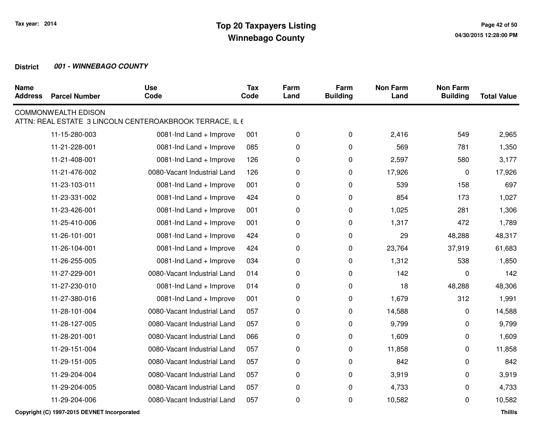| <b>Parcel Number</b> | <b>Use</b><br>Code          | <b>Tax</b><br>Code | Farm<br>Land                                             | Farm<br><b>Building</b> | <b>Non Farm</b><br>Land | <b>Non Farm</b><br><b>Building</b> | <b>Total Value</b> |
|----------------------|-----------------------------|--------------------|----------------------------------------------------------|-------------------------|-------------------------|------------------------------------|--------------------|
|                      |                             |                    |                                                          |                         |                         |                                    |                    |
| 11-15-280-003        | 0081-Ind Land + Improve     | 001                | $\pmb{0}$                                                | 0                       | 2,416                   | 549                                | 2,965              |
| 11-21-228-001        | 0081-Ind Land + Improve     | 085                | 0                                                        | 0                       | 569                     | 781                                | 1,350              |
| 11-21-408-001        | 0081-Ind Land + Improve     | 126                | 0                                                        | 0                       | 2,597                   | 580                                | 3,177              |
| 11-21-476-002        | 0080-Vacant Industrial Land | 126                | 0                                                        | 0                       | 17,926                  | 0                                  | 17,926             |
| 11-23-103-011        | 0081-Ind Land + Improve     | 001                | 0                                                        | 0                       | 539                     | 158                                | 697                |
| 11-23-331-002        | 0081-Ind Land + Improve     | 424                | 0                                                        | 0                       | 854                     | 173                                | 1,027              |
| 11-23-426-001        | 0081-Ind Land + Improve     | 001                | 0                                                        | 0                       | 1,025                   | 281                                | 1,306              |
| 11-25-410-006        | 0081-Ind Land + Improve     | 001                | 0                                                        | $\mathbf 0$             | 1,317                   | 472                                | 1,789              |
| 11-26-101-001        | 0081-Ind Land + Improve     | 424                | 0                                                        | 0                       | 29                      | 48,288                             | 48,317             |
| 11-26-104-001        | 0081-Ind Land + Improve     | 424                | 0                                                        | $\mathbf 0$             | 23,764                  | 37,919                             | 61,683             |
| 11-26-255-005        | 0081-Ind Land + Improve     | 034                | 0                                                        | 0                       | 1,312                   | 538                                | 1,850              |
| 11-27-229-001        | 0080-Vacant Industrial Land | 014                | 0                                                        | 0                       | 142                     | 0                                  | 142                |
| 11-27-230-010        | 0081-Ind Land + Improve     | 014                | 0                                                        | 0                       | 18                      | 48,288                             | 48,306             |
| 11-27-380-016        | 0081-Ind Land + Improve     | 001                | 0                                                        | 0                       | 1,679                   | 312                                | 1,991              |
| 11-28-101-004        | 0080-Vacant Industrial Land | 057                | 0                                                        | 0                       | 14,588                  | 0                                  | 14,588             |
| 11-28-127-005        | 0080-Vacant Industrial Land | 057                | 0                                                        | 0                       | 9,799                   | 0                                  | 9,799              |
| 11-28-201-001        | 0080-Vacant Industrial Land | 066                | 0                                                        | 0                       | 1,609                   | 0                                  | 1,609              |
| 11-29-151-004        | 0080-Vacant Industrial Land | 057                | 0                                                        | $\pmb{0}$               | 11,858                  | 0                                  | 11,858             |
| 11-29-151-005        | 0080-Vacant Industrial Land | 057                | 0                                                        | 0                       | 842                     | $\Omega$                           | 842                |
| 11-29-204-004        | 0080-Vacant Industrial Land | 057                | 0                                                        | 0                       | 3,919                   | 0                                  | 3,919              |
| 11-29-204-005        | 0080-Vacant Industrial Land | 057                | 0                                                        | 0                       | 4,733                   | 0                                  | 4,733              |
| 11-29-204-006        | 0080-Vacant Industrial Land | 057                | 0                                                        | 0                       | 10,582                  | 0                                  | 10,582             |
|                      | <b>COMMONWEALTH EDISON</b>  |                    | ATTN: REAL ESTATE 3 LINCOLN CENTEROAKBROOK TERRACE, IL 6 |                         |                         |                                    |                    |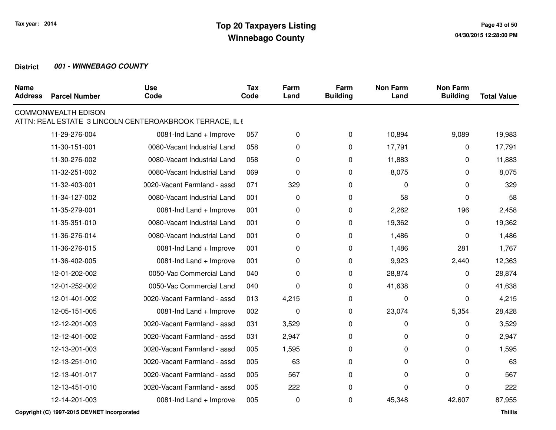| <b>Name</b><br><b>Address</b> | <b>Parcel Number</b>       | <b>Use</b><br>Code                                       | <b>Tax</b><br>Code | Farm<br>Land | Farm<br><b>Building</b> | <b>Non Farm</b><br>Land | <b>Non Farm</b><br><b>Building</b> | <b>Total Value</b> |
|-------------------------------|----------------------------|----------------------------------------------------------|--------------------|--------------|-------------------------|-------------------------|------------------------------------|--------------------|
|                               | <b>COMMONWEALTH EDISON</b> | ATTN: REAL ESTATE 3 LINCOLN CENTEROAKBROOK TERRACE, IL 6 |                    |              |                         |                         |                                    |                    |
|                               | 11-29-276-004              | 0081-Ind Land + Improve                                  | 057                | 0            | $\mathbf 0$             | 10,894                  | 9,089                              | 19,983             |
|                               | 11-30-151-001              | 0080-Vacant Industrial Land                              | 058                | 0            | 0                       | 17,791                  | 0                                  | 17,791             |
|                               | 11-30-276-002              | 0080-Vacant Industrial Land                              | 058                | 0            | 0                       | 11,883                  | 0                                  | 11,883             |
|                               | 11-32-251-002              | 0080-Vacant Industrial Land                              | 069                | 0            | 0                       | 8,075                   | $\Omega$                           | 8,075              |
|                               | 11-32-403-001              | 0020-Vacant Farmland - assd                              | 071                | 329          | 0                       | 0                       | 0                                  | 329                |
|                               | 11-34-127-002              | 0080-Vacant Industrial Land                              | 001                | 0            | 0                       | 58                      | 0                                  | 58                 |
|                               | 11-35-279-001              | 0081-Ind Land + Improve                                  | 001                | 0            | 0                       | 2,262                   | 196                                | 2,458              |
|                               | 11-35-351-010              | 0080-Vacant Industrial Land                              | 001                | 0            | 0                       | 19,362                  | 0                                  | 19,362             |
|                               | 11-36-276-014              | 0080-Vacant Industrial Land                              | 001                | 0            | 0                       | 1,486                   | 0                                  | 1,486              |
|                               | 11-36-276-015              | 0081-Ind Land + Improve                                  | 001                | 0            | $\mathbf 0$             | 1,486                   | 281                                | 1,767              |
|                               | 11-36-402-005              | 0081-Ind Land + Improve                                  | 001                | 0            | 0                       | 9,923                   | 2,440                              | 12,363             |
|                               | 12-01-202-002              | 0050-Vac Commercial Land                                 | 040                | 0            | 0                       | 28,874                  | 0                                  | 28,874             |
|                               | 12-01-252-002              | 0050-Vac Commercial Land                                 | 040                | 0            | $\mathbf 0$             | 41,638                  | 0                                  | 41,638             |
|                               | 12-01-401-002              | 0020-Vacant Farmland - assd                              | 013                | 4,215        | 0                       | 0                       | $\Omega$                           | 4,215              |
|                               | 12-05-151-005              | 0081-Ind Land + Improve                                  | 002                | $\mathbf 0$  | 0                       | 23,074                  | 5,354                              | 28,428             |
|                               | 12-12-201-003              | 0020-Vacant Farmland - assd                              | 031                | 3,529        | 0                       | 0                       | 0                                  | 3,529              |
|                               | 12-12-401-002              | 0020-Vacant Farmland - assd                              | 031                | 2,947        | 0                       | 0                       | 0                                  | 2,947              |
|                               | 12-13-201-003              | 0020-Vacant Farmland - assd                              | 005                | 1,595        | 0                       | 0                       | $\Omega$                           | 1,595              |
|                               | 12-13-251-010              | 0020-Vacant Farmland - assd                              | 005                | 63           | 0                       | 0                       | $\Omega$                           | 63                 |
|                               | 12-13-401-017              | 0020-Vacant Farmland - assd                              | 005                | 567          | 0                       | 0                       | 0                                  | 567                |
|                               | 12-13-451-010              | 0020-Vacant Farmland - assd                              | 005                | 222          | 0                       | 0                       | $\Omega$                           | 222                |
|                               | 12-14-201-003              | 0081-Ind Land + Improve                                  | 005                | 0            | 0                       | 45,348                  | 42,607                             | 87,955             |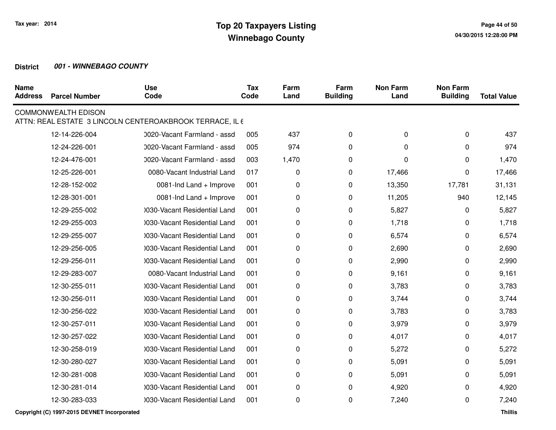| <b>Name</b><br><b>Address</b> | <b>Parcel Number</b>                        | <b>Use</b><br>Code                                       | <b>Tax</b><br>Code | Farm<br>Land | Farm<br><b>Building</b> | <b>Non Farm</b><br>Land | <b>Non Farm</b><br><b>Building</b> | <b>Total Value</b> |
|-------------------------------|---------------------------------------------|----------------------------------------------------------|--------------------|--------------|-------------------------|-------------------------|------------------------------------|--------------------|
|                               | <b>COMMONWEALTH EDISON</b>                  | ATTN: REAL ESTATE 3 LINCOLN CENTEROAKBROOK TERRACE, IL 6 |                    |              |                         |                         |                                    |                    |
|                               | 12-14-226-004                               | 0020-Vacant Farmland - assd                              | 005                | 437          | 0                       | 0                       | 0                                  | 437                |
|                               | 12-24-226-001                               | 0020-Vacant Farmland - assd                              | 005                | 974          | $\Omega$                | $\Omega$                | $\Omega$                           | 974                |
|                               | 12-24-476-001                               | 0020-Vacant Farmland - assd                              | 003                | 1,470        | 0                       | $\Omega$                | $\Omega$                           | 1,470              |
|                               | 12-25-226-001                               | 0080-Vacant Industrial Land                              | 017                | 0            | 0                       | 17,466                  | 0                                  | 17,466             |
|                               | 12-28-152-002                               | 0081-Ind Land + Improve                                  | 001                | 0            | 0                       | 13,350                  | 17,781                             | 31,131             |
|                               | 12-28-301-001                               | 0081-Ind Land + Improve                                  | 001                | 0            | 0                       | 11,205                  | 940                                | 12,145             |
|                               | 12-29-255-002                               | 1030-Vacant Residential Land                             | 001                | 0            | 0                       | 5,827                   | 0                                  | 5,827              |
|                               | 12-29-255-003                               | 1030-Vacant Residential Land                             | 001                | 0            | 0                       | 1,718                   | $\Omega$                           | 1,718              |
|                               | 12-29-255-007                               | 0030-Vacant Residential Land                             | 001                | 0            | 0                       | 6,574                   | 0                                  | 6,574              |
|                               | 12-29-256-005                               | 030-Vacant Residential Land                              | 001                | 0            | 0                       | 2,690                   | $\Omega$                           | 2,690              |
|                               | 12-29-256-011                               | 1030-Vacant Residential Land                             | 001                | 0            | 0                       | 2,990                   | 0                                  | 2,990              |
|                               | 12-29-283-007                               | 0080-Vacant Industrial Land                              | 001                | 0            | 0                       | 9,161                   | 0                                  | 9,161              |
|                               | 12-30-255-011                               | 1030-Vacant Residential Land                             | 001                | 0            | 0                       | 3,783                   | 0                                  | 3,783              |
|                               | 12-30-256-011                               | 1030-Vacant Residential Land                             | 001                | 0            | 0                       | 3,744                   | 0                                  | 3,744              |
|                               | 12-30-256-022                               | 1030-Vacant Residential Land                             | 001                | 0            | 0                       | 3,783                   | $\Omega$                           | 3,783              |
|                               | 12-30-257-011                               | 1030-Vacant Residential Land                             | 001                | 0            | 0                       | 3,979                   | 0                                  | 3,979              |
|                               | 12-30-257-022                               | 1030-Vacant Residential Land                             | 001                | 0            | 0                       | 4,017                   | 0                                  | 4,017              |
|                               | 12-30-258-019                               | 1030-Vacant Residential Land                             | 001                | 0            | 0                       | 5,272                   | 0                                  | 5,272              |
|                               | 12-30-280-027                               | 1030-Vacant Residential Land                             | 001                | 0            | 0                       | 5,091                   | 0                                  | 5,091              |
|                               | 12-30-281-008                               | 0030-Vacant Residential Land                             | 001                | 0            | 0                       | 5,091                   | $\Omega$                           | 5,091              |
|                               | 12-30-281-014                               | 1030-Vacant Residential Land                             | 001                | 0            | 0                       | 4,920                   | 0                                  | 4,920              |
|                               | 12-30-283-033                               | 1030-Vacant Residential Land                             | 001                | 0            | 0                       | 7,240                   | 0                                  | 7,240              |
|                               | Copyright (C) 1997-2015 DEVNET Incorporated |                                                          |                    |              |                         |                         |                                    | <b>Thillis</b>     |

**Thillis**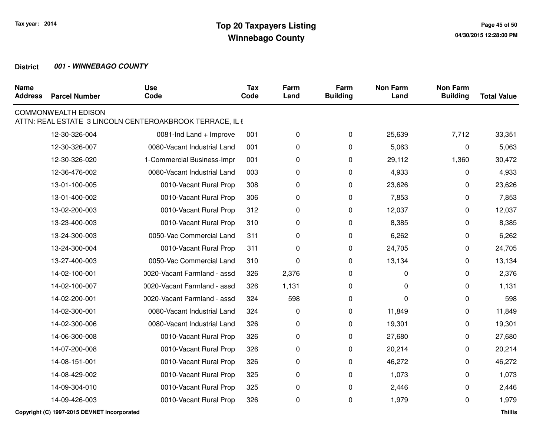| <b>Name</b><br><b>Address</b> | <b>Parcel Number</b>       | <b>Use</b><br>Code                                       | <b>Tax</b><br>Code | Farm<br>Land | Farm<br><b>Building</b> | <b>Non Farm</b><br>Land | <b>Non Farm</b><br><b>Building</b> | <b>Total Value</b> |
|-------------------------------|----------------------------|----------------------------------------------------------|--------------------|--------------|-------------------------|-------------------------|------------------------------------|--------------------|
|                               | <b>COMMONWEALTH EDISON</b> | ATTN: REAL ESTATE 3 LINCOLN CENTEROAKBROOK TERRACE, IL 6 |                    |              |                         |                         |                                    |                    |
|                               | 12-30-326-004              | 0081-Ind Land + Improve                                  | 001                | 0            | 0                       | 25,639                  | 7,712                              | 33,351             |
|                               | 12-30-326-007              | 0080-Vacant Industrial Land                              | 001                | 0            | 0                       | 5,063                   | 0                                  | 5,063              |
|                               | 12-30-326-020              | 1-Commercial Business-Impr                               | 001                | 0            | 0                       | 29,112                  | 1,360                              | 30,472             |
|                               | 12-36-476-002              | 0080-Vacant Industrial Land                              | 003                | 0            | 0                       | 4,933                   | 0                                  | 4,933              |
|                               | 13-01-100-005              | 0010-Vacant Rural Prop                                   | 308                | 0            | 0                       | 23,626                  | 0                                  | 23,626             |
|                               | 13-01-400-002              | 0010-Vacant Rural Prop                                   | 306                | 0            | 0                       | 7,853                   | 0                                  | 7,853              |
|                               | 13-02-200-003              | 0010-Vacant Rural Prop                                   | 312                | 0            | 0                       | 12,037                  | 0                                  | 12,037             |
|                               | 13-23-400-003              | 0010-Vacant Rural Prop                                   | 310                | 0            | 0                       | 8,385                   | 0                                  | 8,385              |
|                               | 13-24-300-003              | 0050-Vac Commercial Land                                 | 311                | 0            | $\mathbf 0$             | 6,262                   | 0                                  | 6,262              |
|                               | 13-24-300-004              | 0010-Vacant Rural Prop                                   | 311                | 0            | 0                       | 24,705                  | 0                                  | 24,705             |
|                               | 13-27-400-003              | 0050-Vac Commercial Land                                 | 310                | 0            | 0                       | 13,134                  | 0                                  | 13,134             |
|                               | 14-02-100-001              | 0020-Vacant Farmland - assd                              | 326                | 2,376        | 0                       | 0                       | 0                                  | 2,376              |
|                               | 14-02-100-007              | 0020-Vacant Farmland - assd                              | 326                | 1,131        | 0                       | 0                       | 0                                  | 1,131              |
|                               | 14-02-200-001              | 0020-Vacant Farmland - assd                              | 324                | 598          | 0                       | 0                       | 0                                  | 598                |
|                               | 14-02-300-001              | 0080-Vacant Industrial Land                              | 324                | 0            | 0                       | 11,849                  | 0                                  | 11,849             |
|                               | 14-02-300-006              | 0080-Vacant Industrial Land                              | 326                | 0            | 0                       | 19,301                  | 0                                  | 19,301             |
|                               | 14-06-300-008              | 0010-Vacant Rural Prop                                   | 326                | 0            | 0                       | 27,680                  | 0                                  | 27,680             |
|                               | 14-07-200-008              | 0010-Vacant Rural Prop                                   | 326                | 0            | 0                       | 20,214                  | 0                                  | 20,214             |
|                               | 14-08-151-001              | 0010-Vacant Rural Prop                                   | 326                | 0            | 0                       | 46,272                  | 0                                  | 46,272             |
|                               | 14-08-429-002              | 0010-Vacant Rural Prop                                   | 325                | 0            | $\pmb{0}$               | 1,073                   | 0                                  | 1,073              |
|                               | 14-09-304-010              | 0010-Vacant Rural Prop                                   | 325                | 0            | 0                       | 2,446                   | 0                                  | 2,446              |
|                               | 14-09-426-003              | 0010-Vacant Rural Prop                                   | 326                | 0            | 0                       | 1,979                   | 0                                  | 1,979              |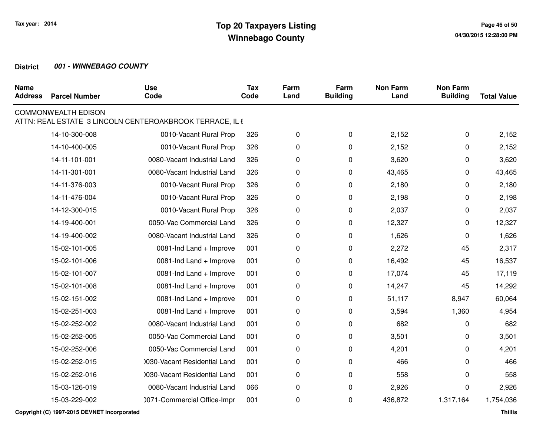| <b>Name</b><br><b>Address</b> | <b>Parcel Number</b>       | <b>Use</b><br>Code                                       | <b>Tax</b><br>Code | Farm<br>Land | Farm<br><b>Building</b> | <b>Non Farm</b><br>Land | <b>Non Farm</b><br><b>Building</b> | <b>Total Value</b> |
|-------------------------------|----------------------------|----------------------------------------------------------|--------------------|--------------|-------------------------|-------------------------|------------------------------------|--------------------|
|                               | <b>COMMONWEALTH EDISON</b> | ATTN: REAL ESTATE 3 LINCOLN CENTEROAKBROOK TERRACE, IL 6 |                    |              |                         |                         |                                    |                    |
|                               | 14-10-300-008              | 0010-Vacant Rural Prop                                   | 326                | 0            | 0                       | 2,152                   | 0                                  | 2,152              |
|                               | 14-10-400-005              | 0010-Vacant Rural Prop                                   | 326                | 0            | 0                       | 2,152                   | 0                                  | 2,152              |
|                               | 14-11-101-001              | 0080-Vacant Industrial Land                              | 326                | 0            | 0                       | 3,620                   | 0                                  | 3,620              |
|                               | 14-11-301-001              | 0080-Vacant Industrial Land                              | 326                | 0            | 0                       | 43,465                  | 0                                  | 43,465             |
|                               | 14-11-376-003              | 0010-Vacant Rural Prop                                   | 326                | 0            | 0                       | 2,180                   | 0                                  | 2,180              |
|                               | 14-11-476-004              | 0010-Vacant Rural Prop                                   | 326                | 0            | 0                       | 2,198                   | 0                                  | 2,198              |
|                               | 14-12-300-015              | 0010-Vacant Rural Prop                                   | 326                | 0            | 0                       | 2,037                   | 0                                  | 2,037              |
|                               | 14-19-400-001              | 0050-Vac Commercial Land                                 | 326                | 0            | 0                       | 12,327                  | 0                                  | 12,327             |
|                               | 14-19-400-002              | 0080-Vacant Industrial Land                              | 326                | 0            | 0                       | 1,626                   | 0                                  | 1,626              |
|                               | 15-02-101-005              | 0081-Ind Land + Improve                                  | 001                | 0            | 0                       | 2,272                   | 45                                 | 2,317              |
|                               | 15-02-101-006              | 0081-Ind Land + Improve                                  | 001                | 0            | 0                       | 16,492                  | 45                                 | 16,537             |
|                               | 15-02-101-007              | 0081-Ind Land + Improve                                  | 001                | 0            | 0                       | 17,074                  | 45                                 | 17,119             |
|                               | 15-02-101-008              | 0081-Ind Land + Improve                                  | 001                | 0            | 0                       | 14,247                  | 45                                 | 14,292             |
|                               | 15-02-151-002              | 0081-Ind Land + Improve                                  | 001                | 0            | 0                       | 51,117                  | 8,947                              | 60,064             |
|                               | 15-02-251-003              | 0081-Ind Land + Improve                                  | 001                | 0            | 0                       | 3,594                   | 1,360                              | 4,954              |
|                               | 15-02-252-002              | 0080-Vacant Industrial Land                              | 001                | 0            | 0                       | 682                     | 0                                  | 682                |
|                               | 15-02-252-005              | 0050-Vac Commercial Land                                 | 001                | 0            | 0                       | 3,501                   | 0                                  | 3,501              |
|                               | 15-02-252-006              | 0050-Vac Commercial Land                                 | 001                | 0            | 0                       | 4,201                   | 0                                  | 4,201              |
|                               | 15-02-252-015              | 0030-Vacant Residential Land                             | 001                | 0            | 0                       | 466                     | 0                                  | 466                |
|                               | 15-02-252-016              | 1030-Vacant Residential Land                             | 001                | 0            | 0                       | 558                     | 0                                  | 558                |
|                               | 15-03-126-019              | 0080-Vacant Industrial Land                              | 066                | 0            | 0                       | 2,926                   | 0                                  | 2,926              |
|                               | 15-03-229-002              | 0071-Commercial Office-Impr                              | 001                | 0            | 0                       | 436,872                 | 1,317,164                          | 1,754,036          |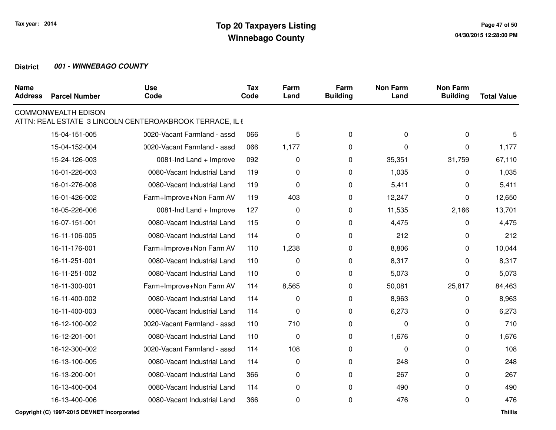| <b>Name</b><br><b>Address</b> | <b>Parcel Number</b>       | <b>Use</b><br>Code                                       | <b>Tax</b><br>Code | Farm<br>Land | Farm<br><b>Building</b> | <b>Non Farm</b><br>Land | <b>Non Farm</b><br><b>Building</b> | <b>Total Value</b> |
|-------------------------------|----------------------------|----------------------------------------------------------|--------------------|--------------|-------------------------|-------------------------|------------------------------------|--------------------|
|                               | <b>COMMONWEALTH EDISON</b> | ATTN: REAL ESTATE 3 LINCOLN CENTEROAKBROOK TERRACE, IL 6 |                    |              |                         |                         |                                    |                    |
|                               | 15-04-151-005              | 0020-Vacant Farmland - assd                              | 066                | 5            | $\mathbf 0$             | $\pmb{0}$               | 0                                  | 5                  |
|                               | 15-04-152-004              | 0020-Vacant Farmland - assd                              | 066                | 1,177        | 0                       | $\Omega$                | 0                                  | 1,177              |
|                               | 15-24-126-003              | 0081-Ind Land + Improve                                  | 092                | 0            | 0                       | 35,351                  | 31,759                             | 67,110             |
|                               | 16-01-226-003              | 0080-Vacant Industrial Land                              | 119                | 0            | 0                       | 1,035                   | $\Omega$                           | 1,035              |
|                               | 16-01-276-008              | 0080-Vacant Industrial Land                              | 119                | 0            | $\mathbf 0$             | 5,411                   | 0                                  | 5,411              |
|                               | 16-01-426-002              | Farm+Improve+Non Farm AV                                 | 119                | 403          | 0                       | 12,247                  | 0                                  | 12,650             |
|                               | 16-05-226-006              | 0081-Ind Land + Improve                                  | 127                | $\pmb{0}$    | $\mathbf 0$             | 11,535                  | 2,166                              | 13,701             |
|                               | 16-07-151-001              | 0080-Vacant Industrial Land                              | 115                | 0            | 0                       | 4,475                   | 0                                  | 4,475              |
|                               | 16-11-106-005              | 0080-Vacant Industrial Land                              | 114                | 0            | $\mathbf 0$             | 212                     | 0                                  | 212                |
|                               | 16-11-176-001              | Farm+Improve+Non Farm AV                                 | 110                | 1,238        | 0                       | 8,806                   | 0                                  | 10,044             |
|                               | 16-11-251-001              | 0080-Vacant Industrial Land                              | 110                | 0            | 0                       | 8,317                   | 0                                  | 8,317              |
|                               | 16-11-251-002              | 0080-Vacant Industrial Land                              | 110                | $\mathbf 0$  | 0                       | 5,073                   | 0                                  | 5,073              |
|                               | 16-11-300-001              | Farm+Improve+Non Farm AV                                 | 114                | 8,565        | 0                       | 50,081                  | 25,817                             | 84,463             |
|                               | 16-11-400-002              | 0080-Vacant Industrial Land                              | 114                | 0            | 0                       | 8,963                   | 0                                  | 8,963              |
|                               | 16-11-400-003              | 0080-Vacant Industrial Land                              | 114                | 0            | 0                       | 6,273                   | 0                                  | 6,273              |
|                               | 16-12-100-002              | 0020-Vacant Farmland - assd                              | 110                | 710          | $\mathbf 0$             | $\mathbf 0$             | 0                                  | 710                |
|                               | 16-12-201-001              | 0080-Vacant Industrial Land                              | 110                | $\pmb{0}$    | 0                       | 1,676                   | 0                                  | 1,676              |
|                               | 16-12-300-002              | 0020-Vacant Farmland - assd                              | 114                | 108          | $\mathbf 0$             | 0                       | 0                                  | 108                |
|                               | 16-13-100-005              | 0080-Vacant Industrial Land                              | 114                | 0            | 0                       | 248                     | $\Omega$                           | 248                |
|                               | 16-13-200-001              | 0080-Vacant Industrial Land                              | 366                | 0            | 0                       | 267                     | $\Omega$                           | 267                |
|                               | 16-13-400-004              | 0080-Vacant Industrial Land                              | 114                | 0            | 0                       | 490                     | 0                                  | 490                |
|                               | 16-13-400-006              | 0080-Vacant Industrial Land                              | 366                | 0            | 0                       | 476                     | 0                                  | 476                |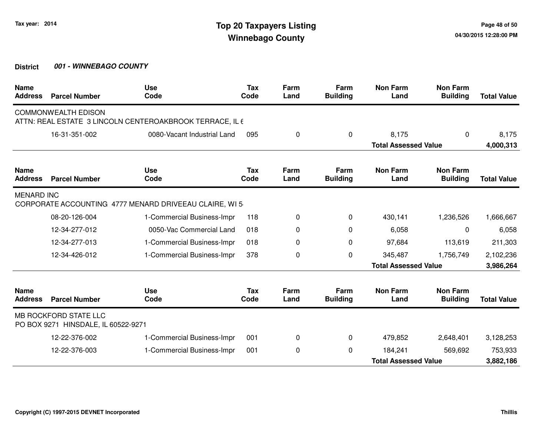| <b>Name</b><br><b>Address</b> | <b>Parcel Number</b>                                         | <b>Use</b><br>Code                                       | Tax<br>Code | Farm<br>Land | Farm<br><b>Building</b> | <b>Non Farm</b><br>Land     | <b>Non Farm</b><br><b>Building</b> | <b>Total Value</b> |
|-------------------------------|--------------------------------------------------------------|----------------------------------------------------------|-------------|--------------|-------------------------|-----------------------------|------------------------------------|--------------------|
|                               | <b>COMMONWEALTH EDISON</b>                                   | ATTN: REAL ESTATE 3 LINCOLN CENTEROAKBROOK TERRACE, IL 6 |             |              |                         |                             |                                    |                    |
|                               | 16-31-351-002                                                | 0080-Vacant Industrial Land                              | 095         | 0            | 0                       | 8,175                       | 0                                  | 8,175              |
|                               |                                                              |                                                          |             |              |                         | <b>Total Assessed Value</b> |                                    | 4,000,313          |
| <b>Name</b><br><b>Address</b> | <b>Parcel Number</b>                                         | <b>Use</b><br>Code                                       | Tax<br>Code | Farm<br>Land | Farm<br><b>Building</b> | <b>Non Farm</b><br>Land     | <b>Non Farm</b><br><b>Building</b> | <b>Total Value</b> |
| <b>MENARD INC</b>             |                                                              | CORPORATE ACCOUNTING 4777 MENARD DRIVEEAU CLAIRE, WI 5   |             |              |                         |                             |                                    |                    |
|                               | 08-20-126-004                                                | 1-Commercial Business-Impr                               | 118         | 0            | 0                       | 430,141                     | 1,236,526                          | 1,666,667          |
|                               | 12-34-277-012                                                | 0050-Vac Commercial Land                                 | 018         | 0            | 0                       | 6,058                       | 0                                  | 6,058              |
|                               | 12-34-277-013                                                | 1-Commercial Business-Impr                               | 018         | 0            | $\mathbf 0$             | 97,684                      | 113,619                            | 211,303            |
|                               | 12-34-426-012                                                | 1-Commercial Business-Impr                               | 378         | 0            | $\Omega$                | 345,487                     | 1,756,749                          | 2,102,236          |
|                               |                                                              |                                                          |             |              |                         | <b>Total Assessed Value</b> |                                    | 3,986,264          |
| <b>Name</b><br><b>Address</b> | <b>Parcel Number</b>                                         | <b>Use</b><br>Code                                       | Tax<br>Code | Farm<br>Land | Farm<br><b>Building</b> | <b>Non Farm</b><br>Land     | <b>Non Farm</b><br><b>Building</b> | <b>Total Value</b> |
|                               | MB ROCKFORD STATE LLC<br>PO BOX 9271 HINSDALE, IL 60522-9271 |                                                          |             |              |                         |                             |                                    |                    |
|                               | 12-22-376-002                                                | 1-Commercial Business-Impr                               | 001         | 0            | 0                       | 479,852                     | 2,648,401                          | 3,128,253          |
|                               | 12-22-376-003                                                | 1-Commercial Business-Impr                               | 001         | 0            | $\Omega$                | 184,241                     | 569,692                            | 753,933            |
|                               |                                                              |                                                          |             |              |                         | <b>Total Assessed Value</b> |                                    | 3,882,186          |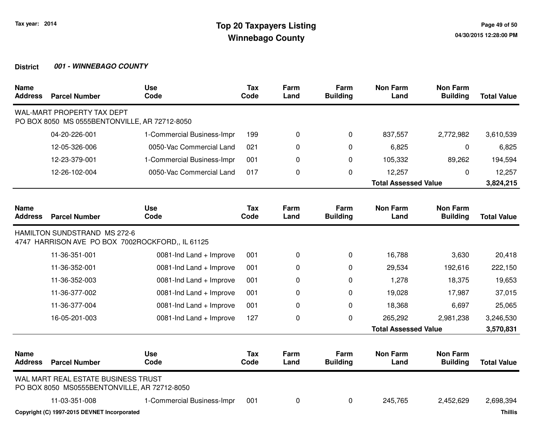| <b>Name</b><br><b>Address</b> | <b>Parcel Number</b>                                                                | <b>Use</b><br>Code                               | <b>Tax</b><br>Code | Farm<br>Land | Farm<br><b>Building</b> | <b>Non Farm</b><br>Land     | <b>Non Farm</b><br><b>Building</b> | <b>Total Value</b> |
|-------------------------------|-------------------------------------------------------------------------------------|--------------------------------------------------|--------------------|--------------|-------------------------|-----------------------------|------------------------------------|--------------------|
|                               | WAL-MART PROPERTY TAX DEPT<br>PO BOX 8050 MS 0555BENTONVILLE, AR 72712-8050         |                                                  |                    |              |                         |                             |                                    |                    |
|                               | 04-20-226-001                                                                       | 1-Commercial Business-Impr                       | 199                | 0            | 0                       | 837,557                     | 2,772,982                          | 3,610,539          |
|                               | 12-05-326-006                                                                       | 0050-Vac Commercial Land                         | 021                | 0            | $\Omega$                | 6,825                       | 0                                  | 6,825              |
|                               | 12-23-379-001                                                                       | 1-Commercial Business-Impr                       | 001                | 0            | 0                       | 105,332                     | 89,262                             | 194,594            |
|                               | 12-26-102-004                                                                       | 0050-Vac Commercial Land                         | 017                | 0            | $\Omega$                | 12,257                      | $\Omega$                           | 12,257             |
|                               |                                                                                     | <b>Total Assessed Value</b>                      |                    |              |                         |                             | 3,824,215                          |                    |
| <b>Name</b><br><b>Address</b> | <b>Parcel Number</b>                                                                | <b>Use</b><br>Code                               | <b>Tax</b><br>Code | Farm<br>Land | Farm<br><b>Building</b> | <b>Non Farm</b><br>Land     | <b>Non Farm</b><br><b>Building</b> | <b>Total Value</b> |
|                               | HAMILTON SUNDSTRAND MS 272-6                                                        | 4747 HARRISON AVE PO BOX 7002ROCKFORD., IL 61125 |                    |              |                         |                             |                                    |                    |
|                               | 11-36-351-001                                                                       | 0081-Ind Land + Improve                          | 001                | 0            | 0                       | 16,788                      | 3,630                              | 20,418             |
|                               | 11-36-352-001                                                                       | 0081-Ind Land + Improve                          | 001                | 0            | 0                       | 29,534                      | 192,616                            | 222,150            |
|                               | 11-36-352-003                                                                       | 0081-Ind Land + Improve                          | 001                | $\Omega$     | $\Omega$                | 1,278                       | 18,375                             | 19,653             |
|                               | 11-36-377-002                                                                       | 0081-Ind Land + Improve                          | 001                | 0            | $\Omega$                | 19,028                      | 17,987                             | 37,015             |
|                               | 11-36-377-004                                                                       | 0081-Ind Land + Improve                          | 001                | 0            | $\mathbf 0$             | 18,368                      | 6,697                              | 25,065             |
|                               | 16-05-201-003                                                                       | 0081-Ind Land + Improve                          | 127                | 0            | $\mathbf 0$             | 265,292                     | 2,981,238                          | 3,246,530          |
|                               |                                                                                     |                                                  |                    |              |                         | <b>Total Assessed Value</b> |                                    | 3,570,831          |
| <b>Name</b><br><b>Address</b> | <b>Parcel Number</b>                                                                | <b>Use</b><br>Code                               | Tax<br>Code        | Farm<br>Land | Farm<br><b>Building</b> | <b>Non Farm</b><br>Land     | <b>Non Farm</b><br><b>Building</b> | <b>Total Value</b> |
|                               | WAL MART REAL ESTATE BUSINESS TRUST<br>PO BOX 8050 MS0555BENTONVILLE, AR 72712-8050 |                                                  |                    |              |                         |                             |                                    |                    |
|                               | 11-03-351-008                                                                       | 1-Commercial Business-Impr                       | 001                | 0            | 0                       | 245,765                     | 2,452,629                          | 2,698,394          |
|                               |                                                                                     |                                                  |                    |              |                         |                             |                                    |                    |

**Copyright (C) 1997-2015 DEVNET Incorporated**